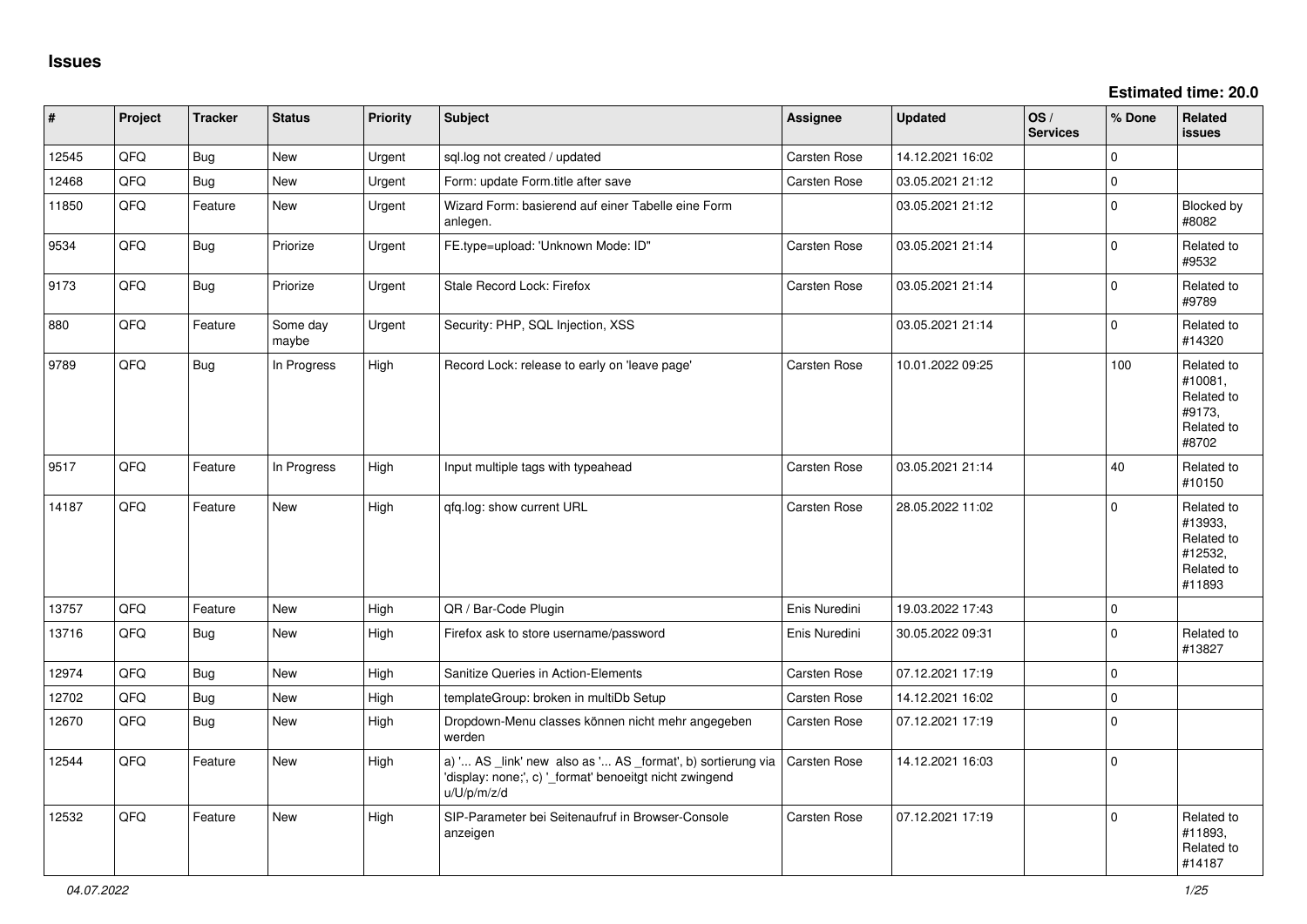**Estimated time: 20.0**

| $\vert$ # | Project | <b>Tracker</b> | <b>Status</b>     | Priority | <b>Subject</b>                                                                                                                        | Assignee            | <b>Updated</b>   | OS/<br><b>Services</b> | % Done      | Related<br><b>issues</b>                                               |
|-----------|---------|----------------|-------------------|----------|---------------------------------------------------------------------------------------------------------------------------------------|---------------------|------------------|------------------------|-------------|------------------------------------------------------------------------|
| 12545     | QFQ     | <b>Bug</b>     | <b>New</b>        | Urgent   | sql.log not created / updated                                                                                                         | Carsten Rose        | 14.12.2021 16:02 |                        | $\Omega$    |                                                                        |
| 12468     | QFQ     | <b>Bug</b>     | <b>New</b>        | Urgent   | Form: update Form.title after save                                                                                                    | Carsten Rose        | 03.05.2021 21:12 |                        | $\mathbf 0$ |                                                                        |
| 11850     | QFQ     | Feature        | <b>New</b>        | Urgent   | Wizard Form: basierend auf einer Tabelle eine Form<br>anlegen.                                                                        |                     | 03.05.2021 21:12 |                        | $\Omega$    | <b>Blocked by</b><br>#8082                                             |
| 9534      | QFQ     | Bug            | Priorize          | Urgent   | FE.type=upload: 'Unknown Mode: ID"                                                                                                    | Carsten Rose        | 03.05.2021 21:14 |                        | $\Omega$    | Related to<br>#9532                                                    |
| 9173      | QFQ     | <b>Bug</b>     | Priorize          | Urgent   | Stale Record Lock: Firefox                                                                                                            | Carsten Rose        | 03.05.2021 21:14 |                        | $\Omega$    | Related to<br>#9789                                                    |
| 880       | QFQ     | Feature        | Some day<br>maybe | Urgent   | Security: PHP, SQL Injection, XSS                                                                                                     |                     | 03.05.2021 21:14 |                        | $\Omega$    | Related to<br>#14320                                                   |
| 9789      | QFQ     | <b>Bug</b>     | In Progress       | High     | Record Lock: release to early on 'leave page'                                                                                         | Carsten Rose        | 10.01.2022 09:25 |                        | 100         | Related to<br>#10081,<br>Related to<br>#9173,<br>Related to<br>#8702   |
| 9517      | QFQ     | Feature        | In Progress       | High     | Input multiple tags with typeahead                                                                                                    | Carsten Rose        | 03.05.2021 21:14 |                        | 40          | Related to<br>#10150                                                   |
| 14187     | QFQ     | Feature        | <b>New</b>        | High     | gfg.log: show current URL                                                                                                             | Carsten Rose        | 28.05.2022 11:02 |                        | $\Omega$    | Related to<br>#13933,<br>Related to<br>#12532,<br>Related to<br>#11893 |
| 13757     | QFQ     | Feature        | <b>New</b>        | High     | QR / Bar-Code Plugin                                                                                                                  | Enis Nuredini       | 19.03.2022 17:43 |                        | $\Omega$    |                                                                        |
| 13716     | QFQ     | <b>Bug</b>     | <b>New</b>        | High     | Firefox ask to store username/password                                                                                                | Enis Nuredini       | 30.05.2022 09:31 |                        | $\Omega$    | Related to<br>#13827                                                   |
| 12974     | QFQ     | <b>Bug</b>     | <b>New</b>        | High     | Sanitize Queries in Action-Elements                                                                                                   | <b>Carsten Rose</b> | 07.12.2021 17:19 |                        | $\mathbf 0$ |                                                                        |
| 12702     | QFQ     | <b>Bug</b>     | <b>New</b>        | High     | templateGroup: broken in multiDb Setup                                                                                                | <b>Carsten Rose</b> | 14.12.2021 16:02 |                        | $\Omega$    |                                                                        |
| 12670     | QFQ     | <b>Bug</b>     | New               | High     | Dropdown-Menu classes können nicht mehr angegeben<br>werden                                                                           | Carsten Rose        | 07.12.2021 17:19 |                        | $\Omega$    |                                                                        |
| 12544     | QFQ     | Feature        | <b>New</b>        | High     | a) ' AS _link' new also as ' AS _format', b) sortierung via<br>'display: none;', c) '_format' benoeitgt nicht zwingend<br>u/U/p/m/z/d | <b>Carsten Rose</b> | 14.12.2021 16:03 |                        | $\mathbf 0$ |                                                                        |
| 12532     | QFQ     | Feature        | <b>New</b>        | High     | SIP-Parameter bei Seitenaufruf in Browser-Console<br>anzeigen                                                                         | Carsten Rose        | 07.12.2021 17:19 |                        | $\Omega$    | Related to<br>#11893,<br>Related to<br>#14187                          |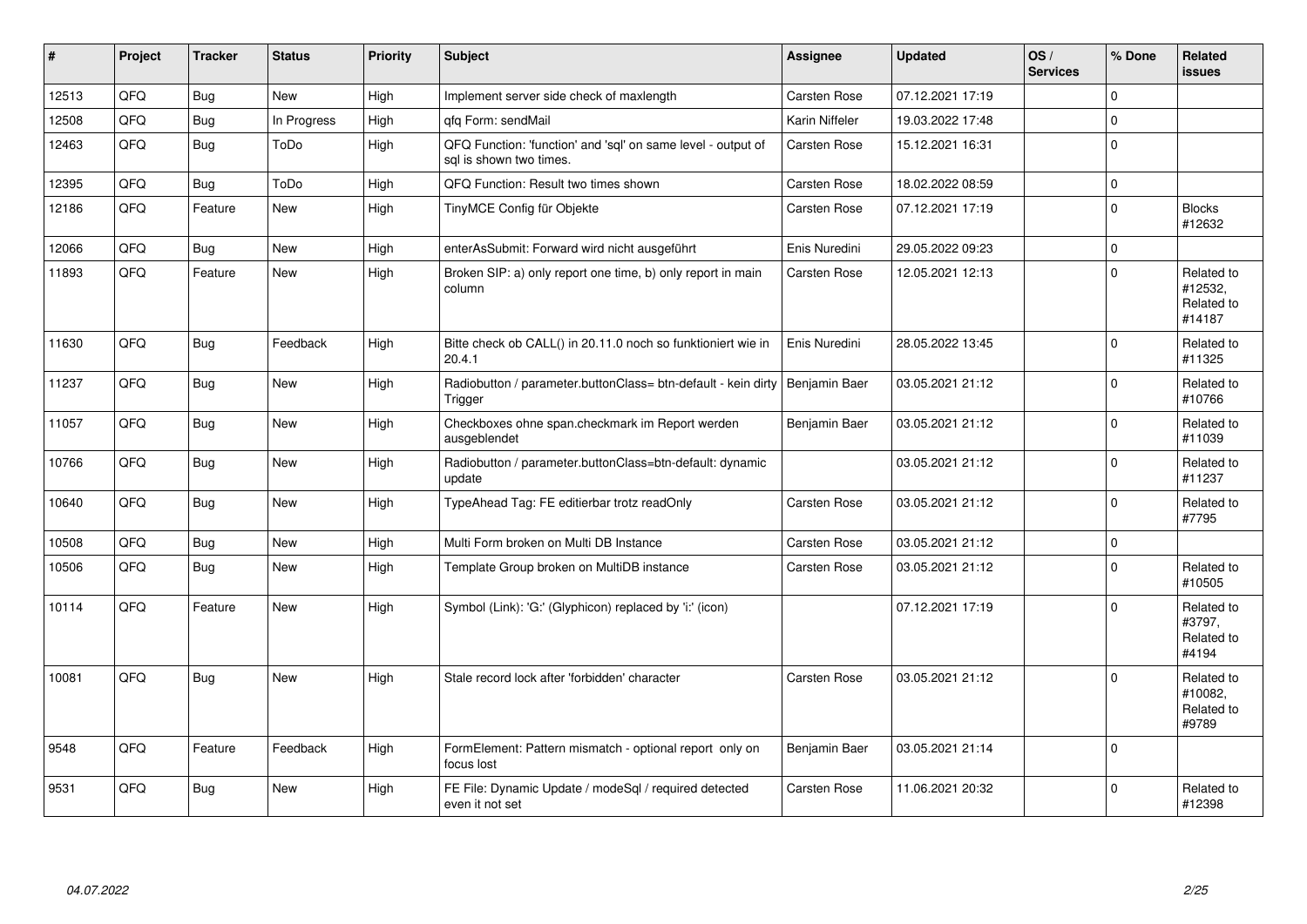| #     | Project | <b>Tracker</b> | <b>Status</b> | <b>Priority</b> | <b>Subject</b>                                                                          | <b>Assignee</b>     | <b>Updated</b>   | OS/<br><b>Services</b> | % Done       | Related<br><b>issues</b>                      |
|-------|---------|----------------|---------------|-----------------|-----------------------------------------------------------------------------------------|---------------------|------------------|------------------------|--------------|-----------------------------------------------|
| 12513 | QFQ     | Bug            | <b>New</b>    | High            | Implement server side check of maxlength                                                | Carsten Rose        | 07.12.2021 17:19 |                        | $\Omega$     |                                               |
| 12508 | QFQ     | <b>Bug</b>     | In Progress   | High            | gfg Form: sendMail                                                                      | Karin Niffeler      | 19.03.2022 17:48 |                        | $\mathbf 0$  |                                               |
| 12463 | QFQ     | <b>Bug</b>     | ToDo          | High            | QFQ Function: 'function' and 'sql' on same level - output of<br>sql is shown two times. | Carsten Rose        | 15.12.2021 16:31 |                        | $\mathbf{0}$ |                                               |
| 12395 | QFQ     | Bug            | ToDo          | High            | QFQ Function: Result two times shown                                                    | <b>Carsten Rose</b> | 18.02.2022 08:59 |                        | $\mathbf 0$  |                                               |
| 12186 | QFQ     | Feature        | <b>New</b>    | High            | TinyMCE Config für Objekte                                                              | Carsten Rose        | 07.12.2021 17:19 |                        | $\mathbf{0}$ | <b>Blocks</b><br>#12632                       |
| 12066 | QFQ     | <b>Bug</b>     | <b>New</b>    | High            | enterAsSubmit: Forward wird nicht ausgeführt                                            | Enis Nuredini       | 29.05.2022 09:23 |                        | $\mathbf 0$  |                                               |
| 11893 | QFQ     | Feature        | <b>New</b>    | High            | Broken SIP: a) only report one time, b) only report in main<br>column                   | Carsten Rose        | 12.05.2021 12:13 |                        | $\Omega$     | Related to<br>#12532.<br>Related to<br>#14187 |
| 11630 | QFQ     | Bug            | Feedback      | High            | Bitte check ob CALL() in 20.11.0 noch so funktioniert wie in<br>20.4.1                  | Enis Nuredini       | 28.05.2022 13:45 |                        | $\Omega$     | Related to<br>#11325                          |
| 11237 | QFQ     | Bug            | <b>New</b>    | High            | Radiobutton / parameter.buttonClass= btn-default - kein dirty<br>Trigger                | Benjamin Baer       | 03.05.2021 21:12 |                        | $\Omega$     | Related to<br>#10766                          |
| 11057 | QFQ     | Bug            | <b>New</b>    | High            | Checkboxes ohne span.checkmark im Report werden<br>ausgeblendet                         | Benjamin Baer       | 03.05.2021 21:12 |                        | $\mathbf 0$  | Related to<br>#11039                          |
| 10766 | QFQ     | Bug            | <b>New</b>    | High            | Radiobutton / parameter.buttonClass=btn-default: dynamic<br>update                      |                     | 03.05.2021 21:12 |                        | $\mathbf{0}$ | Related to<br>#11237                          |
| 10640 | QFQ     | Bug            | <b>New</b>    | High            | TypeAhead Tag: FE editierbar trotz readOnly                                             | Carsten Rose        | 03.05.2021 21:12 |                        | $\Omega$     | Related to<br>#7795                           |
| 10508 | QFQ     | Bug            | <b>New</b>    | High            | Multi Form broken on Multi DB Instance                                                  | <b>Carsten Rose</b> | 03.05.2021 21:12 |                        | $\mathbf 0$  |                                               |
| 10506 | QFQ     | Bug            | <b>New</b>    | High            | Template Group broken on MultiDB instance                                               | Carsten Rose        | 03.05.2021 21:12 |                        | $\mathbf{0}$ | Related to<br>#10505                          |
| 10114 | QFQ     | Feature        | <b>New</b>    | High            | Symbol (Link): 'G:' (Glyphicon) replaced by 'i:' (icon)                                 |                     | 07.12.2021 17:19 |                        | $\mathbf{0}$ | Related to<br>#3797,<br>Related to<br>#4194   |
| 10081 | QFQ     | <b>Bug</b>     | <b>New</b>    | High            | Stale record lock after 'forbidden' character                                           | Carsten Rose        | 03.05.2021 21:12 |                        | $\Omega$     | Related to<br>#10082,<br>Related to<br>#9789  |
| 9548  | QFQ     | Feature        | Feedback      | High            | FormElement: Pattern mismatch - optional report only on<br>focus lost                   | Benjamin Baer       | 03.05.2021 21:14 |                        | $\mathbf 0$  |                                               |
| 9531  | QFQ     | Bug            | <b>New</b>    | High            | FE File: Dynamic Update / modeSgl / required detected<br>even it not set                | Carsten Rose        | 11.06.2021 20:32 |                        | $\Omega$     | Related to<br>#12398                          |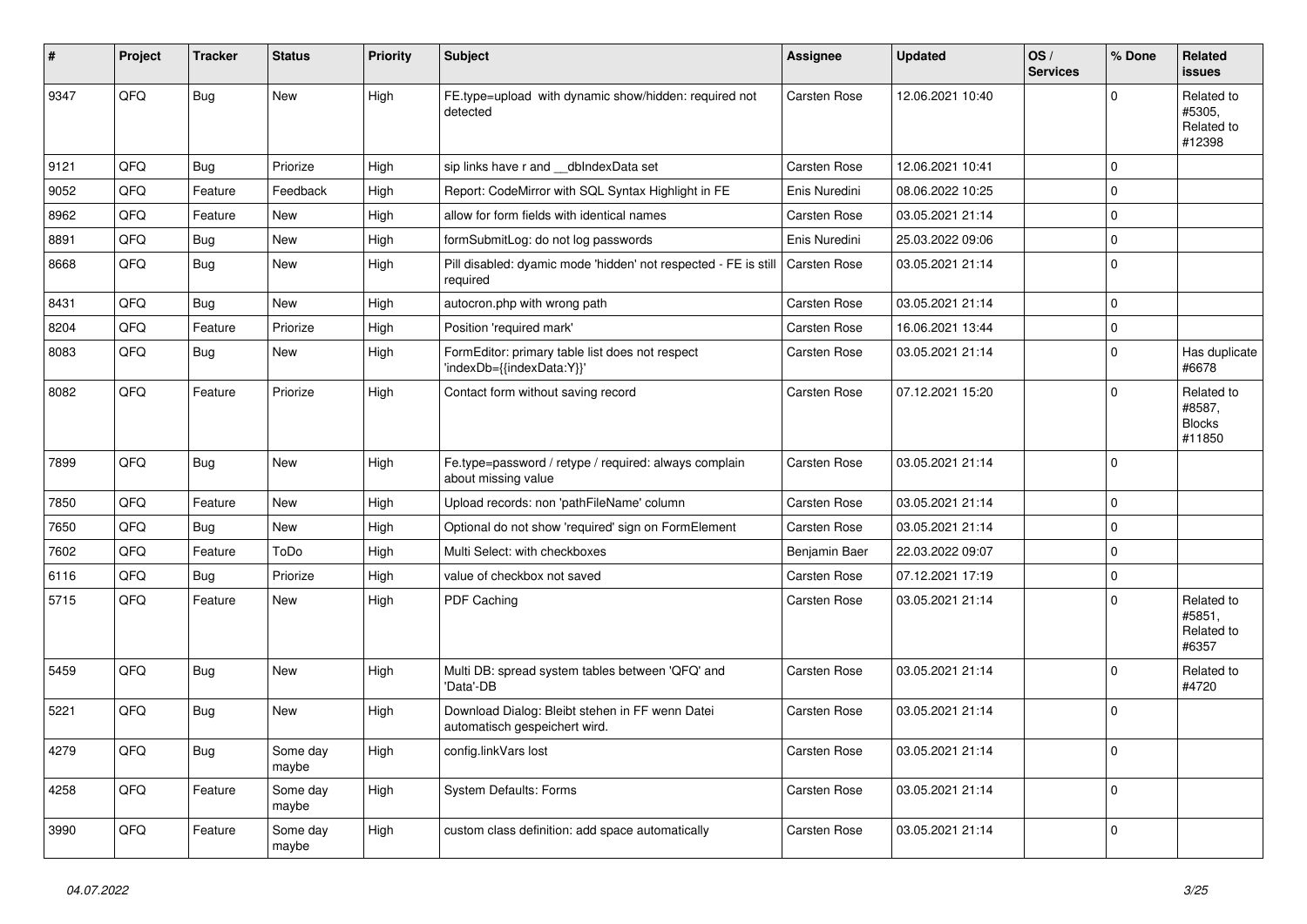| ∦    | Project | <b>Tracker</b> | <b>Status</b>     | <b>Priority</b> | <b>Subject</b>                                                                   | <b>Assignee</b>     | <b>Updated</b>   | OS/<br><b>Services</b> | % Done         | Related<br><b>issues</b>                        |
|------|---------|----------------|-------------------|-----------------|----------------------------------------------------------------------------------|---------------------|------------------|------------------------|----------------|-------------------------------------------------|
| 9347 | QFQ     | Bug            | New               | High            | FE.type=upload with dynamic show/hidden: required not<br>detected                | Carsten Rose        | 12.06.2021 10:40 |                        | $\Omega$       | Related to<br>#5305,<br>Related to<br>#12398    |
| 9121 | QFQ     | <b>Bug</b>     | Priorize          | High            | sip links have r and __dbIndexData set                                           | <b>Carsten Rose</b> | 12.06.2021 10:41 |                        | $\Omega$       |                                                 |
| 9052 | QFQ     | Feature        | Feedback          | High            | Report: CodeMirror with SQL Syntax Highlight in FE                               | Enis Nuredini       | 08.06.2022 10:25 |                        | $\Omega$       |                                                 |
| 8962 | QFQ     | Feature        | <b>New</b>        | High            | allow for form fields with identical names                                       | Carsten Rose        | 03.05.2021 21:14 |                        | $\Omega$       |                                                 |
| 8891 | QFQ     | <b>Bug</b>     | <b>New</b>        | High            | formSubmitLog: do not log passwords                                              | Enis Nuredini       | 25.03.2022 09:06 |                        | $\Omega$       |                                                 |
| 8668 | QFQ     | <b>Bug</b>     | <b>New</b>        | High            | Pill disabled: dyamic mode 'hidden' not respected - FE is still<br>required      | Carsten Rose        | 03.05.2021 21:14 |                        | $\Omega$       |                                                 |
| 8431 | QFQ     | Bug            | <b>New</b>        | High            | autocron.php with wrong path                                                     | Carsten Rose        | 03.05.2021 21:14 |                        | $\mathbf 0$    |                                                 |
| 8204 | QFQ     | Feature        | Priorize          | High            | Position 'required mark'                                                         | Carsten Rose        | 16.06.2021 13:44 |                        | $\mathbf 0$    |                                                 |
| 8083 | QFQ     | <b>Bug</b>     | New               | High            | FormEditor: primary table list does not respect<br>'indexDb={{indexData:Y}}'     | Carsten Rose        | 03.05.2021 21:14 |                        | $\mathbf 0$    | Has duplicate<br>#6678                          |
| 8082 | QFQ     | Feature        | Priorize          | High            | Contact form without saving record                                               | Carsten Rose        | 07.12.2021 15:20 |                        | $\Omega$       | Related to<br>#8587,<br><b>Blocks</b><br>#11850 |
| 7899 | QFQ     | <b>Bug</b>     | <b>New</b>        | High            | Fe.type=password / retype / required: always complain<br>about missing value     | Carsten Rose        | 03.05.2021 21:14 |                        | $\Omega$       |                                                 |
| 7850 | QFQ     | Feature        | New               | High            | Upload records: non 'pathFileName' column                                        | Carsten Rose        | 03.05.2021 21:14 |                        | $\mathbf 0$    |                                                 |
| 7650 | QFQ     | <b>Bug</b>     | New               | High            | Optional do not show 'required' sign on FormElement                              | <b>Carsten Rose</b> | 03.05.2021 21:14 |                        | $\Omega$       |                                                 |
| 7602 | QFQ     | Feature        | ToDo              | High            | Multi Select: with checkboxes                                                    | Benjamin Baer       | 22.03.2022 09:07 |                        | $\mathbf 0$    |                                                 |
| 6116 | QFQ     | Bug            | Priorize          | High            | value of checkbox not saved                                                      | Carsten Rose        | 07.12.2021 17:19 |                        | $\overline{0}$ |                                                 |
| 5715 | QFQ     | Feature        | <b>New</b>        | High            | PDF Caching                                                                      | <b>Carsten Rose</b> | 03.05.2021 21:14 |                        | $\mathbf 0$    | Related to<br>#5851,<br>Related to<br>#6357     |
| 5459 | QFQ     | <b>Bug</b>     | <b>New</b>        | High            | Multi DB: spread system tables between 'QFQ' and<br>'Data'-DB                    | Carsten Rose        | 03.05.2021 21:14 |                        | $\Omega$       | Related to<br>#4720                             |
| 5221 | QFQ     | Bug            | New               | High            | Download Dialog: Bleibt stehen in FF wenn Datei<br>automatisch gespeichert wird. | Carsten Rose        | 03.05.2021 21:14 |                        | $\mathbf 0$    |                                                 |
| 4279 | QFQ     | <b>Bug</b>     | Some day<br>maybe | High            | config.linkVars lost                                                             | Carsten Rose        | 03.05.2021 21:14 |                        | $\Omega$       |                                                 |
| 4258 | QFQ     | Feature        | Some day<br>maybe | High            | <b>System Defaults: Forms</b>                                                    | Carsten Rose        | 03.05.2021 21:14 |                        | $\mathbf 0$    |                                                 |
| 3990 | QFQ     | Feature        | Some day<br>maybe | High            | custom class definition: add space automatically                                 | Carsten Rose        | 03.05.2021 21:14 |                        | $\mathbf 0$    |                                                 |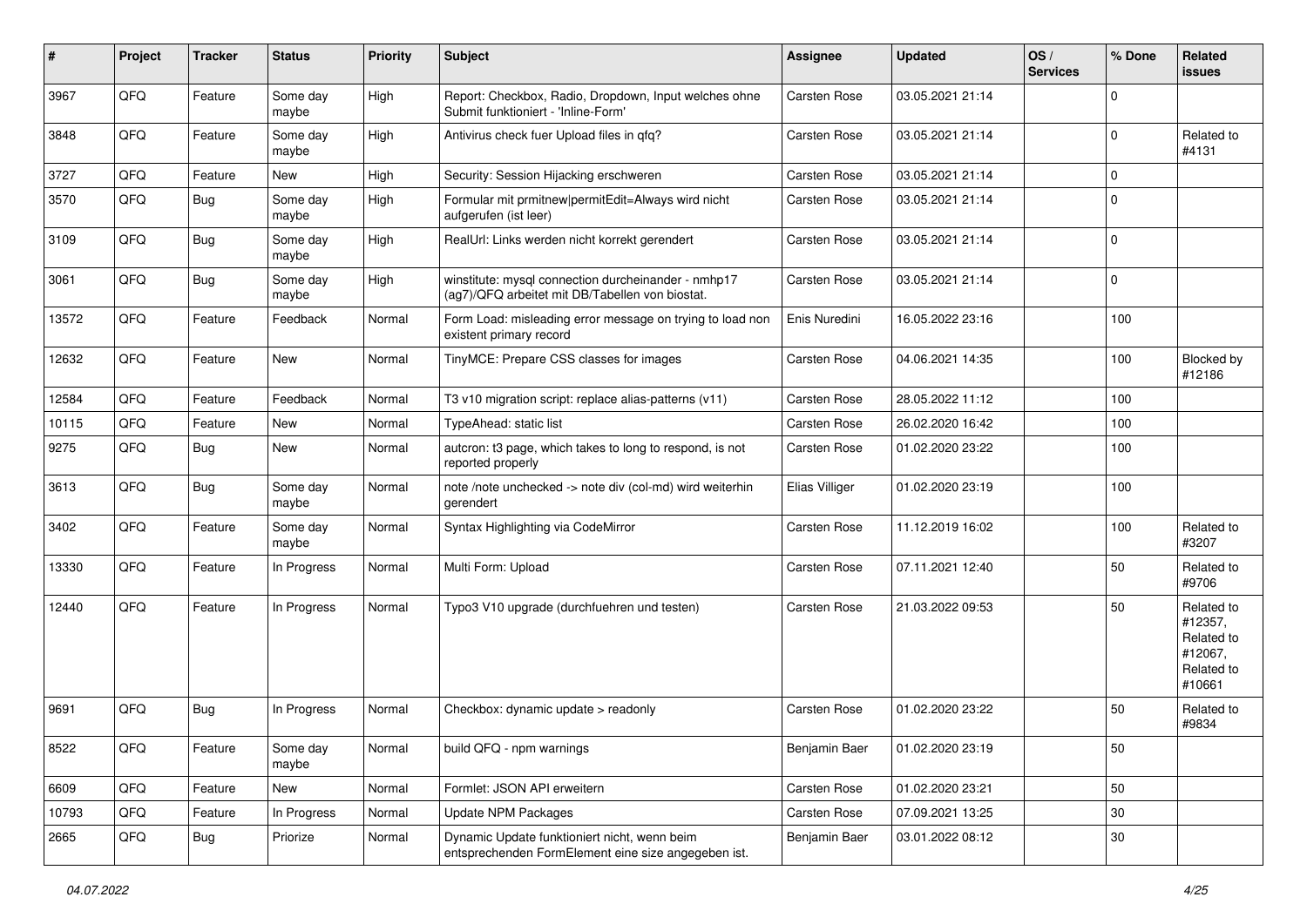| ∦     | Project | <b>Tracker</b> | <b>Status</b>     | <b>Priority</b> | Subject                                                                                                | <b>Assignee</b> | <b>Updated</b>   | OS/<br><b>Services</b> | % Done   | <b>Related</b><br>issues                                               |
|-------|---------|----------------|-------------------|-----------------|--------------------------------------------------------------------------------------------------------|-----------------|------------------|------------------------|----------|------------------------------------------------------------------------|
| 3967  | QFQ     | Feature        | Some day<br>maybe | High            | Report: Checkbox, Radio, Dropdown, Input welches ohne<br>Submit funktioniert - 'Inline-Form'           | Carsten Rose    | 03.05.2021 21:14 |                        | $\Omega$ |                                                                        |
| 3848  | QFQ     | Feature        | Some day<br>maybe | High            | Antivirus check fuer Upload files in qfq?                                                              | Carsten Rose    | 03.05.2021 21:14 |                        | $\Omega$ | Related to<br>#4131                                                    |
| 3727  | QFQ     | Feature        | New               | High            | Security: Session Hijacking erschweren                                                                 | Carsten Rose    | 03.05.2021 21:14 |                        | $\Omega$ |                                                                        |
| 3570  | QFQ     | Bug            | Some day<br>maybe | High            | Formular mit prmitnew permitEdit=Always wird nicht<br>aufgerufen (ist leer)                            | Carsten Rose    | 03.05.2021 21:14 |                        | $\Omega$ |                                                                        |
| 3109  | QFQ     | <b>Bug</b>     | Some day<br>maybe | High            | RealUrl: Links werden nicht korrekt gerendert                                                          | Carsten Rose    | 03.05.2021 21:14 |                        | $\Omega$ |                                                                        |
| 3061  | QFQ     | <b>Bug</b>     | Some day<br>maybe | High            | winstitute: mysql connection durcheinander - nmhp17<br>(ag7)/QFQ arbeitet mit DB/Tabellen von biostat. | Carsten Rose    | 03.05.2021 21:14 |                        | 0        |                                                                        |
| 13572 | QFQ     | Feature        | Feedback          | Normal          | Form Load: misleading error message on trying to load non<br>existent primary record                   | Enis Nuredini   | 16.05.2022 23:16 |                        | 100      |                                                                        |
| 12632 | QFQ     | Feature        | <b>New</b>        | Normal          | TinyMCE: Prepare CSS classes for images                                                                | Carsten Rose    | 04.06.2021 14:35 |                        | 100      | <b>Blocked by</b><br>#12186                                            |
| 12584 | QFQ     | Feature        | Feedback          | Normal          | T3 v10 migration script: replace alias-patterns (v11)                                                  | Carsten Rose    | 28.05.2022 11:12 |                        | 100      |                                                                        |
| 10115 | QFQ     | Feature        | New               | Normal          | TypeAhead: static list                                                                                 | Carsten Rose    | 26.02.2020 16:42 |                        | 100      |                                                                        |
| 9275  | QFQ     | <b>Bug</b>     | <b>New</b>        | Normal          | autcron: t3 page, which takes to long to respond, is not<br>reported properly                          | Carsten Rose    | 01.02.2020 23:22 |                        | 100      |                                                                        |
| 3613  | QFQ     | Bug            | Some day<br>maybe | Normal          | note /note unchecked -> note div (col-md) wird weiterhin<br>gerendert                                  | Elias Villiger  | 01.02.2020 23:19 |                        | 100      |                                                                        |
| 3402  | QFQ     | Feature        | Some day<br>maybe | Normal          | Syntax Highlighting via CodeMirror                                                                     | Carsten Rose    | 11.12.2019 16:02 |                        | 100      | Related to<br>#3207                                                    |
| 13330 | QFQ     | Feature        | In Progress       | Normal          | Multi Form: Upload                                                                                     | Carsten Rose    | 07.11.2021 12:40 |                        | 50       | Related to<br>#9706                                                    |
| 12440 | QFQ     | Feature        | In Progress       | Normal          | Typo3 V10 upgrade (durchfuehren und testen)                                                            | Carsten Rose    | 21.03.2022 09:53 |                        | 50       | Related to<br>#12357,<br>Related to<br>#12067,<br>Related to<br>#10661 |
| 9691  | QFQ     | <b>Bug</b>     | In Progress       | Normal          | Checkbox: dynamic update > readonly                                                                    | Carsten Rose    | 01.02.2020 23:22 |                        | 50       | Related to<br>#9834                                                    |
| 8522  | QFQ     | Feature        | Some day<br>maybe | Normal          | build QFQ - npm warnings                                                                               | Benjamin Baer   | 01.02.2020 23:19 |                        | 50       |                                                                        |
| 6609  | QFQ     | Feature        | New               | Normal          | Formlet: JSON API erweitern                                                                            | Carsten Rose    | 01.02.2020 23:21 |                        | 50       |                                                                        |
| 10793 | QFQ     | Feature        | In Progress       | Normal          | <b>Update NPM Packages</b>                                                                             | Carsten Rose    | 07.09.2021 13:25 |                        | $30\,$   |                                                                        |
| 2665  | QFQ     | Bug            | Priorize          | Normal          | Dynamic Update funktioniert nicht, wenn beim<br>entsprechenden FormElement eine size angegeben ist.    | Benjamin Baer   | 03.01.2022 08:12 |                        | $30\,$   |                                                                        |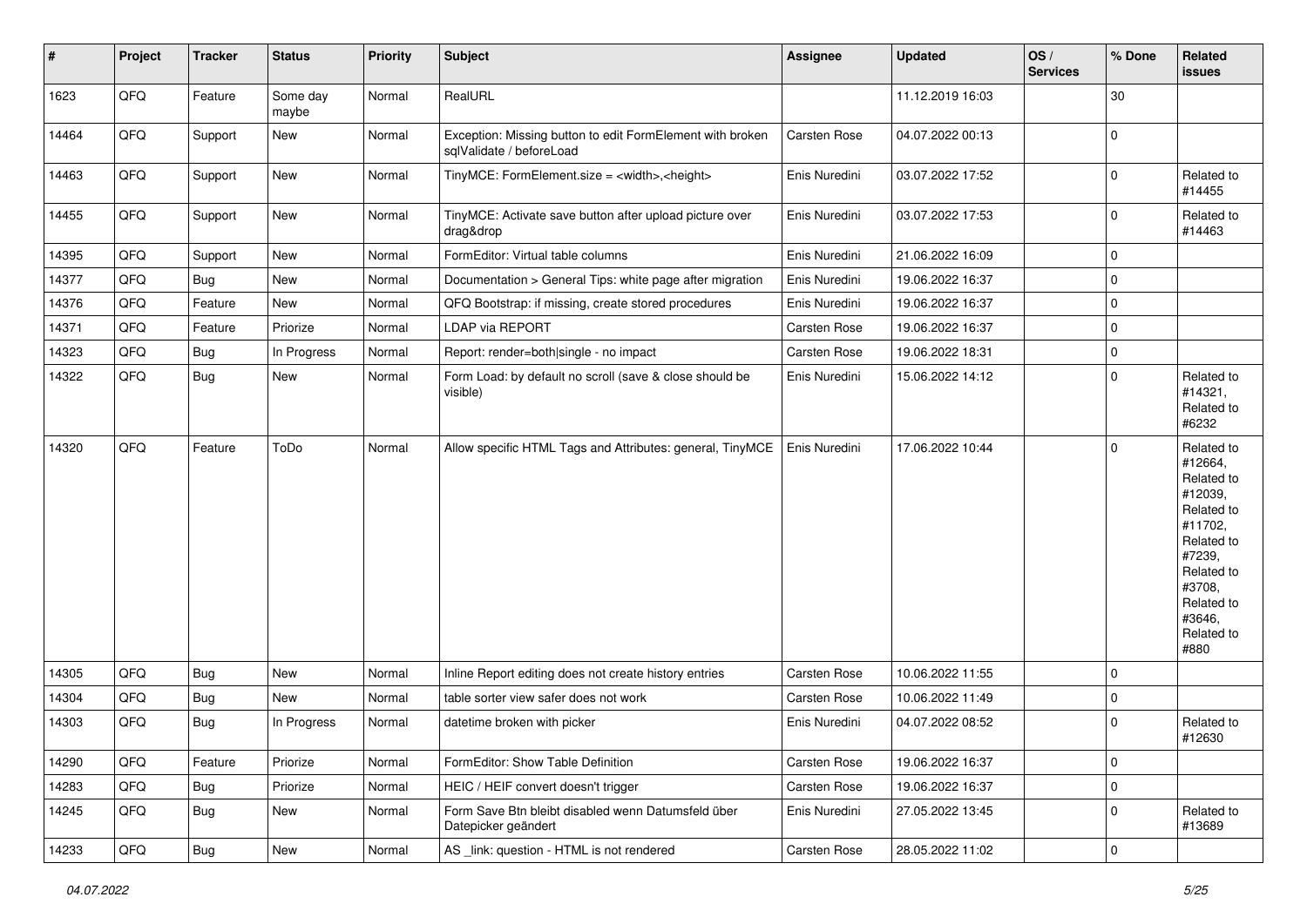| #     | Project | <b>Tracker</b> | <b>Status</b>     | <b>Priority</b> | <b>Subject</b>                                                                        | <b>Assignee</b> | <b>Updated</b>   | OS/<br><b>Services</b> | % Done      | Related<br>issues                                                                                                                                                     |
|-------|---------|----------------|-------------------|-----------------|---------------------------------------------------------------------------------------|-----------------|------------------|------------------------|-------------|-----------------------------------------------------------------------------------------------------------------------------------------------------------------------|
| 1623  | QFQ     | Feature        | Some day<br>maybe | Normal          | RealURL                                                                               |                 | 11.12.2019 16:03 |                        | 30          |                                                                                                                                                                       |
| 14464 | QFQ     | Support        | New               | Normal          | Exception: Missing button to edit FormElement with broken<br>sqlValidate / beforeLoad | Carsten Rose    | 04.07.2022 00:13 |                        | $\mathbf 0$ |                                                                                                                                                                       |
| 14463 | QFQ     | Support        | <b>New</b>        | Normal          | TinyMCE: FormElement.size = <width>,<height></height></width>                         | Enis Nuredini   | 03.07.2022 17:52 |                        | 0           | Related to<br>#14455                                                                                                                                                  |
| 14455 | QFQ     | Support        | New               | Normal          | TinyMCE: Activate save button after upload picture over<br>drag&drop                  | Enis Nuredini   | 03.07.2022 17:53 |                        | 0           | Related to<br>#14463                                                                                                                                                  |
| 14395 | QFQ     | Support        | New               | Normal          | FormEditor: Virtual table columns                                                     | Enis Nuredini   | 21.06.2022 16:09 |                        | $\mathbf 0$ |                                                                                                                                                                       |
| 14377 | QFQ     | <b>Bug</b>     | New               | Normal          | Documentation > General Tips: white page after migration                              | Enis Nuredini   | 19.06.2022 16:37 |                        | $\mathbf 0$ |                                                                                                                                                                       |
| 14376 | QFQ     | Feature        | New               | Normal          | QFQ Bootstrap: if missing, create stored procedures                                   | Enis Nuredini   | 19.06.2022 16:37 |                        | $\mathbf 0$ |                                                                                                                                                                       |
| 14371 | QFQ     | Feature        | Priorize          | Normal          | LDAP via REPORT                                                                       | Carsten Rose    | 19.06.2022 16:37 |                        | $\mathbf 0$ |                                                                                                                                                                       |
| 14323 | QFQ     | Bug            | In Progress       | Normal          | Report: render=both single - no impact                                                | Carsten Rose    | 19.06.2022 18:31 |                        | $\pmb{0}$   |                                                                                                                                                                       |
| 14322 | QFQ     | Bug            | New               | Normal          | Form Load: by default no scroll (save & close should be<br>visible)                   | Enis Nuredini   | 15.06.2022 14:12 |                        | $\mathbf 0$ | Related to<br>#14321,<br>Related to<br>#6232                                                                                                                          |
| 14320 | QFQ     | Feature        | ToDo              | Normal          | Allow specific HTML Tags and Attributes: general, TinyMCE                             | Enis Nuredini   | 17.06.2022 10:44 |                        | $\mathbf 0$ | Related to<br>#12664,<br>Related to<br>#12039,<br>Related to<br>#11702,<br>Related to<br>#7239,<br>Related to<br>#3708,<br>Related to<br>#3646.<br>Related to<br>#880 |
| 14305 | QFQ     | <b>Bug</b>     | <b>New</b>        | Normal          | Inline Report editing does not create history entries                                 | Carsten Rose    | 10.06.2022 11:55 |                        | $\mathbf 0$ |                                                                                                                                                                       |
| 14304 | QFQ     | Bug            | <b>New</b>        | Normal          | table sorter view safer does not work                                                 | Carsten Rose    | 10.06.2022 11:49 |                        | $\pmb{0}$   |                                                                                                                                                                       |
| 14303 | QFQ     | Bug            | In Progress       | Normal          | datetime broken with picker                                                           | Enis Nuredini   | 04.07.2022 08:52 |                        | $\mathbf 0$ | Related to<br>#12630                                                                                                                                                  |
| 14290 | QFQ     | Feature        | Priorize          | Normal          | FormEditor: Show Table Definition                                                     | Carsten Rose    | 19.06.2022 16:37 |                        | $\mathbf 0$ |                                                                                                                                                                       |
| 14283 | QFQ     | Bug            | Priorize          | Normal          | HEIC / HEIF convert doesn't trigger                                                   | Carsten Rose    | 19.06.2022 16:37 |                        | $\pmb{0}$   |                                                                                                                                                                       |
| 14245 | QFQ     | <b>Bug</b>     | New               | Normal          | Form Save Btn bleibt disabled wenn Datumsfeld über<br>Datepicker geändert             | Enis Nuredini   | 27.05.2022 13:45 |                        | $\pmb{0}$   | Related to<br>#13689                                                                                                                                                  |
| 14233 | QFQ     | i Bug          | New               | Normal          | AS _link: question - HTML is not rendered                                             | Carsten Rose    | 28.05.2022 11:02 |                        | $\pmb{0}$   |                                                                                                                                                                       |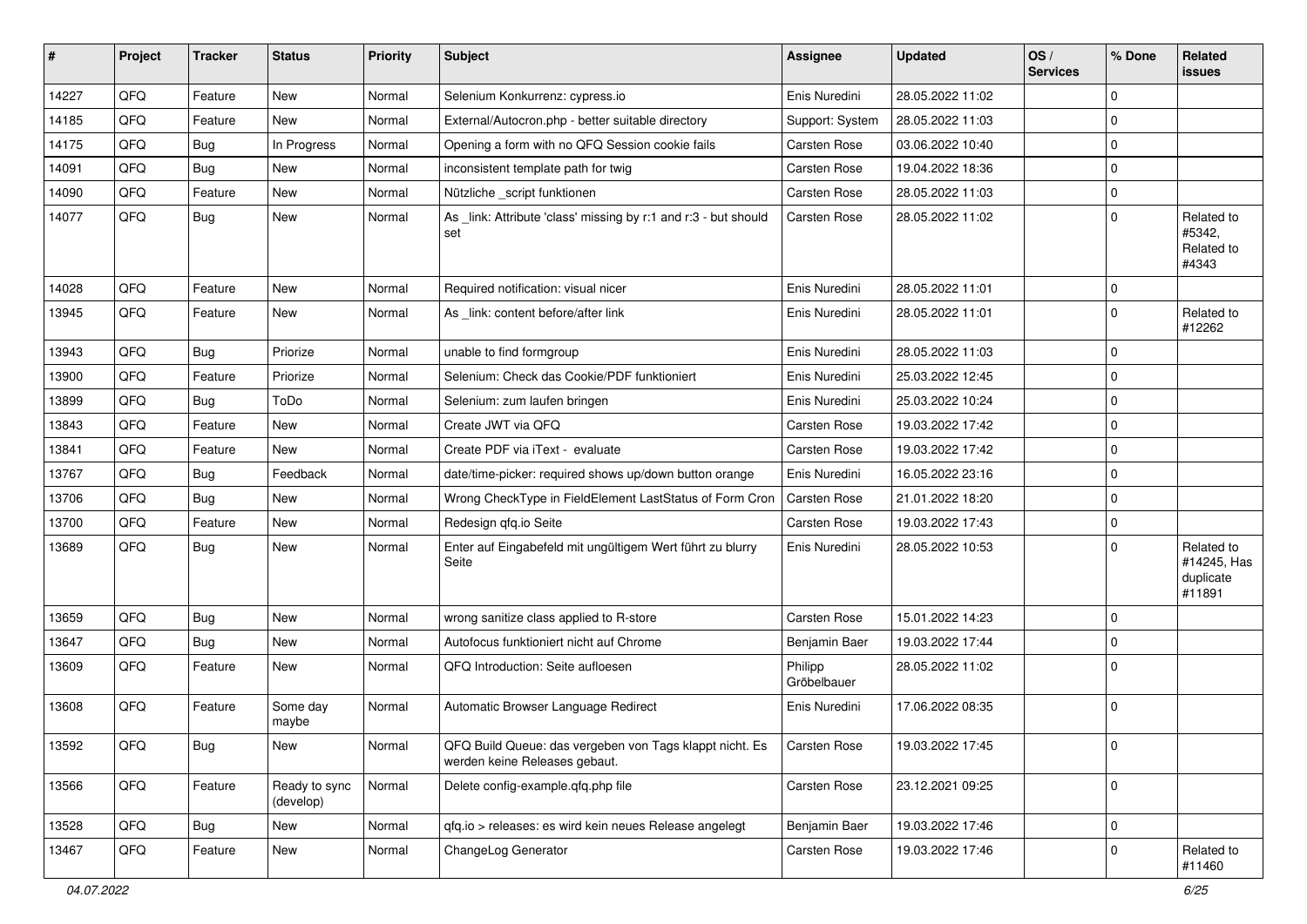| #     | Project | <b>Tracker</b> | <b>Status</b>              | <b>Priority</b> | <b>Subject</b>                                                                           | <b>Assignee</b>        | <b>Updated</b>   | OS/<br><b>Services</b> | % Done       | Related<br><b>issues</b>                         |
|-------|---------|----------------|----------------------------|-----------------|------------------------------------------------------------------------------------------|------------------------|------------------|------------------------|--------------|--------------------------------------------------|
| 14227 | QFQ     | Feature        | <b>New</b>                 | Normal          | Selenium Konkurrenz: cypress.io                                                          | Enis Nuredini          | 28.05.2022 11:02 |                        | 0            |                                                  |
| 14185 | QFQ     | Feature        | New                        | Normal          | External/Autocron.php - better suitable directory                                        | Support: System        | 28.05.2022 11:03 |                        | 0            |                                                  |
| 14175 | QFQ     | <b>Bug</b>     | In Progress                | Normal          | Opening a form with no QFQ Session cookie fails                                          | Carsten Rose           | 03.06.2022 10:40 |                        | 0            |                                                  |
| 14091 | QFQ     | Bug            | <b>New</b>                 | Normal          | inconsistent template path for twig                                                      | Carsten Rose           | 19.04.2022 18:36 |                        | 0            |                                                  |
| 14090 | QFQ     | Feature        | <b>New</b>                 | Normal          | Nützliche _script funktionen                                                             | Carsten Rose           | 28.05.2022 11:03 |                        | 0            |                                                  |
| 14077 | QFQ     | <b>Bug</b>     | <b>New</b>                 | Normal          | As _link: Attribute 'class' missing by r:1 and r:3 - but should<br>set                   | Carsten Rose           | 28.05.2022 11:02 |                        | 0            | Related to<br>#5342,<br>Related to<br>#4343      |
| 14028 | QFQ     | Feature        | New                        | Normal          | Required notification: visual nicer                                                      | Enis Nuredini          | 28.05.2022 11:01 |                        | 0            |                                                  |
| 13945 | QFQ     | Feature        | New                        | Normal          | As _link: content before/after link                                                      | Enis Nuredini          | 28.05.2022 11:01 |                        | 0            | Related to<br>#12262                             |
| 13943 | QFQ     | Bug            | Priorize                   | Normal          | unable to find formgroup                                                                 | Enis Nuredini          | 28.05.2022 11:03 |                        | 0            |                                                  |
| 13900 | QFQ     | Feature        | Priorize                   | Normal          | Selenium: Check das Cookie/PDF funktioniert                                              | Enis Nuredini          | 25.03.2022 12:45 |                        | 0            |                                                  |
| 13899 | QFQ     | Bug            | ToDo                       | Normal          | Selenium: zum laufen bringen                                                             | Enis Nuredini          | 25.03.2022 10:24 |                        | 0            |                                                  |
| 13843 | QFQ     | Feature        | <b>New</b>                 | Normal          | Create JWT via QFQ                                                                       | Carsten Rose           | 19.03.2022 17:42 |                        | 0            |                                                  |
| 13841 | QFQ     | Feature        | <b>New</b>                 | Normal          | Create PDF via iText - evaluate                                                          | <b>Carsten Rose</b>    | 19.03.2022 17:42 |                        | 0            |                                                  |
| 13767 | QFQ     | <b>Bug</b>     | Feedback                   | Normal          | date/time-picker: required shows up/down button orange                                   | Enis Nuredini          | 16.05.2022 23:16 |                        | 0            |                                                  |
| 13706 | QFQ     | <b>Bug</b>     | <b>New</b>                 | Normal          | Wrong CheckType in FieldElement LastStatus of Form Cron                                  | <b>Carsten Rose</b>    | 21.01.2022 18:20 |                        | 0            |                                                  |
| 13700 | QFQ     | Feature        | <b>New</b>                 | Normal          | Redesign qfq.io Seite                                                                    | Carsten Rose           | 19.03.2022 17:43 |                        | 0            |                                                  |
| 13689 | QFQ     | Bug            | <b>New</b>                 | Normal          | Enter auf Eingabefeld mit ungültigem Wert führt zu blurry<br>Seite                       | Enis Nuredini          | 28.05.2022 10:53 |                        | 0            | Related to<br>#14245, Has<br>duplicate<br>#11891 |
| 13659 | QFQ     | <b>Bug</b>     | <b>New</b>                 | Normal          | wrong sanitize class applied to R-store                                                  | <b>Carsten Rose</b>    | 15.01.2022 14:23 |                        | 0            |                                                  |
| 13647 | QFQ     | <b>Bug</b>     | <b>New</b>                 | Normal          | Autofocus funktioniert nicht auf Chrome                                                  | Benjamin Baer          | 19.03.2022 17:44 |                        | 0            |                                                  |
| 13609 | QFQ     | Feature        | New                        | Normal          | QFQ Introduction: Seite aufloesen                                                        | Philipp<br>Gröbelbauer | 28.05.2022 11:02 |                        | 0            |                                                  |
| 13608 | QFQ     | Feature        | Some day<br>maybe          | Normal          | Automatic Browser Language Redirect                                                      | Enis Nuredini          | 17.06.2022 08:35 |                        | 0            |                                                  |
| 13592 | QFQ     | <b>Bug</b>     | New                        | Normal          | QFQ Build Queue: das vergeben von Tags klappt nicht. Es<br>werden keine Releases gebaut. | Carsten Rose           | 19.03.2022 17:45 |                        | $\mathbf 0$  |                                                  |
| 13566 | QFQ     | Feature        | Ready to sync<br>(develop) | Normal          | Delete config-example.qfq.php file                                                       | Carsten Rose           | 23.12.2021 09:25 |                        | $\mathbf{0}$ |                                                  |
| 13528 | QFQ     | <b>Bug</b>     | New                        | Normal          | qfq.io > releases: es wird kein neues Release angelegt                                   | Benjamin Baer          | 19.03.2022 17:46 |                        | 0            |                                                  |
| 13467 | QFQ     | Feature        | New                        | Normal          | ChangeLog Generator                                                                      | Carsten Rose           | 19.03.2022 17:46 |                        | 0            | Related to<br>#11460                             |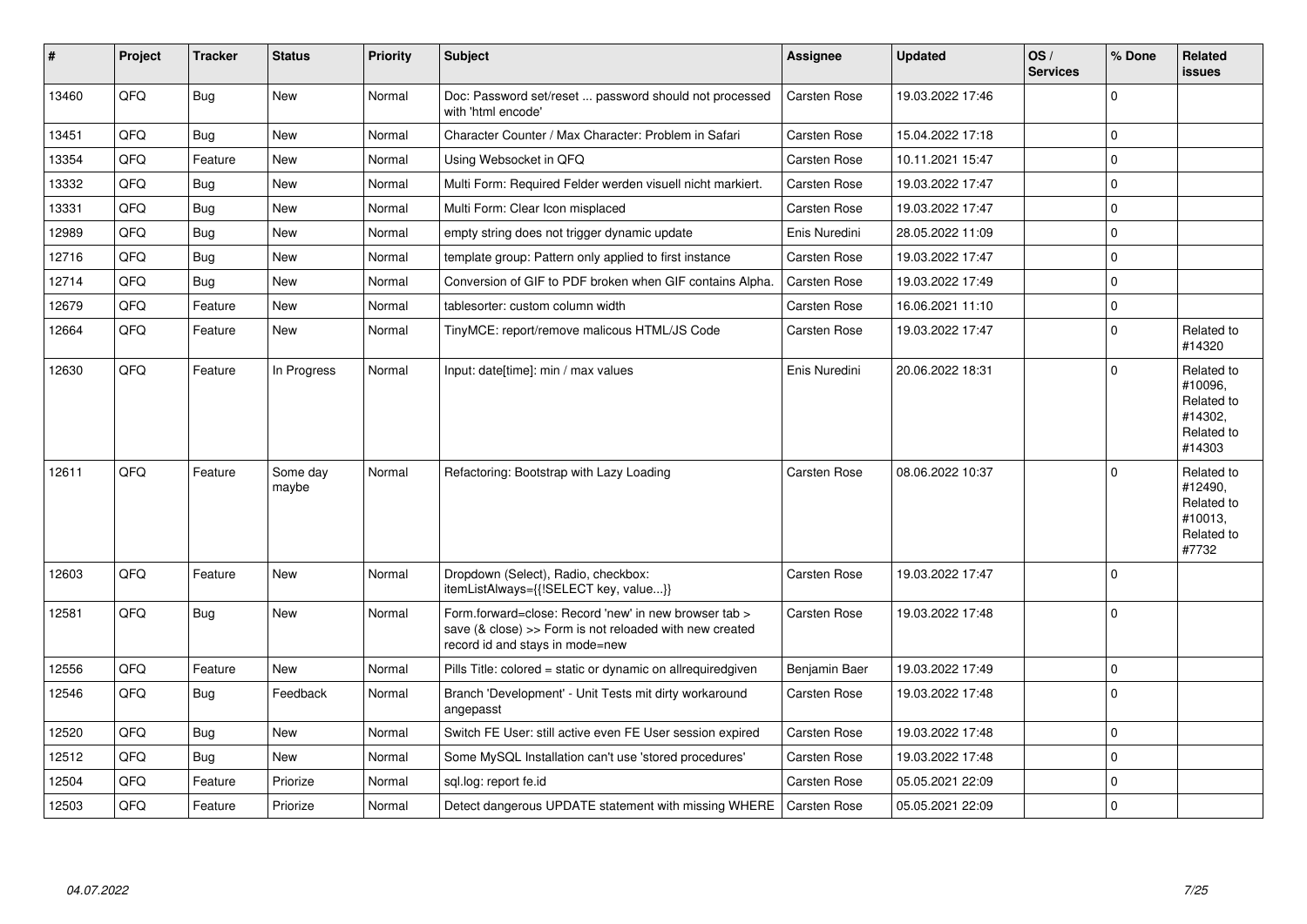| $\vert$ # | Project | <b>Tracker</b> | <b>Status</b>     | <b>Priority</b> | <b>Subject</b>                                                                                                                                      | Assignee            | <b>Updated</b>   | OS/<br><b>Services</b> | % Done         | Related<br><b>issues</b>                                               |
|-----------|---------|----------------|-------------------|-----------------|-----------------------------------------------------------------------------------------------------------------------------------------------------|---------------------|------------------|------------------------|----------------|------------------------------------------------------------------------|
| 13460     | QFQ     | Bug            | <b>New</b>        | Normal          | Doc: Password set/reset  password should not processed<br>with 'html encode'                                                                        | <b>Carsten Rose</b> | 19.03.2022 17:46 |                        | $\Omega$       |                                                                        |
| 13451     | QFQ     | Bug            | <b>New</b>        | Normal          | Character Counter / Max Character: Problem in Safari                                                                                                | Carsten Rose        | 15.04.2022 17:18 |                        | $\overline{0}$ |                                                                        |
| 13354     | QFQ     | Feature        | <b>New</b>        | Normal          | Using Websocket in QFQ                                                                                                                              | <b>Carsten Rose</b> | 10.11.2021 15:47 |                        | $\overline{0}$ |                                                                        |
| 13332     | QFQ     | Bug            | New               | Normal          | Multi Form: Required Felder werden visuell nicht markiert.                                                                                          | <b>Carsten Rose</b> | 19.03.2022 17:47 |                        | $\mathbf 0$    |                                                                        |
| 13331     | QFQ     | Bug            | <b>New</b>        | Normal          | Multi Form: Clear Icon misplaced                                                                                                                    | Carsten Rose        | 19.03.2022 17:47 |                        | $\mathbf 0$    |                                                                        |
| 12989     | QFQ     | <b>Bug</b>     | <b>New</b>        | Normal          | empty string does not trigger dynamic update                                                                                                        | Enis Nuredini       | 28.05.2022 11:09 |                        | $\mathbf{0}$   |                                                                        |
| 12716     | QFQ     | Bug            | <b>New</b>        | Normal          | template group: Pattern only applied to first instance                                                                                              | <b>Carsten Rose</b> | 19.03.2022 17:47 |                        | $\mathbf 0$    |                                                                        |
| 12714     | QFQ     | Bug            | <b>New</b>        | Normal          | Conversion of GIF to PDF broken when GIF contains Alpha.                                                                                            | <b>Carsten Rose</b> | 19.03.2022 17:49 |                        | $\overline{0}$ |                                                                        |
| 12679     | QFQ     | Feature        | <b>New</b>        | Normal          | tablesorter: custom column width                                                                                                                    | Carsten Rose        | 16.06.2021 11:10 |                        | $\mathbf 0$    |                                                                        |
| 12664     | QFQ     | Feature        | <b>New</b>        | Normal          | TinyMCE: report/remove malicous HTML/JS Code                                                                                                        | Carsten Rose        | 19.03.2022 17:47 |                        | $\Omega$       | Related to<br>#14320                                                   |
| 12630     | QFQ     | Feature        | In Progress       | Normal          | Input: date[time]: min / max values                                                                                                                 | Enis Nuredini       | 20.06.2022 18:31 |                        | $\Omega$       | Related to<br>#10096,<br>Related to<br>#14302.<br>Related to<br>#14303 |
| 12611     | QFQ     | Feature        | Some day<br>maybe | Normal          | Refactoring: Bootstrap with Lazy Loading                                                                                                            | Carsten Rose        | 08.06.2022 10:37 |                        | $\mathbf{0}$   | Related to<br>#12490,<br>Related to<br>#10013.<br>Related to<br>#7732  |
| 12603     | QFQ     | Feature        | <b>New</b>        | Normal          | Dropdown (Select), Radio, checkbox:<br>itemListAlways={{!SELECT key, value}}                                                                        | Carsten Rose        | 19.03.2022 17:47 |                        | $\mathbf{0}$   |                                                                        |
| 12581     | QFQ     | Bug            | <b>New</b>        | Normal          | Form.forward=close: Record 'new' in new browser tab ><br>save (& close) >> Form is not reloaded with new created<br>record id and stays in mode=new | Carsten Rose        | 19.03.2022 17:48 |                        | $\overline{0}$ |                                                                        |
| 12556     | QFQ     | Feature        | New               | Normal          | Pills Title: colored = static or dynamic on allrequiredgiven                                                                                        | Benjamin Baer       | 19.03.2022 17:49 |                        | $\mathbf 0$    |                                                                        |
| 12546     | QFQ     | Bug            | Feedback          | Normal          | Branch 'Development' - Unit Tests mit dirty workaround<br>angepasst                                                                                 | <b>Carsten Rose</b> | 19.03.2022 17:48 |                        | $\overline{0}$ |                                                                        |
| 12520     | QFQ     | Bug            | <b>New</b>        | Normal          | Switch FE User: still active even FE User session expired                                                                                           | <b>Carsten Rose</b> | 19.03.2022 17:48 |                        | $\overline{0}$ |                                                                        |
| 12512     | QFQ     | Bug            | <b>New</b>        | Normal          | Some MySQL Installation can't use 'stored procedures'                                                                                               | Carsten Rose        | 19.03.2022 17:48 |                        | $\overline{0}$ |                                                                        |
| 12504     | QFQ     | Feature        | Priorize          | Normal          | sql.log: report fe.id                                                                                                                               | Carsten Rose        | 05.05.2021 22:09 |                        | $\overline{0}$ |                                                                        |
| 12503     | QFQ     | Feature        | Priorize          | Normal          | Detect dangerous UPDATE statement with missing WHERE                                                                                                | <b>Carsten Rose</b> | 05.05.2021 22:09 |                        | $\mathbf{0}$   |                                                                        |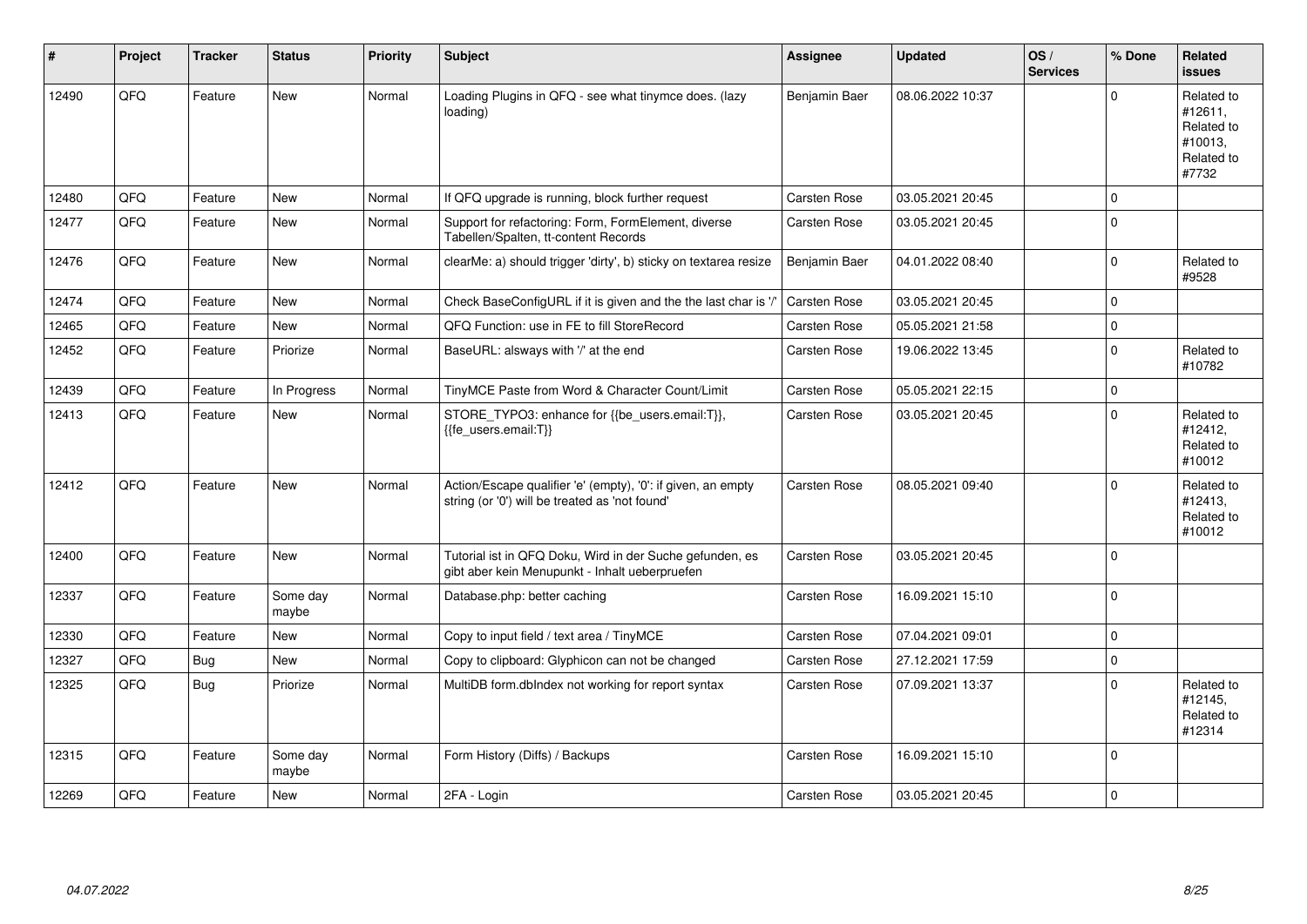| #     | Project | <b>Tracker</b> | <b>Status</b>     | <b>Priority</b> | <b>Subject</b>                                                                                                 | <b>Assignee</b>     | <b>Updated</b>   | OS/<br><b>Services</b> | % Done      | Related<br><b>issues</b>                                              |
|-------|---------|----------------|-------------------|-----------------|----------------------------------------------------------------------------------------------------------------|---------------------|------------------|------------------------|-------------|-----------------------------------------------------------------------|
| 12490 | QFQ     | Feature        | <b>New</b>        | Normal          | Loading Plugins in QFQ - see what tinymce does. (lazy<br>loading)                                              | Benjamin Baer       | 08.06.2022 10:37 |                        | $\Omega$    | Related to<br>#12611,<br>Related to<br>#10013,<br>Related to<br>#7732 |
| 12480 | QFQ     | Feature        | <b>New</b>        | Normal          | If QFQ upgrade is running, block further request                                                               | Carsten Rose        | 03.05.2021 20:45 |                        | $\Omega$    |                                                                       |
| 12477 | QFQ     | Feature        | New               | Normal          | Support for refactoring: Form, FormElement, diverse<br>Tabellen/Spalten, tt-content Records                    | Carsten Rose        | 03.05.2021 20:45 |                        | $\mathbf 0$ |                                                                       |
| 12476 | QFQ     | Feature        | <b>New</b>        | Normal          | clearMe: a) should trigger 'dirty', b) sticky on textarea resize                                               | Benjamin Baer       | 04.01.2022 08:40 |                        | $\Omega$    | Related to<br>#9528                                                   |
| 12474 | QFQ     | Feature        | <b>New</b>        | Normal          | Check BaseConfigURL if it is given and the the last char is '/'                                                | <b>Carsten Rose</b> | 03.05.2021 20:45 |                        | $\Omega$    |                                                                       |
| 12465 | QFQ     | Feature        | <b>New</b>        | Normal          | QFQ Function: use in FE to fill StoreRecord                                                                    | Carsten Rose        | 05.05.2021 21:58 |                        | $\Omega$    |                                                                       |
| 12452 | QFQ     | Feature        | Priorize          | Normal          | BaseURL: alsways with '/' at the end                                                                           | Carsten Rose        | 19.06.2022 13:45 |                        | $\mathbf 0$ | Related to<br>#10782                                                  |
| 12439 | QFQ     | Feature        | In Progress       | Normal          | TinyMCE Paste from Word & Character Count/Limit                                                                | Carsten Rose        | 05.05.2021 22:15 |                        | $\mathbf 0$ |                                                                       |
| 12413 | QFQ     | Feature        | New               | Normal          | STORE TYPO3: enhance for {{be users.email:T}},<br>{{fe users.email:T}}                                         | Carsten Rose        | 03.05.2021 20:45 |                        | $\mathbf 0$ | Related to<br>#12412,<br>Related to<br>#10012                         |
| 12412 | QFQ     | Feature        | <b>New</b>        | Normal          | Action/Escape qualifier 'e' (empty), '0': if given, an empty<br>string (or '0') will be treated as 'not found' | Carsten Rose        | 08.05.2021 09:40 |                        | $\Omega$    | Related to<br>#12413.<br>Related to<br>#10012                         |
| 12400 | QFQ     | Feature        | New               | Normal          | Tutorial ist in QFQ Doku, Wird in der Suche gefunden, es<br>gibt aber kein Menupunkt - Inhalt ueberpruefen     | Carsten Rose        | 03.05.2021 20:45 |                        | $\Omega$    |                                                                       |
| 12337 | QFQ     | Feature        | Some day<br>maybe | Normal          | Database.php: better caching                                                                                   | Carsten Rose        | 16.09.2021 15:10 |                        | $\Omega$    |                                                                       |
| 12330 | QFQ     | Feature        | <b>New</b>        | Normal          | Copy to input field / text area / TinyMCE                                                                      | Carsten Rose        | 07.04.2021 09:01 |                        | $\mathbf 0$ |                                                                       |
| 12327 | QFQ     | Bug            | <b>New</b>        | Normal          | Copy to clipboard: Glyphicon can not be changed                                                                | Carsten Rose        | 27.12.2021 17:59 |                        | $\Omega$    |                                                                       |
| 12325 | QFQ     | Bug            | Priorize          | Normal          | MultiDB form.dblndex not working for report syntax                                                             | Carsten Rose        | 07.09.2021 13:37 |                        | $\Omega$    | Related to<br>#12145,<br>Related to<br>#12314                         |
| 12315 | QFQ     | Feature        | Some day<br>maybe | Normal          | Form History (Diffs) / Backups                                                                                 | Carsten Rose        | 16.09.2021 15:10 |                        | $\Omega$    |                                                                       |
| 12269 | QFQ     | Feature        | <b>New</b>        | Normal          | 2FA - Login                                                                                                    | Carsten Rose        | 03.05.2021 20:45 |                        | $\mathbf 0$ |                                                                       |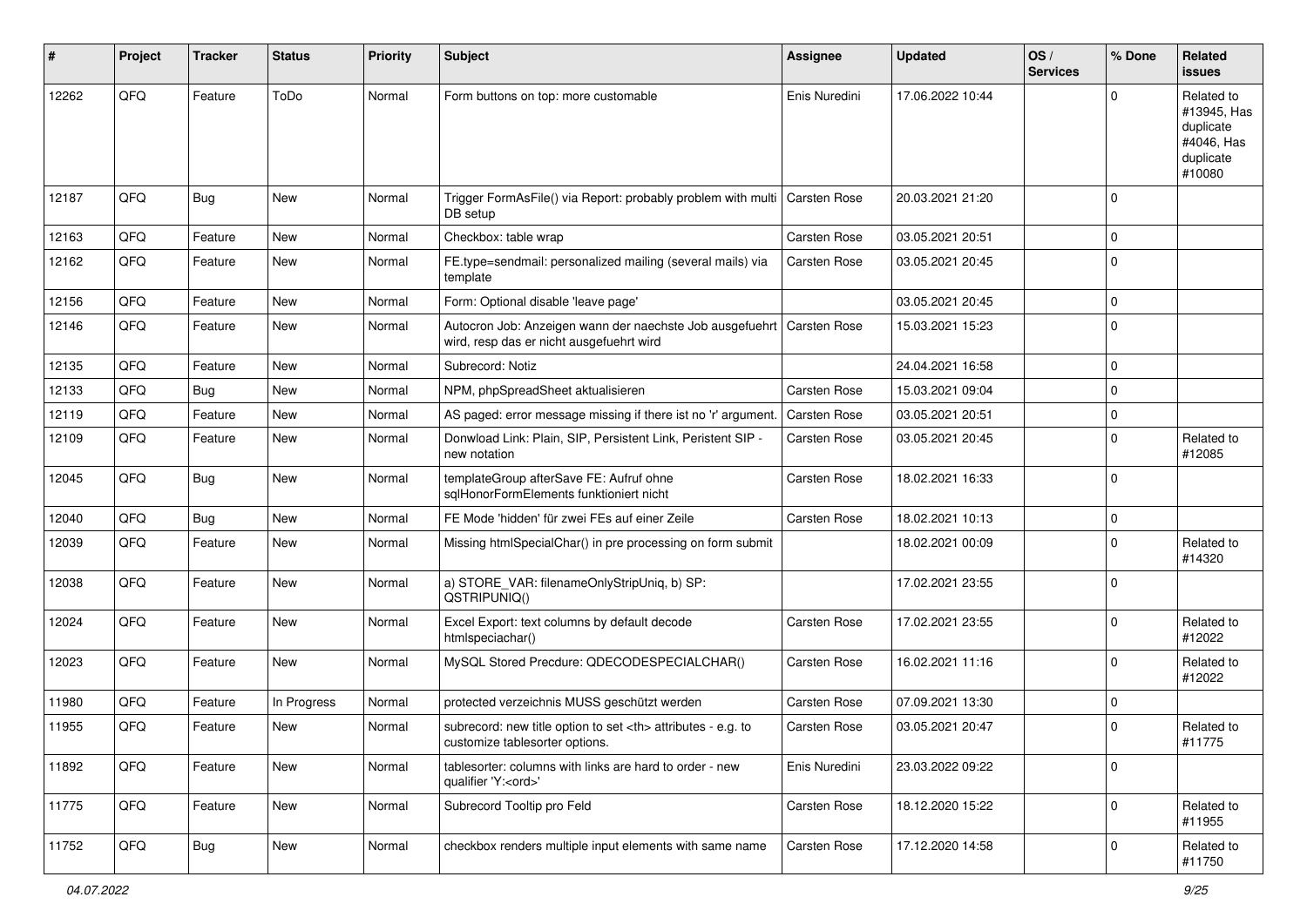| #     | Project | <b>Tracker</b> | <b>Status</b> | <b>Priority</b> | Subject                                                                                              | <b>Assignee</b>                                        | <b>Updated</b>   | OS/<br><b>Services</b> | % Done      | <b>Related</b><br>issues                                                    |                      |
|-------|---------|----------------|---------------|-----------------|------------------------------------------------------------------------------------------------------|--------------------------------------------------------|------------------|------------------------|-------------|-----------------------------------------------------------------------------|----------------------|
| 12262 | QFQ     | Feature        | ToDo          | Normal          | Form buttons on top: more customable                                                                 | Enis Nuredini                                          | 17.06.2022 10:44 |                        | $\Omega$    | Related to<br>#13945, Has<br>duplicate<br>#4046, Has<br>duplicate<br>#10080 |                      |
| 12187 | QFQ     | Bug            | <b>New</b>    | Normal          | Trigger FormAsFile() via Report: probably problem with multi<br>DB setup                             | Carsten Rose                                           | 20.03.2021 21:20 |                        | $\Omega$    |                                                                             |                      |
| 12163 | QFQ     | Feature        | <b>New</b>    | Normal          | Checkbox: table wrap                                                                                 | Carsten Rose                                           | 03.05.2021 20:51 |                        | $\mathbf 0$ |                                                                             |                      |
| 12162 | QFQ     | Feature        | <b>New</b>    | Normal          | FE.type=sendmail: personalized mailing (several mails) via<br>template                               | Carsten Rose                                           | 03.05.2021 20:45 |                        | $\mathbf 0$ |                                                                             |                      |
| 12156 | QFQ     | Feature        | <b>New</b>    | Normal          | Form: Optional disable 'leave page'                                                                  |                                                        | 03.05.2021 20:45 |                        | $\mathbf 0$ |                                                                             |                      |
| 12146 | QFQ     | Feature        | <b>New</b>    | Normal          | Autocron Job: Anzeigen wann der naechste Job ausgefuehrt<br>wird, resp das er nicht ausgefuehrt wird | Carsten Rose                                           | 15.03.2021 15:23 |                        | $\mathbf 0$ |                                                                             |                      |
| 12135 | QFQ     | Feature        | New           | Normal          | Subrecord: Notiz                                                                                     |                                                        | 24.04.2021 16:58 |                        | $\mathbf 0$ |                                                                             |                      |
| 12133 | QFQ     | Bug            | <b>New</b>    | Normal          | NPM, phpSpreadSheet aktualisieren                                                                    | Carsten Rose                                           | 15.03.2021 09:04 |                        | $\mathbf 0$ |                                                                             |                      |
| 12119 | QFQ     | Feature        | New           | Normal          | AS paged: error message missing if there ist no 'r' argument.                                        | Carsten Rose                                           | 03.05.2021 20:51 |                        | $\mathbf 0$ |                                                                             |                      |
| 12109 | QFQ     | Feature        | <b>New</b>    | Normal          | Donwload Link: Plain, SIP, Persistent Link, Peristent SIP -<br>new notation                          | Carsten Rose                                           | 03.05.2021 20:45 |                        | $\mathbf 0$ | Related to<br>#12085                                                        |                      |
| 12045 | QFQ     | Bug            | New           | Normal          | templateGroup afterSave FE: Aufruf ohne<br>sqlHonorFormElements funktioniert nicht                   | Carsten Rose                                           | 18.02.2021 16:33 |                        | $\Omega$    |                                                                             |                      |
| 12040 | QFQ     | Bug            | <b>New</b>    | Normal          | FE Mode 'hidden' für zwei FEs auf einer Zeile                                                        | Carsten Rose                                           | 18.02.2021 10:13 |                        | $\mathbf 0$ |                                                                             |                      |
| 12039 | QFQ     | Feature        | <b>New</b>    | Normal          | Missing htmlSpecialChar() in pre processing on form submit                                           |                                                        | 18.02.2021 00:09 |                        | $\mathbf 0$ | Related to<br>#14320                                                        |                      |
| 12038 | QFQ     | Feature        | <b>New</b>    | Normal          | a) STORE_VAR: filenameOnlyStripUniq, b) SP:<br>QSTRIPUNIQ()                                          |                                                        | 17.02.2021 23:55 |                        | $\mathbf 0$ |                                                                             |                      |
| 12024 | QFQ     | Feature        | New           | Normal          | Excel Export: text columns by default decode<br>htmlspeciachar()                                     | Carsten Rose                                           | 17.02.2021 23:55 |                        | $\mathbf 0$ | Related to<br>#12022                                                        |                      |
| 12023 | QFQ     | Feature        | New           | Normal          | MySQL Stored Precdure: QDECODESPECIALCHAR()                                                          | Carsten Rose                                           | 16.02.2021 11:16 |                        | $\mathbf 0$ | Related to<br>#12022                                                        |                      |
| 11980 | QFQ     | Feature        | In Progress   | Normal          | protected verzeichnis MUSS geschützt werden                                                          | Carsten Rose                                           | 07.09.2021 13:30 |                        | $\mathbf 0$ |                                                                             |                      |
| 11955 | QFQ     | Feature        | New           | Normal          | subrecord: new title option to set <th> attributes - e.g. to<br/>customize tablesorter options.</th> | attributes - e.g. to<br>customize tablesorter options. | Carsten Rose     | 03.05.2021 20:47       |             | 0                                                                           | Related to<br>#11775 |
| 11892 | QFQ     | Feature        | New           | Normal          | tablesorter: columns with links are hard to order - new<br>qualifier 'Y: <ord>'</ord>                | Enis Nuredini                                          | 23.03.2022 09:22 |                        | 0           |                                                                             |                      |
| 11775 | QFQ     | Feature        | New           | Normal          | Subrecord Tooltip pro Feld                                                                           | Carsten Rose                                           | 18.12.2020 15:22 |                        | $\mathbf 0$ | Related to<br>#11955                                                        |                      |
| 11752 | QFQ     | <b>Bug</b>     | New           | Normal          | checkbox renders multiple input elements with same name                                              | Carsten Rose                                           | 17.12.2020 14:58 |                        | 0           | Related to<br>#11750                                                        |                      |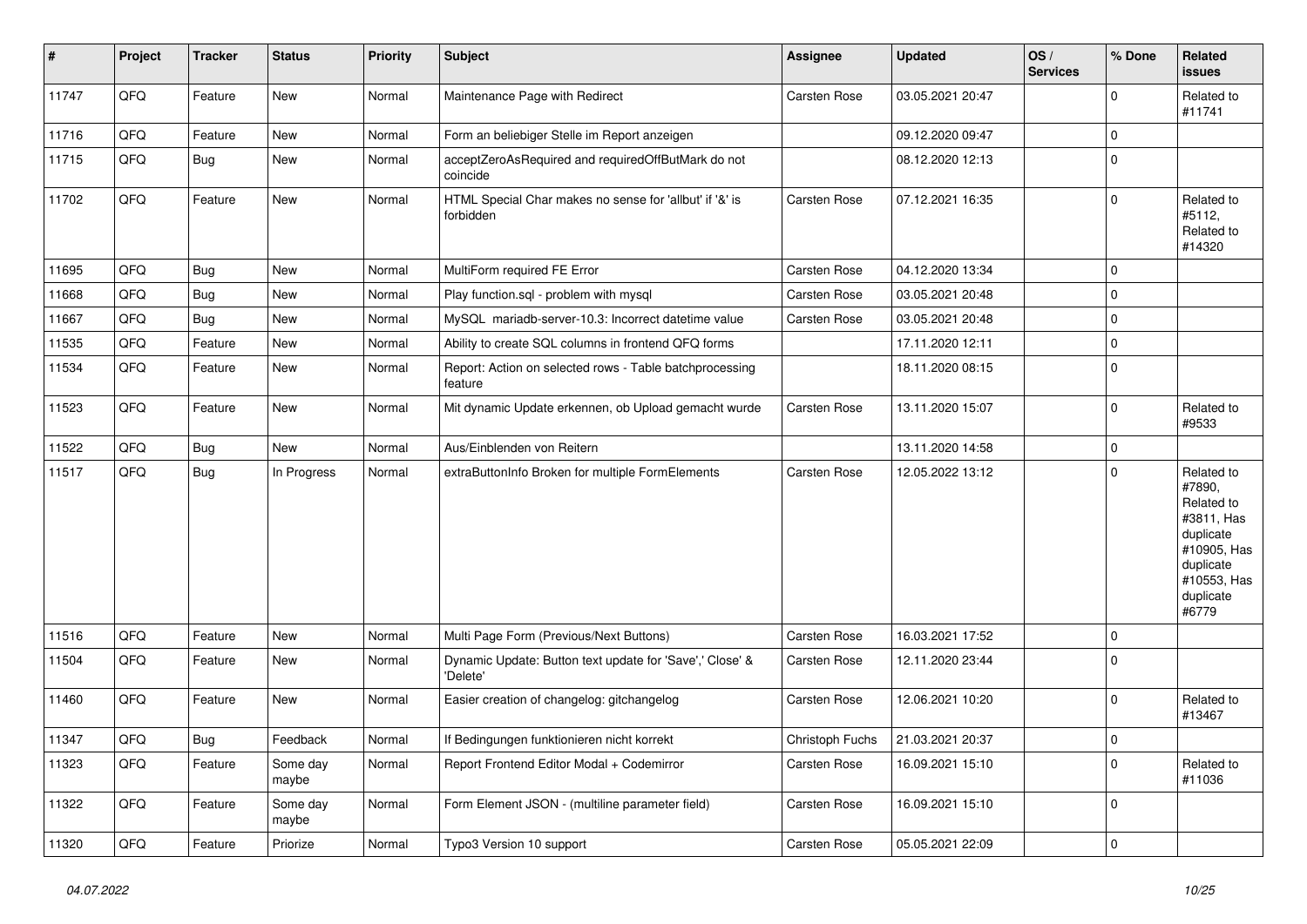| $\vert$ # | Project | <b>Tracker</b> | <b>Status</b>     | <b>Priority</b> | <b>Subject</b>                                                       | <b>Assignee</b>     | <b>Updated</b>   | OS/<br><b>Services</b> | % Done      | <b>Related</b><br><b>issues</b>                                                                                                |
|-----------|---------|----------------|-------------------|-----------------|----------------------------------------------------------------------|---------------------|------------------|------------------------|-------------|--------------------------------------------------------------------------------------------------------------------------------|
| 11747     | QFQ     | Feature        | <b>New</b>        | Normal          | Maintenance Page with Redirect                                       | Carsten Rose        | 03.05.2021 20:47 |                        | $\mathbf 0$ | Related to<br>#11741                                                                                                           |
| 11716     | QFQ     | Feature        | <b>New</b>        | Normal          | Form an beliebiger Stelle im Report anzeigen                         |                     | 09.12.2020 09:47 |                        | 0           |                                                                                                                                |
| 11715     | QFQ     | <b>Bug</b>     | New               | Normal          | acceptZeroAsRequired and requiredOffButMark do not<br>coincide       |                     | 08.12.2020 12:13 |                        | $\Omega$    |                                                                                                                                |
| 11702     | QFQ     | Feature        | <b>New</b>        | Normal          | HTML Special Char makes no sense for 'allbut' if '&' is<br>forbidden | <b>Carsten Rose</b> | 07.12.2021 16:35 |                        | $\mathbf 0$ | Related to<br>#5112,<br>Related to<br>#14320                                                                                   |
| 11695     | QFQ     | <b>Bug</b>     | <b>New</b>        | Normal          | MultiForm required FE Error                                          | Carsten Rose        | 04.12.2020 13:34 |                        | $\Omega$    |                                                                                                                                |
| 11668     | QFQ     | <b>Bug</b>     | New               | Normal          | Play function.sql - problem with mysql                               | Carsten Rose        | 03.05.2021 20:48 |                        | $\Omega$    |                                                                                                                                |
| 11667     | QFQ     | <b>Bug</b>     | <b>New</b>        | Normal          | MySQL mariadb-server-10.3: Incorrect datetime value                  | Carsten Rose        | 03.05.2021 20:48 |                        | $\Omega$    |                                                                                                                                |
| 11535     | QFQ     | Feature        | <b>New</b>        | Normal          | Ability to create SQL columns in frontend QFQ forms                  |                     | 17.11.2020 12:11 |                        | $\mathbf 0$ |                                                                                                                                |
| 11534     | QFQ     | Feature        | <b>New</b>        | Normal          | Report: Action on selected rows - Table batchprocessing<br>feature   |                     | 18.11.2020 08:15 |                        | $\mathbf 0$ |                                                                                                                                |
| 11523     | QFQ     | Feature        | <b>New</b>        | Normal          | Mit dynamic Update erkennen, ob Upload gemacht wurde                 | Carsten Rose        | 13.11.2020 15:07 |                        | $\mathbf 0$ | Related to<br>#9533                                                                                                            |
| 11522     | QFQ     | <b>Bug</b>     | <b>New</b>        | Normal          | Aus/Einblenden von Reitern                                           |                     | 13.11.2020 14:58 |                        | $\mathbf 0$ |                                                                                                                                |
| 11517     | QFQ     | Bug            | In Progress       | Normal          | extraButtonInfo Broken for multiple FormElements                     | Carsten Rose        | 12.05.2022 13:12 |                        | $\mathbf 0$ | Related to<br>#7890,<br>Related to<br>#3811, Has<br>duplicate<br>#10905, Has<br>duplicate<br>#10553, Has<br>duplicate<br>#6779 |
| 11516     | QFQ     | Feature        | <b>New</b>        | Normal          | Multi Page Form (Previous/Next Buttons)                              | Carsten Rose        | 16.03.2021 17:52 |                        | $\mathbf 0$ |                                                                                                                                |
| 11504     | QFQ     | Feature        | <b>New</b>        | Normal          | Dynamic Update: Button text update for 'Save',' Close' &<br>'Delete' | Carsten Rose        | 12.11.2020 23:44 |                        | $\mathbf 0$ |                                                                                                                                |
| 11460     | QFQ     | Feature        | New               | Normal          | Easier creation of changelog: gitchangelog                           | Carsten Rose        | 12.06.2021 10:20 |                        | 0           | Related to<br>#13467                                                                                                           |
| 11347     | QFQ     | <b>Bug</b>     | Feedback          | Normal          | If Bedingungen funktionieren nicht korrekt                           | Christoph Fuchs     | 21.03.2021 20:37 |                        | $\mathbf 0$ |                                                                                                                                |
| 11323     | QFQ     | Feature        | Some day<br>maybe | Normal          | Report Frontend Editor Modal + Codemirror                            | Carsten Rose        | 16.09.2021 15:10 |                        | $\mathbf 0$ | Related to<br>#11036                                                                                                           |
| 11322     | QFQ     | Feature        | Some day<br>maybe | Normal          | Form Element JSON - (multiline parameter field)                      | Carsten Rose        | 16.09.2021 15:10 |                        | $\mathbf 0$ |                                                                                                                                |
| 11320     | QFQ     | Feature        | Priorize          | Normal          | Typo3 Version 10 support                                             | Carsten Rose        | 05.05.2021 22:09 |                        | 0           |                                                                                                                                |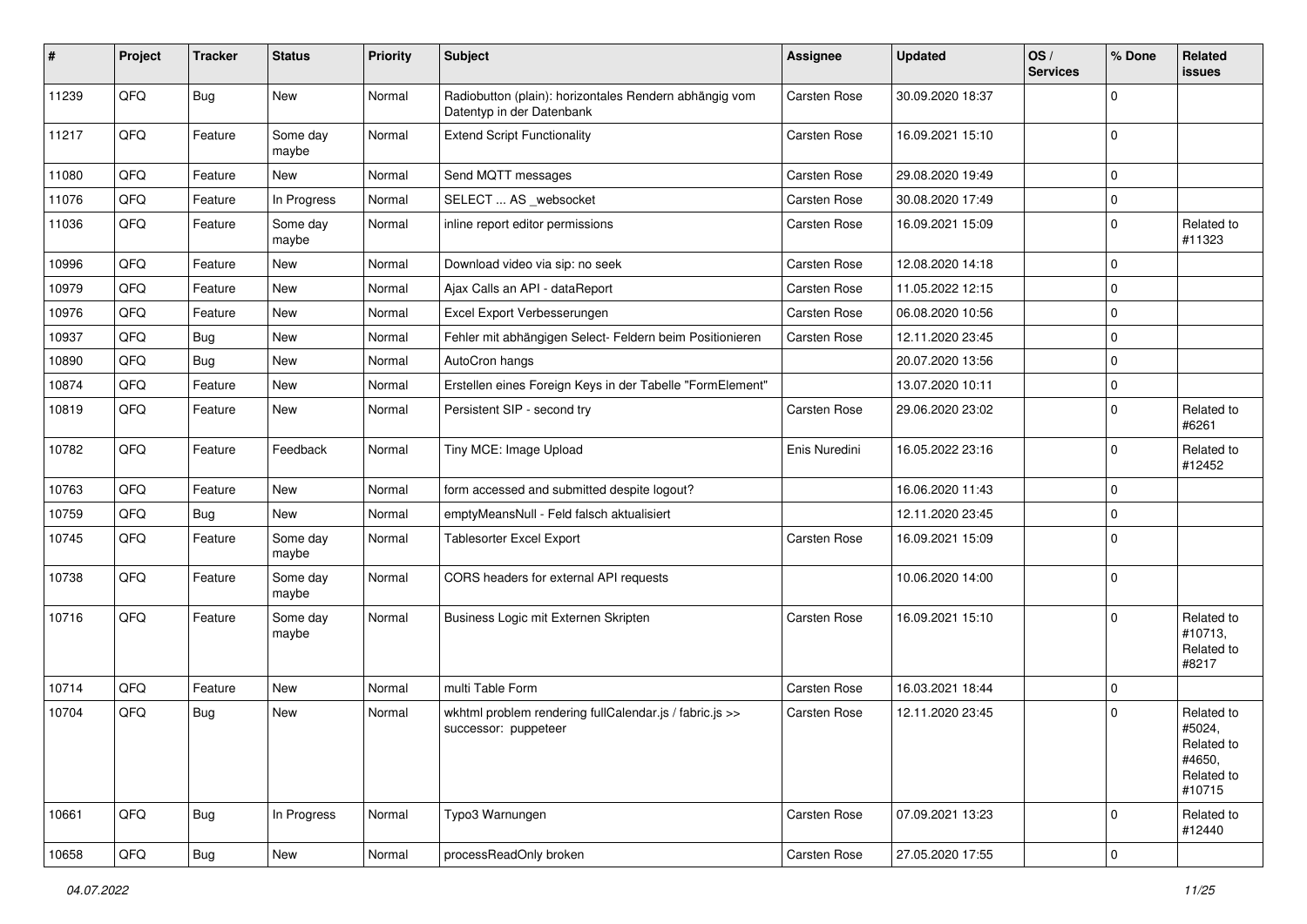| #     | Project | <b>Tracker</b> | <b>Status</b>     | <b>Priority</b> | <b>Subject</b>                                                                      | <b>Assignee</b> | <b>Updated</b>   | OS/<br><b>Services</b> | % Done      | <b>Related</b><br>issues                                             |
|-------|---------|----------------|-------------------|-----------------|-------------------------------------------------------------------------------------|-----------------|------------------|------------------------|-------------|----------------------------------------------------------------------|
| 11239 | QFQ     | Bug            | <b>New</b>        | Normal          | Radiobutton (plain): horizontales Rendern abhängig vom<br>Datentyp in der Datenbank | Carsten Rose    | 30.09.2020 18:37 |                        | $\mathbf 0$ |                                                                      |
| 11217 | QFQ     | Feature        | Some day<br>maybe | Normal          | <b>Extend Script Functionality</b>                                                  | Carsten Rose    | 16.09.2021 15:10 |                        | $\mathbf 0$ |                                                                      |
| 11080 | QFQ     | Feature        | New               | Normal          | Send MQTT messages                                                                  | Carsten Rose    | 29.08.2020 19:49 |                        | $\mathbf 0$ |                                                                      |
| 11076 | QFQ     | Feature        | In Progress       | Normal          | SELECT  AS _websocket                                                               | Carsten Rose    | 30.08.2020 17:49 |                        | $\mathbf 0$ |                                                                      |
| 11036 | QFQ     | Feature        | Some day<br>maybe | Normal          | inline report editor permissions                                                    | Carsten Rose    | 16.09.2021 15:09 |                        | $\mathbf 0$ | Related to<br>#11323                                                 |
| 10996 | QFQ     | Feature        | <b>New</b>        | Normal          | Download video via sip: no seek                                                     | Carsten Rose    | 12.08.2020 14:18 |                        | $\mathbf 0$ |                                                                      |
| 10979 | QFQ     | Feature        | <b>New</b>        | Normal          | Ajax Calls an API - dataReport                                                      | Carsten Rose    | 11.05.2022 12:15 |                        | $\mathbf 0$ |                                                                      |
| 10976 | QFQ     | Feature        | <b>New</b>        | Normal          | Excel Export Verbesserungen                                                         | Carsten Rose    | 06.08.2020 10:56 |                        | $\mathbf 0$ |                                                                      |
| 10937 | QFQ     | <b>Bug</b>     | <b>New</b>        | Normal          | Fehler mit abhängigen Select- Feldern beim Positionieren                            | Carsten Rose    | 12.11.2020 23:45 |                        | $\mathbf 0$ |                                                                      |
| 10890 | QFQ     | <b>Bug</b>     | <b>New</b>        | Normal          | AutoCron hangs                                                                      |                 | 20.07.2020 13:56 |                        | $\mathbf 0$ |                                                                      |
| 10874 | QFQ     | Feature        | New               | Normal          | Erstellen eines Foreign Keys in der Tabelle "FormElement"                           |                 | 13.07.2020 10:11 |                        | $\mathbf 0$ |                                                                      |
| 10819 | QFQ     | Feature        | New               | Normal          | Persistent SIP - second try                                                         | Carsten Rose    | 29.06.2020 23:02 |                        | $\mathbf 0$ | Related to<br>#6261                                                  |
| 10782 | QFQ     | Feature        | Feedback          | Normal          | Tiny MCE: Image Upload                                                              | Enis Nuredini   | 16.05.2022 23:16 |                        | $\mathbf 0$ | Related to<br>#12452                                                 |
| 10763 | QFQ     | Feature        | <b>New</b>        | Normal          | form accessed and submitted despite logout?                                         |                 | 16.06.2020 11:43 |                        | $\mathbf 0$ |                                                                      |
| 10759 | QFQ     | <b>Bug</b>     | <b>New</b>        | Normal          | emptyMeansNull - Feld falsch aktualisiert                                           |                 | 12.11.2020 23:45 |                        | $\mathbf 0$ |                                                                      |
| 10745 | QFQ     | Feature        | Some day<br>maybe | Normal          | Tablesorter Excel Export                                                            | Carsten Rose    | 16.09.2021 15:09 |                        | $\mathbf 0$ |                                                                      |
| 10738 | QFQ     | Feature        | Some day<br>maybe | Normal          | CORS headers for external API requests                                              |                 | 10.06.2020 14:00 |                        | $\mathbf 0$ |                                                                      |
| 10716 | QFQ     | Feature        | Some day<br>maybe | Normal          | Business Logic mit Externen Skripten                                                | Carsten Rose    | 16.09.2021 15:10 |                        | $\mathbf 0$ | Related to<br>#10713,<br>Related to<br>#8217                         |
| 10714 | QFQ     | Feature        | <b>New</b>        | Normal          | multi Table Form                                                                    | Carsten Rose    | 16.03.2021 18:44 |                        | 0           |                                                                      |
| 10704 | QFQ     | <b>Bug</b>     | <b>New</b>        | Normal          | wkhtml problem rendering fullCalendar.js / fabric.js >><br>successor: puppeteer     | Carsten Rose    | 12.11.2020 23:45 |                        | $\mathbf 0$ | Related to<br>#5024,<br>Related to<br>#4650,<br>Related to<br>#10715 |
| 10661 | QFQ     | <b>Bug</b>     | In Progress       | Normal          | Typo3 Warnungen                                                                     | Carsten Rose    | 07.09.2021 13:23 |                        | $\mathbf 0$ | Related to<br>#12440                                                 |
| 10658 | QFQ     | <b>Bug</b>     | New               | Normal          | processReadOnly broken                                                              | Carsten Rose    | 27.05.2020 17:55 |                        | $\pmb{0}$   |                                                                      |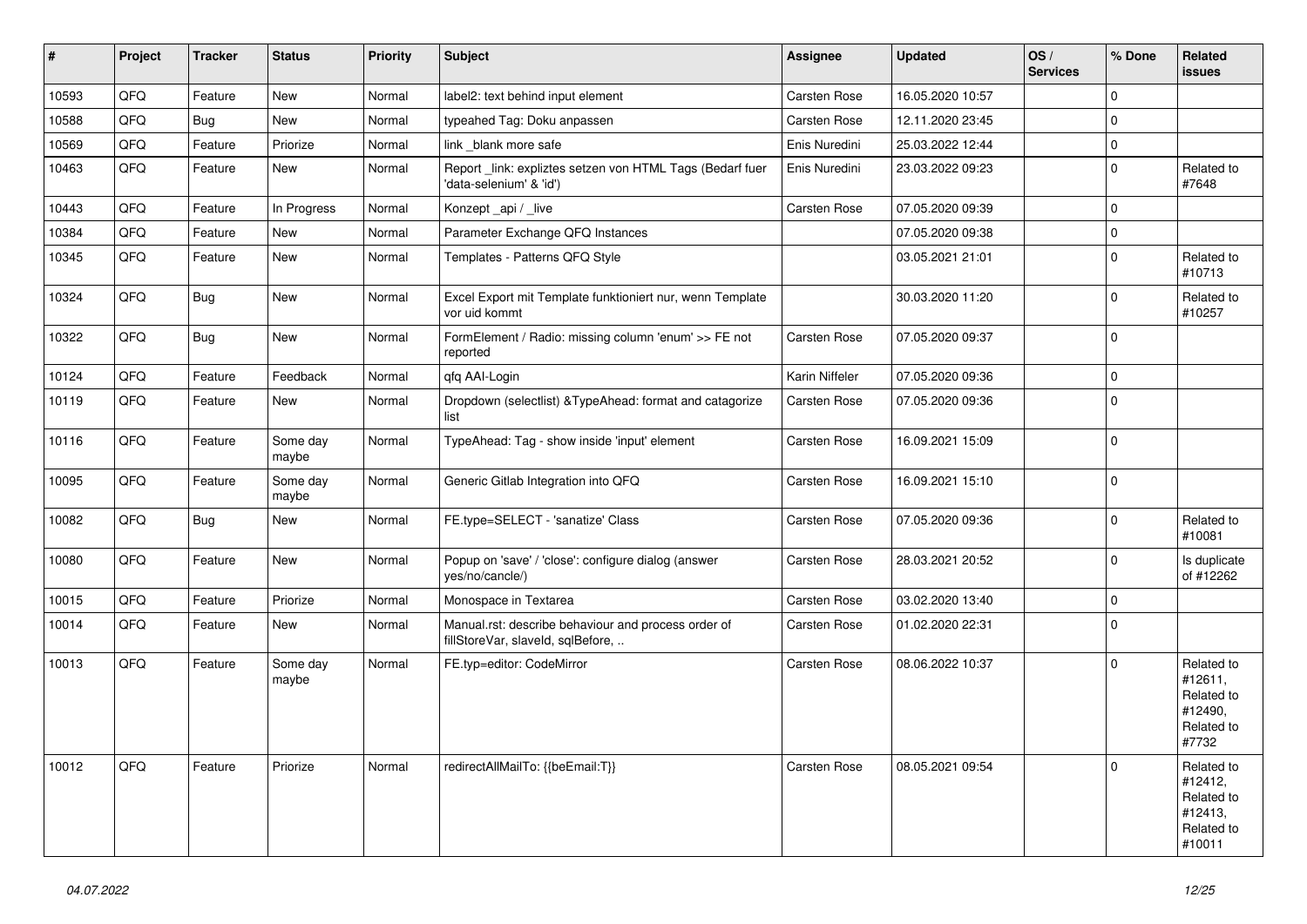| $\vert$ # | Project | <b>Tracker</b> | <b>Status</b>     | <b>Priority</b> | <b>Subject</b>                                                                           | Assignee            | <b>Updated</b>   | OS/<br><b>Services</b> | % Done      | Related<br>issues                                                      |
|-----------|---------|----------------|-------------------|-----------------|------------------------------------------------------------------------------------------|---------------------|------------------|------------------------|-------------|------------------------------------------------------------------------|
| 10593     | QFQ     | Feature        | <b>New</b>        | Normal          | label2: text behind input element                                                        | Carsten Rose        | 16.05.2020 10:57 |                        | $\mathbf 0$ |                                                                        |
| 10588     | QFQ     | <b>Bug</b>     | <b>New</b>        | Normal          | typeahed Tag: Doku anpassen                                                              | Carsten Rose        | 12.11.2020 23:45 |                        | $\Omega$    |                                                                        |
| 10569     | QFQ     | Feature        | Priorize          | Normal          | link _blank more safe                                                                    | Enis Nuredini       | 25.03.2022 12:44 |                        | $\Omega$    |                                                                        |
| 10463     | QFQ     | Feature        | <b>New</b>        | Normal          | Report _link: expliztes setzen von HTML Tags (Bedarf fuer<br>'data-selenium' & 'id')     | Enis Nuredini       | 23.03.2022 09:23 |                        | $\Omega$    | Related to<br>#7648                                                    |
| 10443     | QFQ     | Feature        | In Progress       | Normal          | Konzept api / live                                                                       | Carsten Rose        | 07.05.2020 09:39 |                        | $\Omega$    |                                                                        |
| 10384     | QFQ     | Feature        | <b>New</b>        | Normal          | Parameter Exchange QFQ Instances                                                         |                     | 07.05.2020 09:38 |                        | $\mathbf 0$ |                                                                        |
| 10345     | QFQ     | Feature        | <b>New</b>        | Normal          | Templates - Patterns QFQ Style                                                           |                     | 03.05.2021 21:01 |                        | $\mathbf 0$ | Related to<br>#10713                                                   |
| 10324     | QFQ     | <b>Bug</b>     | New               | Normal          | Excel Export mit Template funktioniert nur, wenn Template<br>vor uid kommt               |                     | 30.03.2020 11:20 |                        | $\mathbf 0$ | Related to<br>#10257                                                   |
| 10322     | QFQ     | Bug            | <b>New</b>        | Normal          | FormElement / Radio: missing column 'enum' >> FE not<br>reported                         | Carsten Rose        | 07.05.2020 09:37 |                        | $\Omega$    |                                                                        |
| 10124     | QFQ     | Feature        | Feedback          | Normal          | qfq AAI-Login                                                                            | Karin Niffeler      | 07.05.2020 09:36 |                        | $\Omega$    |                                                                        |
| 10119     | QFQ     | Feature        | <b>New</b>        | Normal          | Dropdown (selectlist) & TypeAhead: format and catagorize<br>list                         | Carsten Rose        | 07.05.2020 09:36 |                        | $\Omega$    |                                                                        |
| 10116     | QFQ     | Feature        | Some day<br>maybe | Normal          | TypeAhead: Tag - show inside 'input' element                                             | Carsten Rose        | 16.09.2021 15:09 |                        | $\mathbf 0$ |                                                                        |
| 10095     | QFQ     | Feature        | Some day<br>maybe | Normal          | Generic Gitlab Integration into QFQ                                                      | Carsten Rose        | 16.09.2021 15:10 |                        | $\mathbf 0$ |                                                                        |
| 10082     | QFQ     | <b>Bug</b>     | New               | Normal          | FE.type=SELECT - 'sanatize' Class                                                        | Carsten Rose        | 07.05.2020 09:36 |                        | $\Omega$    | Related to<br>#10081                                                   |
| 10080     | QFQ     | Feature        | <b>New</b>        | Normal          | Popup on 'save' / 'close': configure dialog (answer<br>yes/no/cancle/)                   | <b>Carsten Rose</b> | 28.03.2021 20:52 |                        | $\mathbf 0$ | Is duplicate<br>of #12262                                              |
| 10015     | QFQ     | Feature        | Priorize          | Normal          | Monospace in Textarea                                                                    | <b>Carsten Rose</b> | 03.02.2020 13:40 |                        | 0           |                                                                        |
| 10014     | QFQ     | Feature        | New               | Normal          | Manual.rst: describe behaviour and process order of<br>fillStoreVar, slaveId, sqlBefore, | Carsten Rose        | 01.02.2020 22:31 |                        | $\mathbf 0$ |                                                                        |
| 10013     | QFQ     | Feature        | Some day<br>maybe | Normal          | FE.typ=editor: CodeMirror                                                                | Carsten Rose        | 08.06.2022 10:37 |                        | $\Omega$    | Related to<br>#12611,<br>Related to<br>#12490,<br>Related to<br>#7732  |
| 10012     | QFQ     | Feature        | Priorize          | Normal          | redirectAllMailTo: {{beEmail:T}}                                                         | Carsten Rose        | 08.05.2021 09:54 |                        | $\mathbf 0$ | Related to<br>#12412,<br>Related to<br>#12413,<br>Related to<br>#10011 |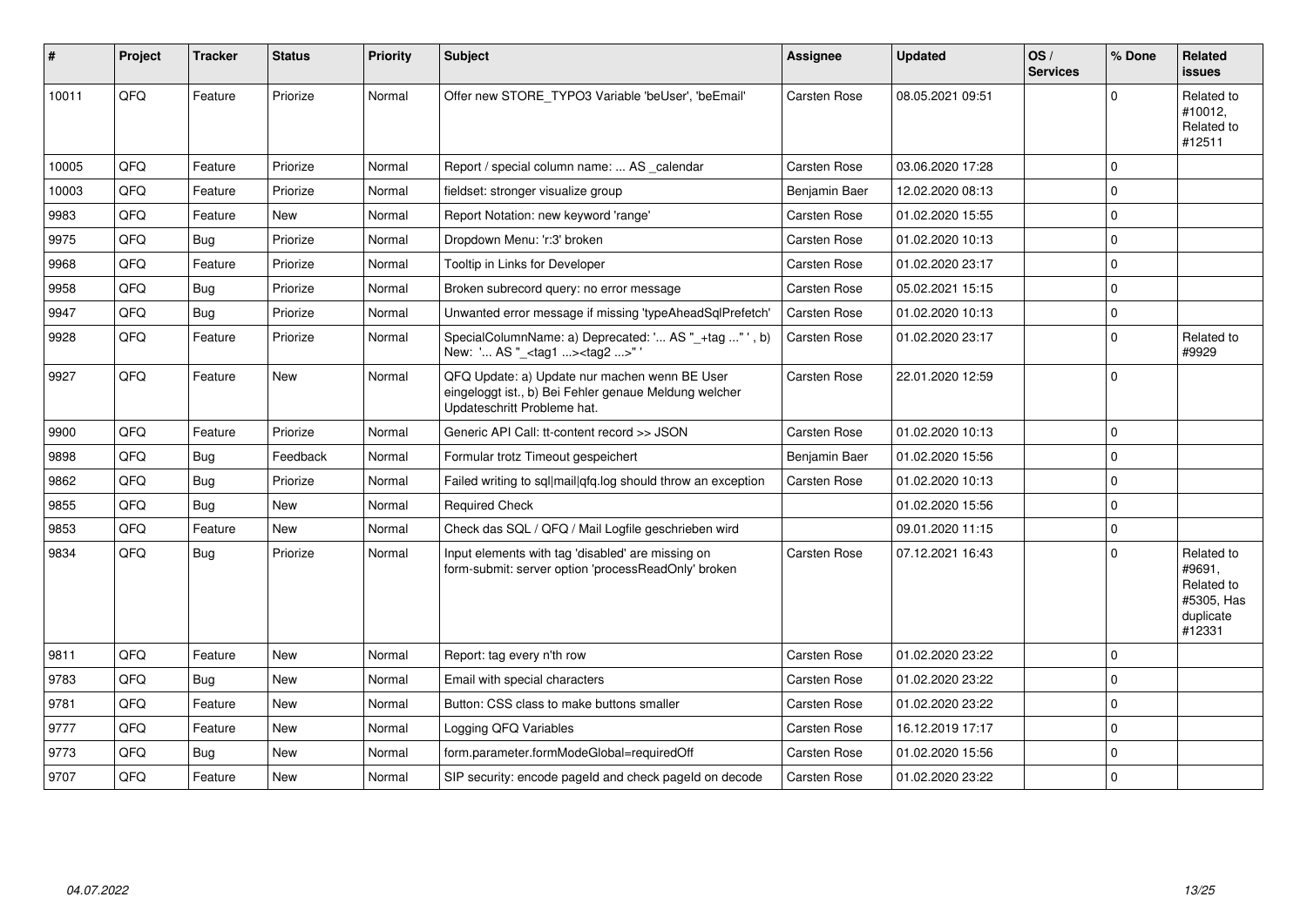| #     | <b>Project</b> | <b>Tracker</b> | <b>Status</b> | <b>Priority</b> | <b>Subject</b>                                                                                                                        | <b>Assignee</b>     | <b>Updated</b>   | OS/<br><b>Services</b> | % Done      | Related<br>issues                                                       |
|-------|----------------|----------------|---------------|-----------------|---------------------------------------------------------------------------------------------------------------------------------------|---------------------|------------------|------------------------|-------------|-------------------------------------------------------------------------|
| 10011 | QFQ            | Feature        | Priorize      | Normal          | Offer new STORE_TYPO3 Variable 'beUser', 'beEmail'                                                                                    | Carsten Rose        | 08.05.2021 09:51 |                        | $\Omega$    | Related to<br>#10012,<br>Related to<br>#12511                           |
| 10005 | QFQ            | Feature        | Priorize      | Normal          | Report / special column name:  AS calendar                                                                                            | Carsten Rose        | 03.06.2020 17:28 |                        | $\mathbf 0$ |                                                                         |
| 10003 | QFQ            | Feature        | Priorize      | Normal          | fieldset: stronger visualize group                                                                                                    | Benjamin Baer       | 12.02.2020 08:13 |                        | $\Omega$    |                                                                         |
| 9983  | QFQ            | Feature        | <b>New</b>    | Normal          | Report Notation: new keyword 'range'                                                                                                  | Carsten Rose        | 01.02.2020 15:55 |                        | $\Omega$    |                                                                         |
| 9975  | QFQ            | Bug            | Priorize      | Normal          | Dropdown Menu: 'r:3' broken                                                                                                           | Carsten Rose        | 01.02.2020 10:13 |                        | $\Omega$    |                                                                         |
| 9968  | QFQ            | Feature        | Priorize      | Normal          | Tooltip in Links for Developer                                                                                                        | Carsten Rose        | 01.02.2020 23:17 |                        | $\Omega$    |                                                                         |
| 9958  | QFQ            | <b>Bug</b>     | Priorize      | Normal          | Broken subrecord query: no error message                                                                                              | Carsten Rose        | 05.02.2021 15:15 |                        | $\mathbf 0$ |                                                                         |
| 9947  | QFQ            | <b>Bug</b>     | Priorize      | Normal          | Unwanted error message if missing 'typeAheadSqlPrefetch'                                                                              | Carsten Rose        | 01.02.2020 10:13 |                        | $\Omega$    |                                                                         |
| 9928  | QFQ            | Feature        | Priorize      | Normal          | SpecialColumnName: a) Deprecated: ' AS "_+tag " ', b)<br>New: ' AS "_ <tag1><tag2>"'</tag2></tag1>                                    | Carsten Rose        | 01.02.2020 23:17 |                        | $\Omega$    | Related to<br>#9929                                                     |
| 9927  | QFQ            | Feature        | New           | Normal          | QFQ Update: a) Update nur machen wenn BE User<br>eingeloggt ist., b) Bei Fehler genaue Meldung welcher<br>Updateschritt Probleme hat. | Carsten Rose        | 22.01.2020 12:59 |                        | $\Omega$    |                                                                         |
| 9900  | QFQ            | Feature        | Priorize      | Normal          | Generic API Call: tt-content record >> JSON                                                                                           | Carsten Rose        | 01.02.2020 10:13 |                        | $\Omega$    |                                                                         |
| 9898  | QFQ            | Bug            | Feedback      | Normal          | Formular trotz Timeout gespeichert                                                                                                    | Benjamin Baer       | 01.02.2020 15:56 |                        | $\Omega$    |                                                                         |
| 9862  | QFQ            | Bug            | Priorize      | Normal          | Failed writing to sql mail qfq.log should throw an exception                                                                          | <b>Carsten Rose</b> | 01.02.2020 10:13 |                        | $\Omega$    |                                                                         |
| 9855  | QFQ            | Bug            | New           | Normal          | <b>Required Check</b>                                                                                                                 |                     | 01.02.2020 15:56 |                        | $\Omega$    |                                                                         |
| 9853  | QFQ            | Feature        | New           | Normal          | Check das SQL / QFQ / Mail Logfile geschrieben wird                                                                                   |                     | 09.01.2020 11:15 |                        | $\Omega$    |                                                                         |
| 9834  | QFQ            | Bug            | Priorize      | Normal          | Input elements with tag 'disabled' are missing on<br>form-submit: server option 'processReadOnly' broken                              | Carsten Rose        | 07.12.2021 16:43 |                        | $\Omega$    | Related to<br>#9691,<br>Related to<br>#5305, Has<br>duplicate<br>#12331 |
| 9811  | QFQ            | Feature        | <b>New</b>    | Normal          | Report: tag every n'th row                                                                                                            | Carsten Rose        | 01.02.2020 23:22 |                        | $\Omega$    |                                                                         |
| 9783  | QFQ            | Bug            | <b>New</b>    | Normal          | Email with special characters                                                                                                         | Carsten Rose        | 01.02.2020 23:22 |                        | $\Omega$    |                                                                         |
| 9781  | QFQ            | Feature        | New           | Normal          | Button: CSS class to make buttons smaller                                                                                             | Carsten Rose        | 01.02.2020 23:22 |                        | $\Omega$    |                                                                         |
| 9777  | QFQ            | Feature        | New           | Normal          | Logging QFQ Variables                                                                                                                 | Carsten Rose        | 16.12.2019 17:17 |                        | $\Omega$    |                                                                         |
| 9773  | QFQ            | Bug            | New           | Normal          | form.parameter.formModeGlobal=requiredOff                                                                                             | Carsten Rose        | 01.02.2020 15:56 |                        | $\Omega$    |                                                                         |
| 9707  | QFQ            | Feature        | New           | Normal          | SIP security: encode pageld and check pageld on decode                                                                                | Carsten Rose        | 01.02.2020 23:22 |                        | 0           |                                                                         |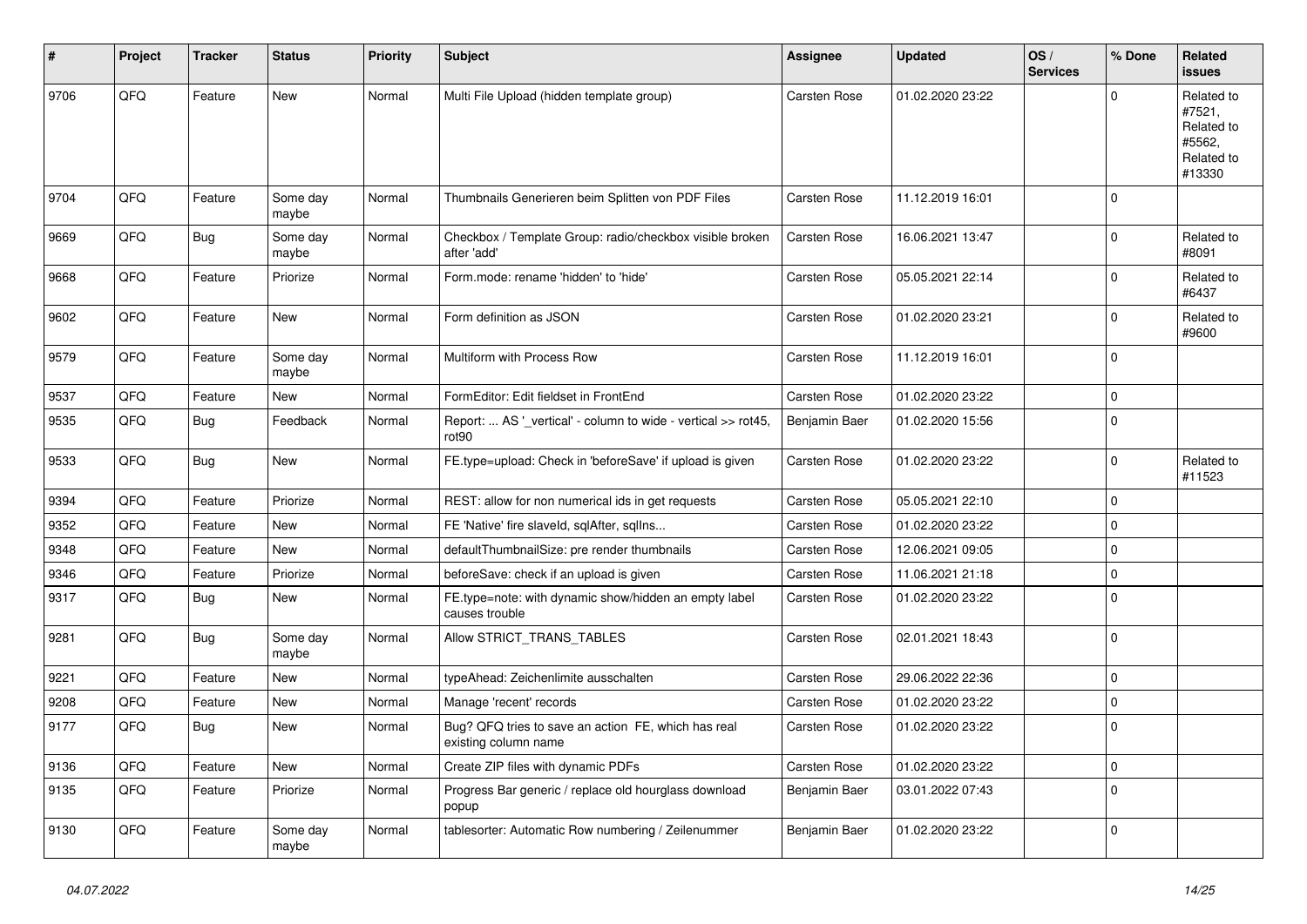| #    | Project | <b>Tracker</b> | <b>Status</b>     | <b>Priority</b> | <b>Subject</b>                                                              | <b>Assignee</b>     | <b>Updated</b>   | OS/<br><b>Services</b> | % Done      | <b>Related</b><br>issues                                             |
|------|---------|----------------|-------------------|-----------------|-----------------------------------------------------------------------------|---------------------|------------------|------------------------|-------------|----------------------------------------------------------------------|
| 9706 | QFQ     | Feature        | <b>New</b>        | Normal          | Multi File Upload (hidden template group)                                   | Carsten Rose        | 01.02.2020 23:22 |                        | $\Omega$    | Related to<br>#7521,<br>Related to<br>#5562.<br>Related to<br>#13330 |
| 9704 | QFQ     | Feature        | Some day<br>maybe | Normal          | Thumbnails Generieren beim Splitten von PDF Files                           | <b>Carsten Rose</b> | 11.12.2019 16:01 |                        | $\mathbf 0$ |                                                                      |
| 9669 | QFQ     | <b>Bug</b>     | Some day<br>maybe | Normal          | Checkbox / Template Group: radio/checkbox visible broken<br>after 'add'     | Carsten Rose        | 16.06.2021 13:47 |                        | $\mathbf 0$ | Related to<br>#8091                                                  |
| 9668 | QFQ     | Feature        | Priorize          | Normal          | Form.mode: rename 'hidden' to 'hide'                                        | Carsten Rose        | 05.05.2021 22:14 |                        | $\mathbf 0$ | Related to<br>#6437                                                  |
| 9602 | QFQ     | Feature        | <b>New</b>        | Normal          | Form definition as JSON                                                     | Carsten Rose        | 01.02.2020 23:21 |                        | $\mathbf 0$ | Related to<br>#9600                                                  |
| 9579 | QFQ     | Feature        | Some day<br>maybe | Normal          | Multiform with Process Row                                                  | Carsten Rose        | 11.12.2019 16:01 |                        | $\mathbf 0$ |                                                                      |
| 9537 | QFQ     | Feature        | New               | Normal          | FormEditor: Edit fieldset in FrontEnd                                       | Carsten Rose        | 01.02.2020 23:22 |                        | 0           |                                                                      |
| 9535 | QFQ     | Bug            | Feedback          | Normal          | Report:  AS '_vertical' - column to wide - vertical >> rot45,<br>rot90      | Benjamin Baer       | 01.02.2020 15:56 |                        | $\mathbf 0$ |                                                                      |
| 9533 | QFQ     | Bug            | New               | Normal          | FE.type=upload: Check in 'beforeSave' if upload is given                    | Carsten Rose        | 01.02.2020 23:22 |                        | $\mathbf 0$ | Related to<br>#11523                                                 |
| 9394 | QFQ     | Feature        | Priorize          | Normal          | REST: allow for non numerical ids in get requests                           | Carsten Rose        | 05.05.2021 22:10 |                        | 0           |                                                                      |
| 9352 | QFQ     | Feature        | New               | Normal          | FE 'Native' fire slaveld, sqlAfter, sqlIns                                  | <b>Carsten Rose</b> | 01.02.2020 23:22 |                        | $\mathbf 0$ |                                                                      |
| 9348 | QFQ     | Feature        | New               | Normal          | defaultThumbnailSize: pre render thumbnails                                 | Carsten Rose        | 12.06.2021 09:05 |                        | $\mathbf 0$ |                                                                      |
| 9346 | QFQ     | Feature        | Priorize          | Normal          | beforeSave: check if an upload is given                                     | Carsten Rose        | 11.06.2021 21:18 |                        | 0           |                                                                      |
| 9317 | QFQ     | Bug            | New               | Normal          | FE.type=note: with dynamic show/hidden an empty label<br>causes trouble     | Carsten Rose        | 01.02.2020 23:22 |                        | $\mathbf 0$ |                                                                      |
| 9281 | QFQ     | <b>Bug</b>     | Some day<br>maybe | Normal          | Allow STRICT_TRANS_TABLES                                                   | Carsten Rose        | 02.01.2021 18:43 |                        | $\mathbf 0$ |                                                                      |
| 9221 | QFQ     | Feature        | New               | Normal          | typeAhead: Zeichenlimite ausschalten                                        | Carsten Rose        | 29.06.2022 22:36 |                        | 0           |                                                                      |
| 9208 | QFQ     | Feature        | New               | Normal          | Manage 'recent' records                                                     | Carsten Rose        | 01.02.2020 23:22 |                        | $\mathbf 0$ |                                                                      |
| 9177 | QFQ     | <b>Bug</b>     | New               | Normal          | Bug? QFQ tries to save an action FE, which has real<br>existing column name | Carsten Rose        | 01.02.2020 23:22 |                        | 0           |                                                                      |
| 9136 | QFQ     | Feature        | New               | Normal          | Create ZIP files with dynamic PDFs                                          | Carsten Rose        | 01.02.2020 23:22 |                        | 0           |                                                                      |
| 9135 | QFQ     | Feature        | Priorize          | Normal          | Progress Bar generic / replace old hourglass download<br>popup              | Benjamin Baer       | 03.01.2022 07:43 |                        | $\mathbf 0$ |                                                                      |
| 9130 | QFG     | Feature        | Some day<br>maybe | Normal          | tablesorter: Automatic Row numbering / Zeilenummer                          | Benjamin Baer       | 01.02.2020 23:22 |                        | 0           |                                                                      |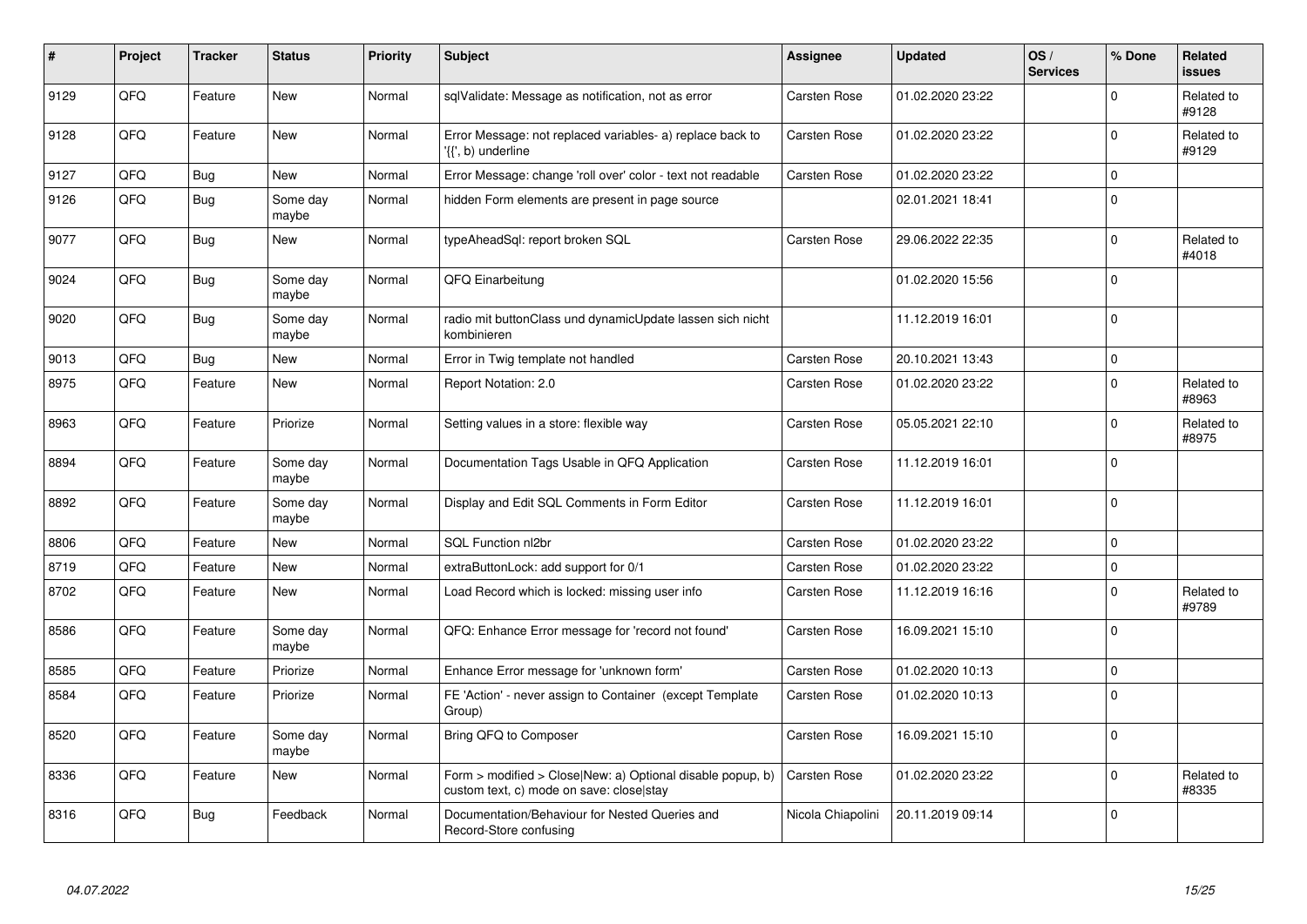| $\vert$ # | Project | <b>Tracker</b> | <b>Status</b>     | <b>Priority</b> | <b>Subject</b>                                                                                         | Assignee          | <b>Updated</b>   | OS/<br><b>Services</b> | % Done       | <b>Related</b><br>issues |
|-----------|---------|----------------|-------------------|-----------------|--------------------------------------------------------------------------------------------------------|-------------------|------------------|------------------------|--------------|--------------------------|
| 9129      | QFQ     | Feature        | <b>New</b>        | Normal          | sqlValidate: Message as notification, not as error                                                     | Carsten Rose      | 01.02.2020 23:22 |                        | $\Omega$     | Related to<br>#9128      |
| 9128      | QFQ     | Feature        | <b>New</b>        | Normal          | Error Message: not replaced variables- a) replace back to<br>'{{', b) underline                        | Carsten Rose      | 01.02.2020 23:22 |                        | $\mathbf{0}$ | Related to<br>#9129      |
| 9127      | QFQ     | <b>Bug</b>     | <b>New</b>        | Normal          | Error Message: change 'roll over' color - text not readable                                            | Carsten Rose      | 01.02.2020 23:22 |                        | 0            |                          |
| 9126      | QFQ     | <b>Bug</b>     | Some day<br>maybe | Normal          | hidden Form elements are present in page source                                                        |                   | 02.01.2021 18:41 |                        | $\Omega$     |                          |
| 9077      | QFQ     | <b>Bug</b>     | <b>New</b>        | Normal          | typeAheadSql: report broken SQL                                                                        | Carsten Rose      | 29.06.2022 22:35 |                        | $\mathbf 0$  | Related to<br>#4018      |
| 9024      | QFQ     | Bug            | Some day<br>maybe | Normal          | QFQ Einarbeitung                                                                                       |                   | 01.02.2020 15:56 |                        | $\mathbf 0$  |                          |
| 9020      | QFQ     | <b>Bug</b>     | Some day<br>maybe | Normal          | radio mit buttonClass und dynamicUpdate lassen sich nicht<br>kombinieren                               |                   | 11.12.2019 16:01 |                        | $\mathbf 0$  |                          |
| 9013      | QFQ     | Bug            | <b>New</b>        | Normal          | Error in Twig template not handled                                                                     | Carsten Rose      | 20.10.2021 13:43 |                        | 0            |                          |
| 8975      | QFQ     | Feature        | <b>New</b>        | Normal          | Report Notation: 2.0                                                                                   | Carsten Rose      | 01.02.2020 23:22 |                        | $\mathbf 0$  | Related to<br>#8963      |
| 8963      | QFQ     | Feature        | Priorize          | Normal          | Setting values in a store: flexible way                                                                | Carsten Rose      | 05.05.2021 22:10 |                        | $\mathbf 0$  | Related to<br>#8975      |
| 8894      | QFQ     | Feature        | Some day<br>maybe | Normal          | Documentation Tags Usable in QFQ Application                                                           | Carsten Rose      | 11.12.2019 16:01 |                        | $\mathbf 0$  |                          |
| 8892      | QFQ     | Feature        | Some day<br>maybe | Normal          | Display and Edit SQL Comments in Form Editor                                                           | Carsten Rose      | 11.12.2019 16:01 |                        | $\pmb{0}$    |                          |
| 8806      | QFQ     | Feature        | New               | Normal          | SQL Function nl2br                                                                                     | Carsten Rose      | 01.02.2020 23:22 |                        | $\pmb{0}$    |                          |
| 8719      | QFQ     | Feature        | New               | Normal          | extraButtonLock: add support for 0/1                                                                   | Carsten Rose      | 01.02.2020 23:22 |                        | $\pmb{0}$    |                          |
| 8702      | QFQ     | Feature        | New               | Normal          | Load Record which is locked: missing user info                                                         | Carsten Rose      | 11.12.2019 16:16 |                        | $\mathbf 0$  | Related to<br>#9789      |
| 8586      | QFQ     | Feature        | Some day<br>maybe | Normal          | QFQ: Enhance Error message for 'record not found'                                                      | Carsten Rose      | 16.09.2021 15:10 |                        | $\Omega$     |                          |
| 8585      | QFQ     | Feature        | Priorize          | Normal          | Enhance Error message for 'unknown form'                                                               | Carsten Rose      | 01.02.2020 10:13 |                        | $\mathbf 0$  |                          |
| 8584      | QFQ     | Feature        | Priorize          | Normal          | FE 'Action' - never assign to Container (except Template<br>Group)                                     | Carsten Rose      | 01.02.2020 10:13 |                        | $\mathbf{0}$ |                          |
| 8520      | QFQ     | Feature        | Some day<br>maybe | Normal          | Bring QFQ to Composer                                                                                  | Carsten Rose      | 16.09.2021 15:10 |                        | $\mathbf{0}$ |                          |
| 8336      | QFQ     | Feature        | <b>New</b>        | Normal          | Form > modified > Close New: a) Optional disable popup, b)<br>custom text, c) mode on save: close stay | Carsten Rose      | 01.02.2020 23:22 |                        | $\mathbf 0$  | Related to<br>#8335      |
| 8316      | QFQ     | Bug            | Feedback          | Normal          | Documentation/Behaviour for Nested Queries and<br>Record-Store confusing                               | Nicola Chiapolini | 20.11.2019 09:14 |                        | $\mathbf 0$  |                          |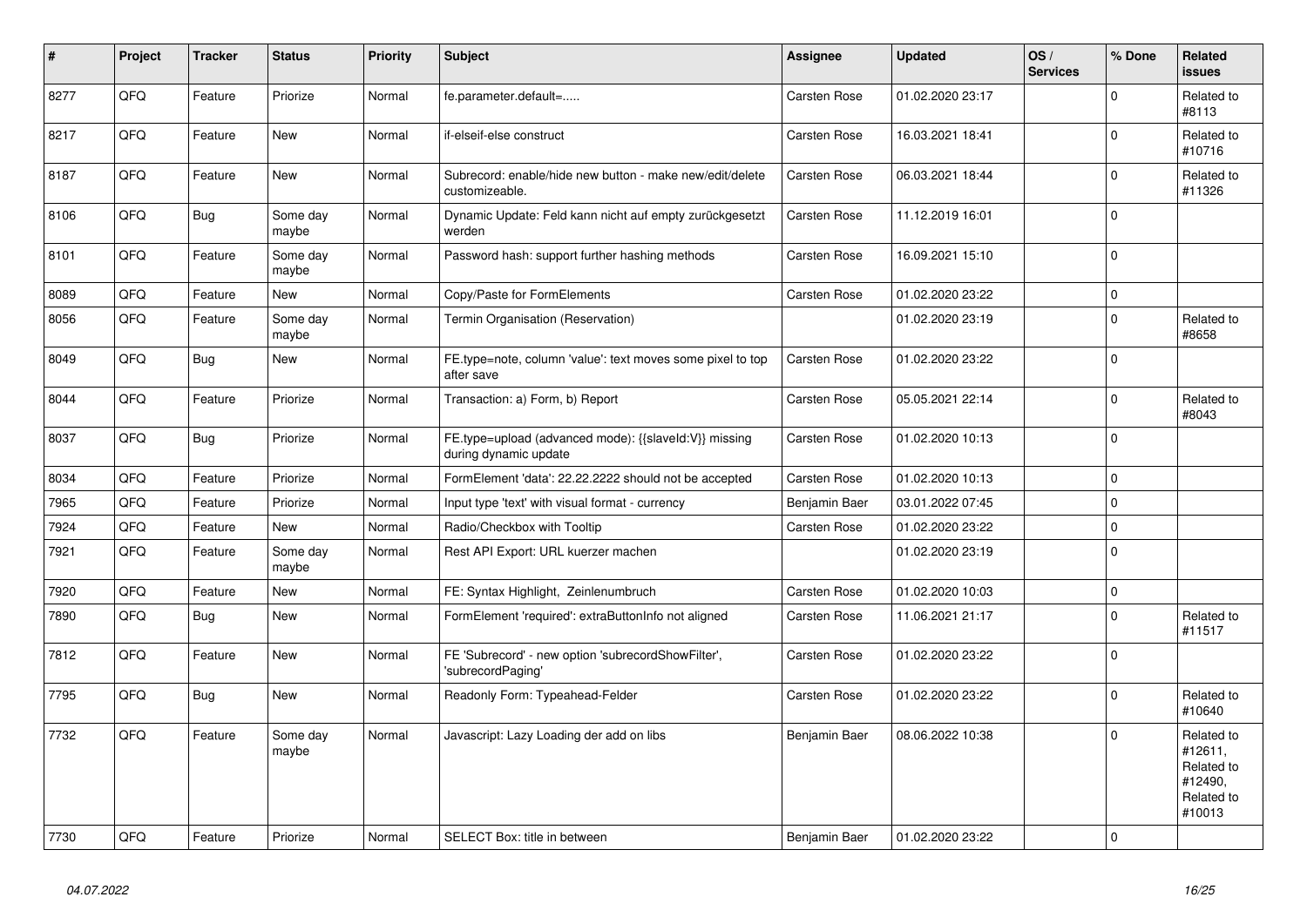| #    | Project | <b>Tracker</b> | <b>Status</b>     | <b>Priority</b> | <b>Subject</b>                                                                 | Assignee            | <b>Updated</b>   | OS/<br><b>Services</b> | % Done       | <b>Related</b><br><b>issues</b>                                        |
|------|---------|----------------|-------------------|-----------------|--------------------------------------------------------------------------------|---------------------|------------------|------------------------|--------------|------------------------------------------------------------------------|
| 8277 | QFQ     | Feature        | Priorize          | Normal          | fe.parameter.default=                                                          | Carsten Rose        | 01.02.2020 23:17 |                        | $\mathbf 0$  | Related to<br>#8113                                                    |
| 8217 | QFQ     | Feature        | <b>New</b>        | Normal          | if-elseif-else construct                                                       | Carsten Rose        | 16.03.2021 18:41 |                        | $\mathbf 0$  | Related to<br>#10716                                                   |
| 8187 | QFQ     | Feature        | New               | Normal          | Subrecord: enable/hide new button - make new/edit/delete<br>customizeable.     | Carsten Rose        | 06.03.2021 18:44 |                        | $\mathbf{0}$ | Related to<br>#11326                                                   |
| 8106 | QFQ     | <b>Bug</b>     | Some day<br>maybe | Normal          | Dynamic Update: Feld kann nicht auf empty zurückgesetzt<br>werden              | Carsten Rose        | 11.12.2019 16:01 |                        | 0            |                                                                        |
| 8101 | QFQ     | Feature        | Some day<br>maybe | Normal          | Password hash: support further hashing methods                                 | Carsten Rose        | 16.09.2021 15:10 |                        | $\Omega$     |                                                                        |
| 8089 | QFQ     | Feature        | <b>New</b>        | Normal          | Copy/Paste for FormElements                                                    | Carsten Rose        | 01.02.2020 23:22 |                        | $\Omega$     |                                                                        |
| 8056 | QFQ     | Feature        | Some day<br>maybe | Normal          | Termin Organisation (Reservation)                                              |                     | 01.02.2020 23:19 |                        | $\mathbf 0$  | Related to<br>#8658                                                    |
| 8049 | QFQ     | <b>Bug</b>     | New               | Normal          | FE.type=note, column 'value': text moves some pixel to top<br>after save       | <b>Carsten Rose</b> | 01.02.2020 23:22 |                        | $\mathbf 0$  |                                                                        |
| 8044 | QFQ     | Feature        | Priorize          | Normal          | Transaction: a) Form, b) Report                                                | Carsten Rose        | 05.05.2021 22:14 |                        | $\Omega$     | Related to<br>#8043                                                    |
| 8037 | QFQ     | <b>Bug</b>     | Priorize          | Normal          | FE.type=upload (advanced mode): {{slaveId:V}} missing<br>during dynamic update | Carsten Rose        | 01.02.2020 10:13 |                        | $\Omega$     |                                                                        |
| 8034 | QFQ     | Feature        | Priorize          | Normal          | FormElement 'data': 22.22.2222 should not be accepted                          | Carsten Rose        | 01.02.2020 10:13 |                        | 0            |                                                                        |
| 7965 | QFQ     | Feature        | Priorize          | Normal          | Input type 'text' with visual format - currency                                | Benjamin Baer       | 03.01.2022 07:45 |                        | $\mathbf 0$  |                                                                        |
| 7924 | QFQ     | Feature        | New               | Normal          | Radio/Checkbox with Tooltip                                                    | Carsten Rose        | 01.02.2020 23:22 |                        | 0            |                                                                        |
| 7921 | QFQ     | Feature        | Some day<br>maybe | Normal          | Rest API Export: URL kuerzer machen                                            |                     | 01.02.2020 23:19 |                        | $\mathbf 0$  |                                                                        |
| 7920 | QFQ     | Feature        | New               | Normal          | FE: Syntax Highlight, Zeinlenumbruch                                           | Carsten Rose        | 01.02.2020 10:03 |                        | 0            |                                                                        |
| 7890 | QFQ     | Bug            | New               | Normal          | FormElement 'required': extraButtonInfo not aligned                            | Carsten Rose        | 11.06.2021 21:17 |                        | $\mathbf 0$  | Related to<br>#11517                                                   |
| 7812 | QFQ     | Feature        | New               | Normal          | FE 'Subrecord' - new option 'subrecordShowFilter',<br>'subrecordPaging'        | Carsten Rose        | 01.02.2020 23:22 |                        | 0            |                                                                        |
| 7795 | QFQ     | Bug            | New               | Normal          | Readonly Form: Typeahead-Felder                                                | Carsten Rose        | 01.02.2020 23:22 |                        | $\Omega$     | Related to<br>#10640                                                   |
| 7732 | QFQ     | Feature        | Some day<br>maybe | Normal          | Javascript: Lazy Loading der add on libs                                       | Benjamin Baer       | 08.06.2022 10:38 |                        | 0            | Related to<br>#12611,<br>Related to<br>#12490,<br>Related to<br>#10013 |
| 7730 | QFQ     | Feature        | Priorize          | Normal          | SELECT Box: title in between                                                   | Benjamin Baer       | 01.02.2020 23:22 |                        | 0            |                                                                        |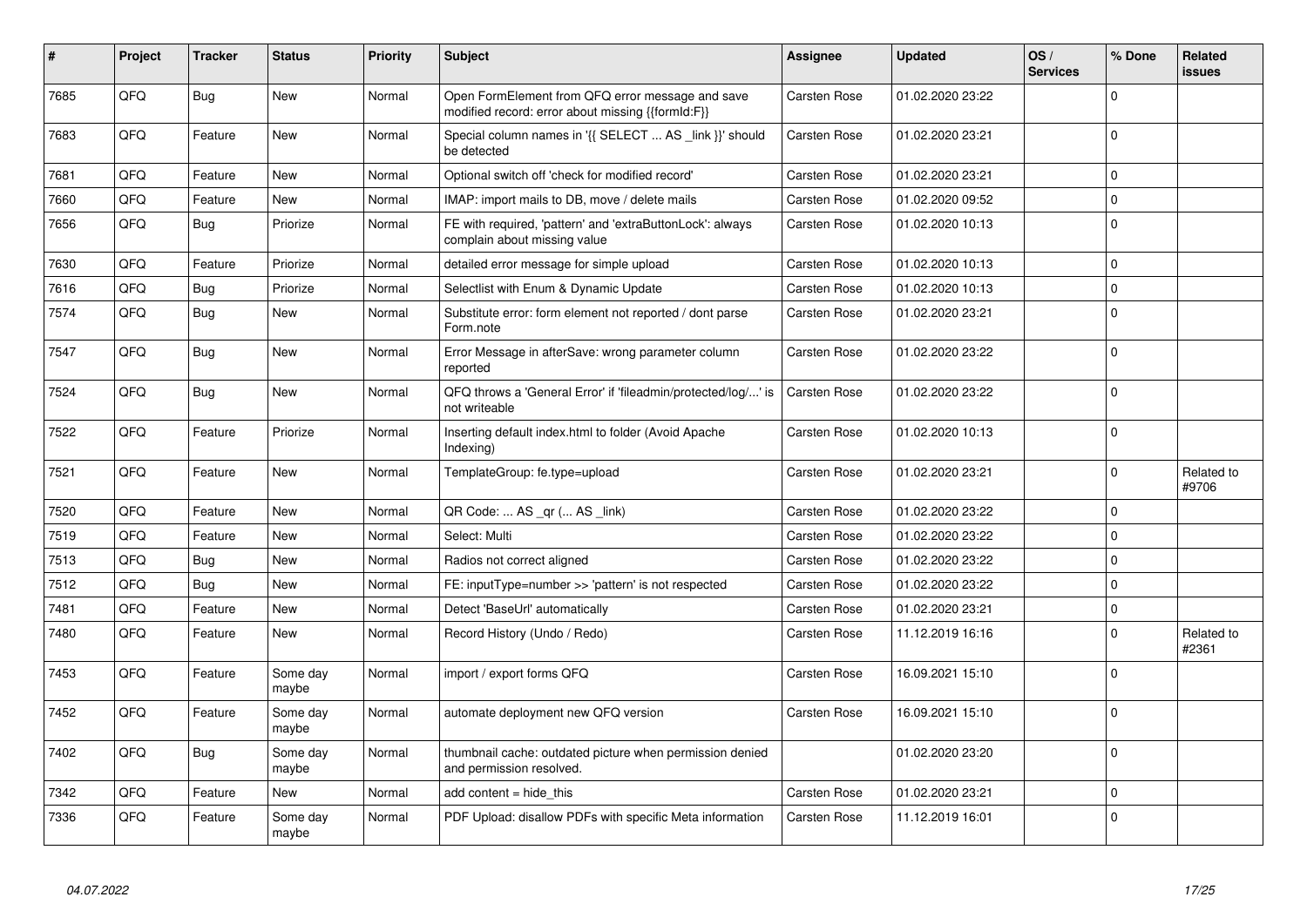| #    | Project | <b>Tracker</b> | <b>Status</b>     | <b>Priority</b> | <b>Subject</b>                                                                                        | <b>Assignee</b>     | <b>Updated</b>   | OS/<br><b>Services</b> | % Done   | Related<br><b>issues</b> |
|------|---------|----------------|-------------------|-----------------|-------------------------------------------------------------------------------------------------------|---------------------|------------------|------------------------|----------|--------------------------|
| 7685 | QFQ     | Bug            | New               | Normal          | Open FormElement from QFQ error message and save<br>modified record: error about missing {{formId:F}} | Carsten Rose        | 01.02.2020 23:22 |                        | $\Omega$ |                          |
| 7683 | QFQ     | Feature        | <b>New</b>        | Normal          | Special column names in '{{ SELECT  AS _link }}' should<br>be detected                                | Carsten Rose        | 01.02.2020 23:21 |                        | $\Omega$ |                          |
| 7681 | QFQ     | Feature        | <b>New</b>        | Normal          | Optional switch off 'check for modified record'                                                       | Carsten Rose        | 01.02.2020 23:21 |                        | $\Omega$ |                          |
| 7660 | QFQ     | Feature        | <b>New</b>        | Normal          | IMAP: import mails to DB, move / delete mails                                                         | Carsten Rose        | 01.02.2020 09:52 |                        | $\Omega$ |                          |
| 7656 | QFQ     | <b>Bug</b>     | Priorize          | Normal          | FE with required, 'pattern' and 'extraButtonLock': always<br>complain about missing value             | Carsten Rose        | 01.02.2020 10:13 |                        | $\Omega$ |                          |
| 7630 | QFQ     | Feature        | Priorize          | Normal          | detailed error message for simple upload                                                              | Carsten Rose        | 01.02.2020 10:13 |                        | $\Omega$ |                          |
| 7616 | QFQ     | <b>Bug</b>     | Priorize          | Normal          | Selectlist with Enum & Dynamic Update                                                                 | Carsten Rose        | 01.02.2020 10:13 |                        | $\Omega$ |                          |
| 7574 | QFQ     | Bug            | <b>New</b>        | Normal          | Substitute error: form element not reported / dont parse<br>Form.note                                 | Carsten Rose        | 01.02.2020 23:21 |                        | $\Omega$ |                          |
| 7547 | QFQ     | <b>Bug</b>     | <b>New</b>        | Normal          | Error Message in afterSave: wrong parameter column<br>reported                                        | <b>Carsten Rose</b> | 01.02.2020 23:22 |                        | $\Omega$ |                          |
| 7524 | QFQ     | Bug            | <b>New</b>        | Normal          | QFQ throws a 'General Error' if 'fileadmin/protected/log/' is<br>not writeable                        | Carsten Rose        | 01.02.2020 23:22 |                        | $\Omega$ |                          |
| 7522 | QFQ     | Feature        | Priorize          | Normal          | Inserting default index.html to folder (Avoid Apache<br>Indexing)                                     | Carsten Rose        | 01.02.2020 10:13 |                        | $\Omega$ |                          |
| 7521 | QFQ     | Feature        | <b>New</b>        | Normal          | TemplateGroup: fe.type=upload                                                                         | Carsten Rose        | 01.02.2020 23:21 |                        | $\Omega$ | Related to<br>#9706      |
| 7520 | QFQ     | Feature        | <b>New</b>        | Normal          | QR Code:  AS _qr ( AS _link)                                                                          | Carsten Rose        | 01.02.2020 23:22 |                        | $\Omega$ |                          |
| 7519 | QFQ     | Feature        | New               | Normal          | Select: Multi                                                                                         | Carsten Rose        | 01.02.2020 23:22 |                        | $\Omega$ |                          |
| 7513 | QFQ     | <b>Bug</b>     | New               | Normal          | Radios not correct aligned                                                                            | Carsten Rose        | 01.02.2020 23:22 |                        | $\Omega$ |                          |
| 7512 | QFQ     | Bug            | <b>New</b>        | Normal          | FE: inputType=number >> 'pattern' is not respected                                                    | Carsten Rose        | 01.02.2020 23:22 |                        | $\Omega$ |                          |
| 7481 | QFQ     | Feature        | <b>New</b>        | Normal          | Detect 'BaseUrl' automatically                                                                        | Carsten Rose        | 01.02.2020 23:21 |                        | $\Omega$ |                          |
| 7480 | QFQ     | Feature        | New               | Normal          | Record History (Undo / Redo)                                                                          | Carsten Rose        | 11.12.2019 16:16 |                        | $\Omega$ | Related to<br>#2361      |
| 7453 | QFQ     | Feature        | Some day<br>maybe | Normal          | import / export forms QFQ                                                                             | Carsten Rose        | 16.09.2021 15:10 |                        | $\Omega$ |                          |
| 7452 | QFQ     | Feature        | Some day<br>maybe | Normal          | automate deployment new QFQ version                                                                   | Carsten Rose        | 16.09.2021 15:10 |                        | $\Omega$ |                          |
| 7402 | QFQ     | <b>Bug</b>     | Some day<br>maybe | Normal          | thumbnail cache: outdated picture when permission denied<br>and permission resolved.                  |                     | 01.02.2020 23:20 |                        | $\Omega$ |                          |
| 7342 | QFQ     | Feature        | <b>New</b>        | Normal          | add content = hide_this                                                                               | <b>Carsten Rose</b> | 01.02.2020 23:21 |                        | $\Omega$ |                          |
| 7336 | QFQ     | Feature        | Some day<br>maybe | Normal          | PDF Upload: disallow PDFs with specific Meta information                                              | Carsten Rose        | 11.12.2019 16:01 |                        | $\Omega$ |                          |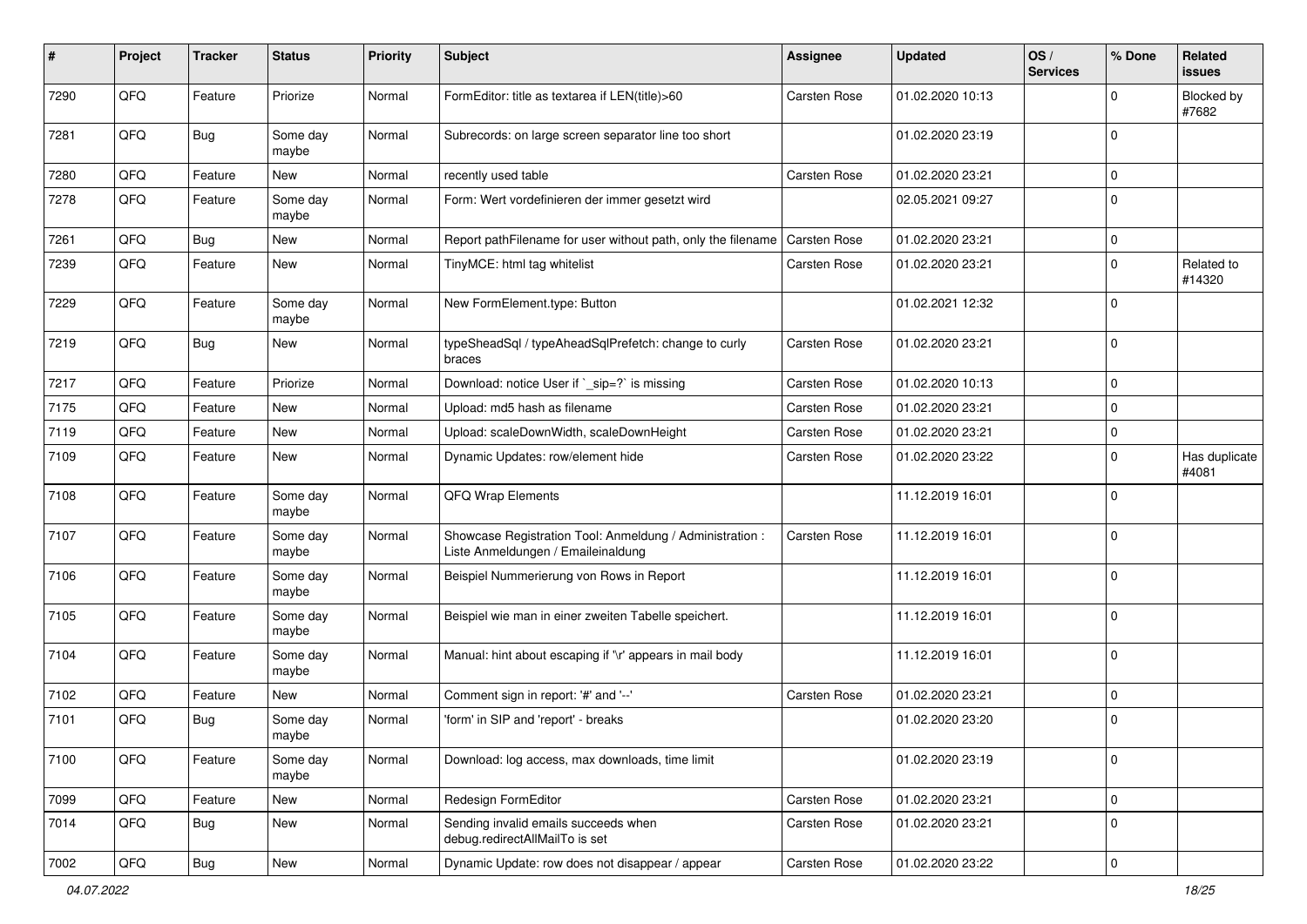| #    | Project | <b>Tracker</b> | <b>Status</b>     | <b>Priority</b> | <b>Subject</b>                                                                                 | <b>Assignee</b> | <b>Updated</b>   | OS/<br><b>Services</b> | % Done       | <b>Related</b><br>issues |
|------|---------|----------------|-------------------|-----------------|------------------------------------------------------------------------------------------------|-----------------|------------------|------------------------|--------------|--------------------------|
| 7290 | QFQ     | Feature        | Priorize          | Normal          | FormEditor: title as textarea if LEN(title)>60                                                 | Carsten Rose    | 01.02.2020 10:13 |                        | $\mathbf{0}$ | Blocked by<br>#7682      |
| 7281 | QFQ     | <b>Bug</b>     | Some day<br>maybe | Normal          | Subrecords: on large screen separator line too short                                           |                 | 01.02.2020 23:19 |                        | $\Omega$     |                          |
| 7280 | QFQ     | Feature        | New               | Normal          | recently used table                                                                            | Carsten Rose    | 01.02.2020 23:21 |                        | $\Omega$     |                          |
| 7278 | QFQ     | Feature        | Some day<br>maybe | Normal          | Form: Wert vordefinieren der immer gesetzt wird                                                |                 | 02.05.2021 09:27 |                        | $\Omega$     |                          |
| 7261 | QFQ     | <b>Bug</b>     | New               | Normal          | Report pathFilename for user without path, only the filename                                   | Carsten Rose    | 01.02.2020 23:21 |                        | 0            |                          |
| 7239 | QFQ     | Feature        | New               | Normal          | TinyMCE: html tag whitelist                                                                    | Carsten Rose    | 01.02.2020 23:21 |                        | $\Omega$     | Related to<br>#14320     |
| 7229 | QFQ     | Feature        | Some day<br>maybe | Normal          | New FormElement.type: Button                                                                   |                 | 01.02.2021 12:32 |                        | $\Omega$     |                          |
| 7219 | QFQ     | Bug            | <b>New</b>        | Normal          | typeSheadSql / typeAheadSqlPrefetch: change to curly<br>braces                                 | Carsten Rose    | 01.02.2020 23:21 |                        | $\Omega$     |                          |
| 7217 | QFQ     | Feature        | Priorize          | Normal          | Download: notice User if `_sip=?` is missing                                                   | Carsten Rose    | 01.02.2020 10:13 |                        | $\mathbf 0$  |                          |
| 7175 | QFQ     | Feature        | New               | Normal          | Upload: md5 hash as filename                                                                   | Carsten Rose    | 01.02.2020 23:21 |                        | $\mathbf 0$  |                          |
| 7119 | QFQ     | Feature        | New               | Normal          | Upload: scaleDownWidth, scaleDownHeight                                                        | Carsten Rose    | 01.02.2020 23:21 |                        | $\mathbf 0$  |                          |
| 7109 | QFQ     | Feature        | New               | Normal          | Dynamic Updates: row/element hide                                                              | Carsten Rose    | 01.02.2020 23:22 |                        | 0            | Has duplicate<br>#4081   |
| 7108 | QFQ     | Feature        | Some day<br>maybe | Normal          | QFQ Wrap Elements                                                                              |                 | 11.12.2019 16:01 |                        | $\Omega$     |                          |
| 7107 | QFQ     | Feature        | Some day<br>maybe | Normal          | Showcase Registration Tool: Anmeldung / Administration :<br>Liste Anmeldungen / Emaileinaldung | Carsten Rose    | 11.12.2019 16:01 |                        | $\Omega$     |                          |
| 7106 | QFQ     | Feature        | Some day<br>maybe | Normal          | Beispiel Nummerierung von Rows in Report                                                       |                 | 11.12.2019 16:01 |                        | $\Omega$     |                          |
| 7105 | QFQ     | Feature        | Some day<br>maybe | Normal          | Beispiel wie man in einer zweiten Tabelle speichert.                                           |                 | 11.12.2019 16:01 |                        | 0            |                          |
| 7104 | QFQ     | Feature        | Some day<br>maybe | Normal          | Manual: hint about escaping if '\r' appears in mail body                                       |                 | 11.12.2019 16:01 |                        | $\mathbf 0$  |                          |
| 7102 | QFQ     | Feature        | New               | Normal          | Comment sign in report: '#' and '--'                                                           | Carsten Rose    | 01.02.2020 23:21 |                        | $\mathbf{0}$ |                          |
| 7101 | QFQ     | <b>Bug</b>     | Some day<br>maybe | Normal          | 'form' in SIP and 'report' - breaks                                                            |                 | 01.02.2020 23:20 |                        | $\mathbf 0$  |                          |
| 7100 | QFQ     | Feature        | Some day<br>maybe | Normal          | Download: log access, max downloads, time limit                                                |                 | 01.02.2020 23:19 |                        | 0            |                          |
| 7099 | QFQ     | Feature        | New               | Normal          | Redesign FormEditor                                                                            | Carsten Rose    | 01.02.2020 23:21 |                        | 0            |                          |
| 7014 | QFQ     | Bug            | New               | Normal          | Sending invalid emails succeeds when<br>debug.redirectAllMailTo is set                         | Carsten Rose    | 01.02.2020 23:21 |                        | 0            |                          |
| 7002 | QFG     | i Bug          | New               | Normal          | Dynamic Update: row does not disappear / appear                                                | Carsten Rose    | 01.02.2020 23:22 |                        | 0            |                          |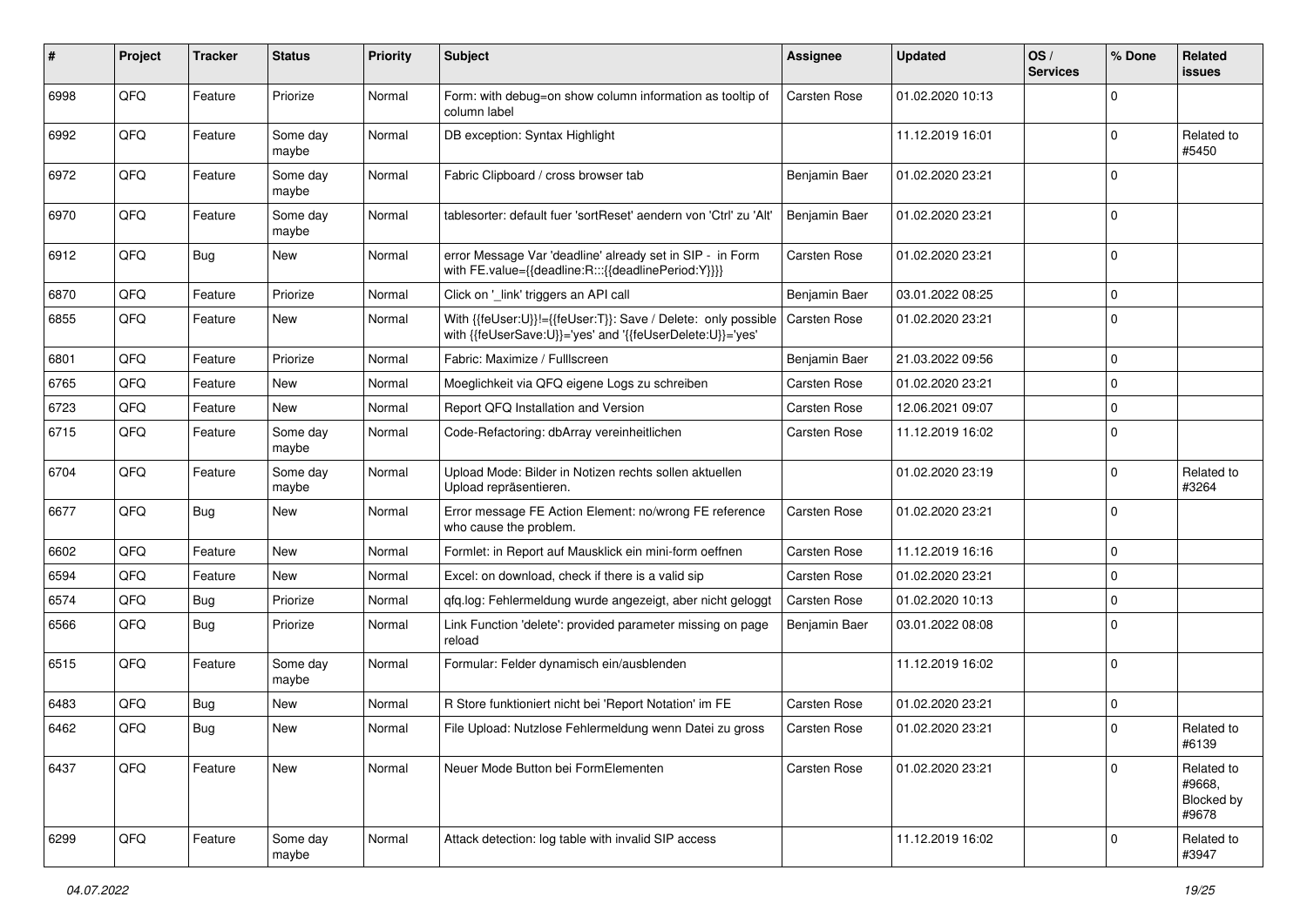| #    | Project | <b>Tracker</b> | <b>Status</b>     | <b>Priority</b> | <b>Subject</b>                                                                                                             | <b>Assignee</b> | <b>Updated</b>   | OS/<br><b>Services</b> | % Done      | Related<br>issues                           |
|------|---------|----------------|-------------------|-----------------|----------------------------------------------------------------------------------------------------------------------------|-----------------|------------------|------------------------|-------------|---------------------------------------------|
| 6998 | QFQ     | Feature        | Priorize          | Normal          | Form: with debug=on show column information as tooltip of<br>column label                                                  | Carsten Rose    | 01.02.2020 10:13 |                        | $\Omega$    |                                             |
| 6992 | QFQ     | Feature        | Some day<br>maybe | Normal          | DB exception: Syntax Highlight                                                                                             |                 | 11.12.2019 16:01 |                        | $\Omega$    | Related to<br>#5450                         |
| 6972 | QFQ     | Feature        | Some day<br>maybe | Normal          | Fabric Clipboard / cross browser tab                                                                                       | Benjamin Baer   | 01.02.2020 23:21 |                        | $\Omega$    |                                             |
| 6970 | QFQ     | Feature        | Some day<br>maybe | Normal          | tablesorter: default fuer 'sortReset' aendern von 'Ctrl' zu 'Alt'                                                          | Benjamin Baer   | 01.02.2020 23:21 |                        | $\mathbf 0$ |                                             |
| 6912 | QFQ     | <b>Bug</b>     | New               | Normal          | error Message Var 'deadline' already set in SIP - in Form<br>with FE.value={{deadline:R:::{{deadlinePeriod:Y}}}}           | Carsten Rose    | 01.02.2020 23:21 |                        | $\Omega$    |                                             |
| 6870 | QFQ     | Feature        | Priorize          | Normal          | Click on '_link' triggers an API call                                                                                      | Benjamin Baer   | 03.01.2022 08:25 |                        | $\mathbf 0$ |                                             |
| 6855 | QFQ     | Feature        | New               | Normal          | With {{feUser:U}}!={{feUser:T}}: Save / Delete: only possible<br>with {{feUserSave:U}}='yes' and '{{feUserDelete:U}}='yes' | Carsten Rose    | 01.02.2020 23:21 |                        | $\Omega$    |                                             |
| 6801 | QFQ     | Feature        | Priorize          | Normal          | Fabric: Maximize / FullIscreen                                                                                             | Benjamin Baer   | 21.03.2022 09:56 |                        | $\mathbf 0$ |                                             |
| 6765 | QFQ     | Feature        | New               | Normal          | Moeglichkeit via QFQ eigene Logs zu schreiben                                                                              | Carsten Rose    | 01.02.2020 23:21 |                        | $\mathbf 0$ |                                             |
| 6723 | QFQ     | Feature        | New               | Normal          | Report QFQ Installation and Version                                                                                        | Carsten Rose    | 12.06.2021 09:07 |                        | $\Omega$    |                                             |
| 6715 | QFQ     | Feature        | Some day<br>maybe | Normal          | Code-Refactoring: dbArray vereinheitlichen                                                                                 | Carsten Rose    | 11.12.2019 16:02 |                        | $\mathbf 0$ |                                             |
| 6704 | QFQ     | Feature        | Some day<br>maybe | Normal          | Upload Mode: Bilder in Notizen rechts sollen aktuellen<br>Upload repräsentieren.                                           |                 | 01.02.2020 23:19 |                        | $\mathbf 0$ | Related to<br>#3264                         |
| 6677 | QFQ     | <b>Bug</b>     | <b>New</b>        | Normal          | Error message FE Action Element: no/wrong FE reference<br>who cause the problem.                                           | Carsten Rose    | 01.02.2020 23:21 |                        | $\Omega$    |                                             |
| 6602 | QFQ     | Feature        | <b>New</b>        | Normal          | Formlet: in Report auf Mausklick ein mini-form oeffnen                                                                     | Carsten Rose    | 11.12.2019 16:16 |                        | $\Omega$    |                                             |
| 6594 | QFQ     | Feature        | New               | Normal          | Excel: on download, check if there is a valid sip                                                                          | Carsten Rose    | 01.02.2020 23:21 |                        | $\Omega$    |                                             |
| 6574 | QFQ     | Bug            | Priorize          | Normal          | qfq.log: Fehlermeldung wurde angezeigt, aber nicht geloggt                                                                 | Carsten Rose    | 01.02.2020 10:13 |                        | $\mathbf 0$ |                                             |
| 6566 | QFQ     | <b>Bug</b>     | Priorize          | Normal          | Link Function 'delete': provided parameter missing on page<br>reload                                                       | Benjamin Baer   | 03.01.2022 08:08 |                        | $\Omega$    |                                             |
| 6515 | QFQ     | Feature        | Some day<br>maybe | Normal          | Formular: Felder dynamisch ein/ausblenden                                                                                  |                 | 11.12.2019 16:02 |                        | $\Omega$    |                                             |
| 6483 | QFQ     | Bug            | <b>New</b>        | Normal          | R Store funktioniert nicht bei 'Report Notation' im FE                                                                     | Carsten Rose    | 01.02.2020 23:21 |                        | $\mathbf 0$ |                                             |
| 6462 | QFQ     | Bug            | <b>New</b>        | Normal          | File Upload: Nutzlose Fehlermeldung wenn Datei zu gross                                                                    | Carsten Rose    | 01.02.2020 23:21 |                        | $\Omega$    | Related to<br>#6139                         |
| 6437 | QFQ     | Feature        | <b>New</b>        | Normal          | Neuer Mode Button bei FormElementen                                                                                        | Carsten Rose    | 01.02.2020 23:21 |                        | $\mathbf 0$ | Related to<br>#9668,<br>Blocked by<br>#9678 |
| 6299 | QFQ     | Feature        | Some day<br>maybe | Normal          | Attack detection: log table with invalid SIP access                                                                        |                 | 11.12.2019 16:02 |                        | 0           | Related to<br>#3947                         |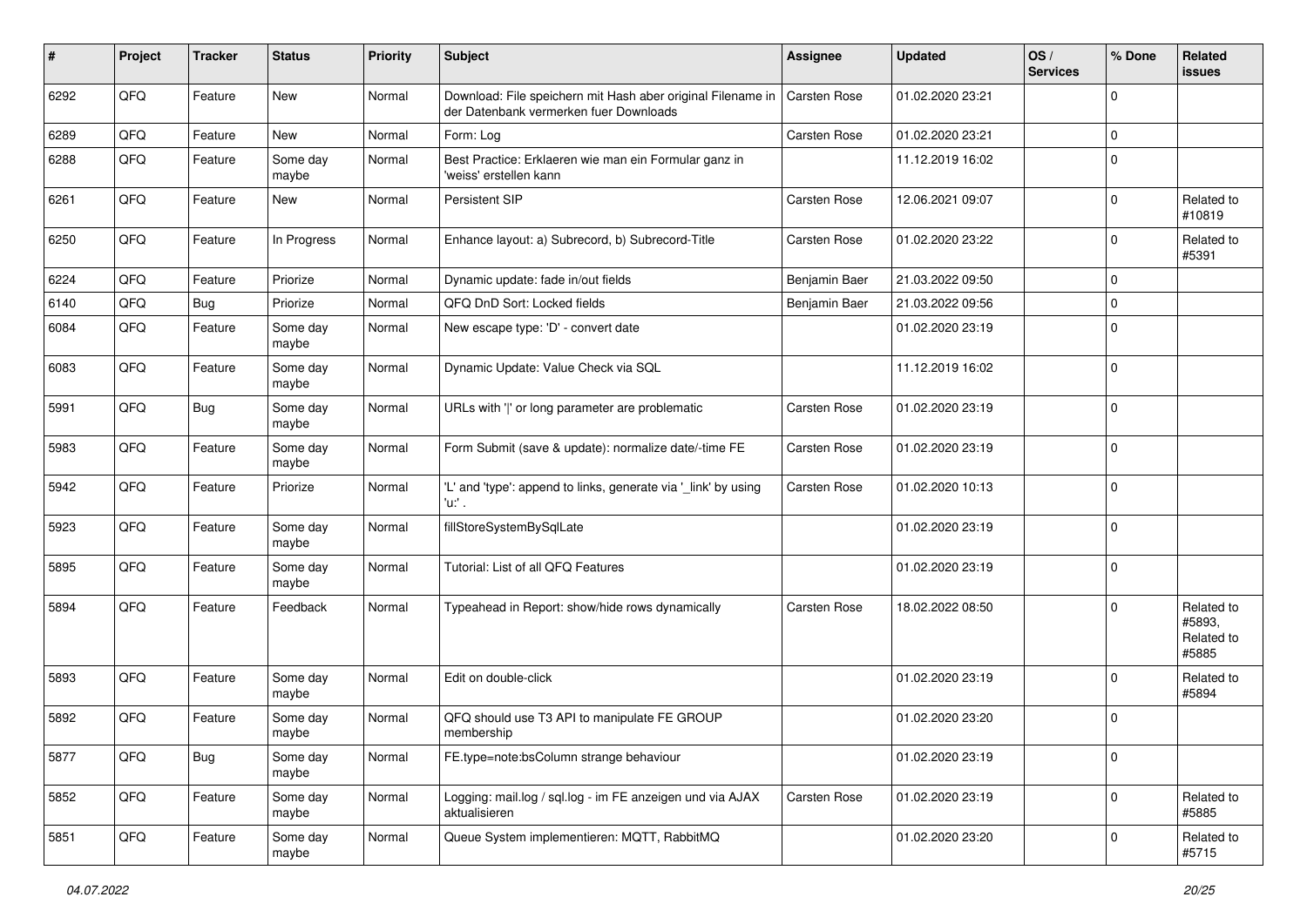| #    | Project | <b>Tracker</b> | <b>Status</b>     | <b>Priority</b> | <b>Subject</b>                                                                                        | <b>Assignee</b>     | <b>Updated</b>   | OS/<br><b>Services</b> | % Done      | Related<br><b>issues</b>                    |
|------|---------|----------------|-------------------|-----------------|-------------------------------------------------------------------------------------------------------|---------------------|------------------|------------------------|-------------|---------------------------------------------|
| 6292 | QFQ     | Feature        | New               | Normal          | Download: File speichern mit Hash aber original Filename in<br>der Datenbank vermerken fuer Downloads | <b>Carsten Rose</b> | 01.02.2020 23:21 |                        | $\Omega$    |                                             |
| 6289 | QFQ     | Feature        | New               | Normal          | Form: Log                                                                                             | <b>Carsten Rose</b> | 01.02.2020 23:21 |                        | 0           |                                             |
| 6288 | QFQ     | Feature        | Some day<br>maybe | Normal          | Best Practice: Erklaeren wie man ein Formular ganz in<br>'weiss' erstellen kann                       |                     | 11.12.2019 16:02 |                        | $\mathbf 0$ |                                             |
| 6261 | QFQ     | Feature        | <b>New</b>        | Normal          | Persistent SIP                                                                                        | Carsten Rose        | 12.06.2021 09:07 |                        | $\mathbf 0$ | Related to<br>#10819                        |
| 6250 | QFQ     | Feature        | In Progress       | Normal          | Enhance layout: a) Subrecord, b) Subrecord-Title                                                      | Carsten Rose        | 01.02.2020 23:22 |                        | 0           | Related to<br>#5391                         |
| 6224 | QFQ     | Feature        | Priorize          | Normal          | Dynamic update: fade in/out fields                                                                    | Benjamin Baer       | 21.03.2022 09:50 |                        | 0           |                                             |
| 6140 | QFQ     | <b>Bug</b>     | Priorize          | Normal          | QFQ DnD Sort: Locked fields                                                                           | Benjamin Baer       | 21.03.2022 09:56 |                        | 0           |                                             |
| 6084 | QFQ     | Feature        | Some day<br>maybe | Normal          | New escape type: 'D' - convert date                                                                   |                     | 01.02.2020 23:19 |                        | $\Omega$    |                                             |
| 6083 | QFQ     | Feature        | Some day<br>maybe | Normal          | Dynamic Update: Value Check via SQL                                                                   |                     | 11.12.2019 16:02 |                        | $\mathbf 0$ |                                             |
| 5991 | QFQ     | Bug            | Some day<br>maybe | Normal          | URLs with ' ' or long parameter are problematic                                                       | Carsten Rose        | 01.02.2020 23:19 |                        | 0           |                                             |
| 5983 | QFQ     | Feature        | Some day<br>maybe | Normal          | Form Submit (save & update): normalize date/-time FE                                                  | Carsten Rose        | 01.02.2020 23:19 |                        | 0           |                                             |
| 5942 | QFQ     | Feature        | Priorize          | Normal          | 'L' and 'type': append to links, generate via '_link' by using<br>'u:' .                              | Carsten Rose        | 01.02.2020 10:13 |                        | $\mathbf 0$ |                                             |
| 5923 | QFQ     | Feature        | Some day<br>maybe | Normal          | fillStoreSystemBySqlLate                                                                              |                     | 01.02.2020 23:19 |                        | $\mathbf 0$ |                                             |
| 5895 | QFQ     | Feature        | Some day<br>maybe | Normal          | Tutorial: List of all QFQ Features                                                                    |                     | 01.02.2020 23:19 |                        | 0           |                                             |
| 5894 | QFQ     | Feature        | Feedback          | Normal          | Typeahead in Report: show/hide rows dynamically                                                       | Carsten Rose        | 18.02.2022 08:50 |                        | $\mathbf 0$ | Related to<br>#5893,<br>Related to<br>#5885 |
| 5893 | QFQ     | Feature        | Some day<br>maybe | Normal          | Edit on double-click                                                                                  |                     | 01.02.2020 23:19 |                        | 0           | Related to<br>#5894                         |
| 5892 | QFQ     | Feature        | Some day<br>maybe | Normal          | QFQ should use T3 API to manipulate FE GROUP<br>membership                                            |                     | 01.02.2020 23:20 |                        | 0           |                                             |
| 5877 | QFQ     | <b>Bug</b>     | Some day<br>maybe | Normal          | FE.type=note:bsColumn strange behaviour                                                               |                     | 01.02.2020 23:19 |                        | 0           |                                             |
| 5852 | QFQ     | Feature        | Some day<br>maybe | Normal          | Logging: mail.log / sql.log - im FE anzeigen und via AJAX<br>aktualisieren                            | Carsten Rose        | 01.02.2020 23:19 |                        | $\mathbf 0$ | Related to<br>#5885                         |
| 5851 | QFQ     | Feature        | Some day<br>maybe | Normal          | Queue System implementieren: MQTT, RabbitMQ                                                           |                     | 01.02.2020 23:20 |                        | $\pmb{0}$   | Related to<br>#5715                         |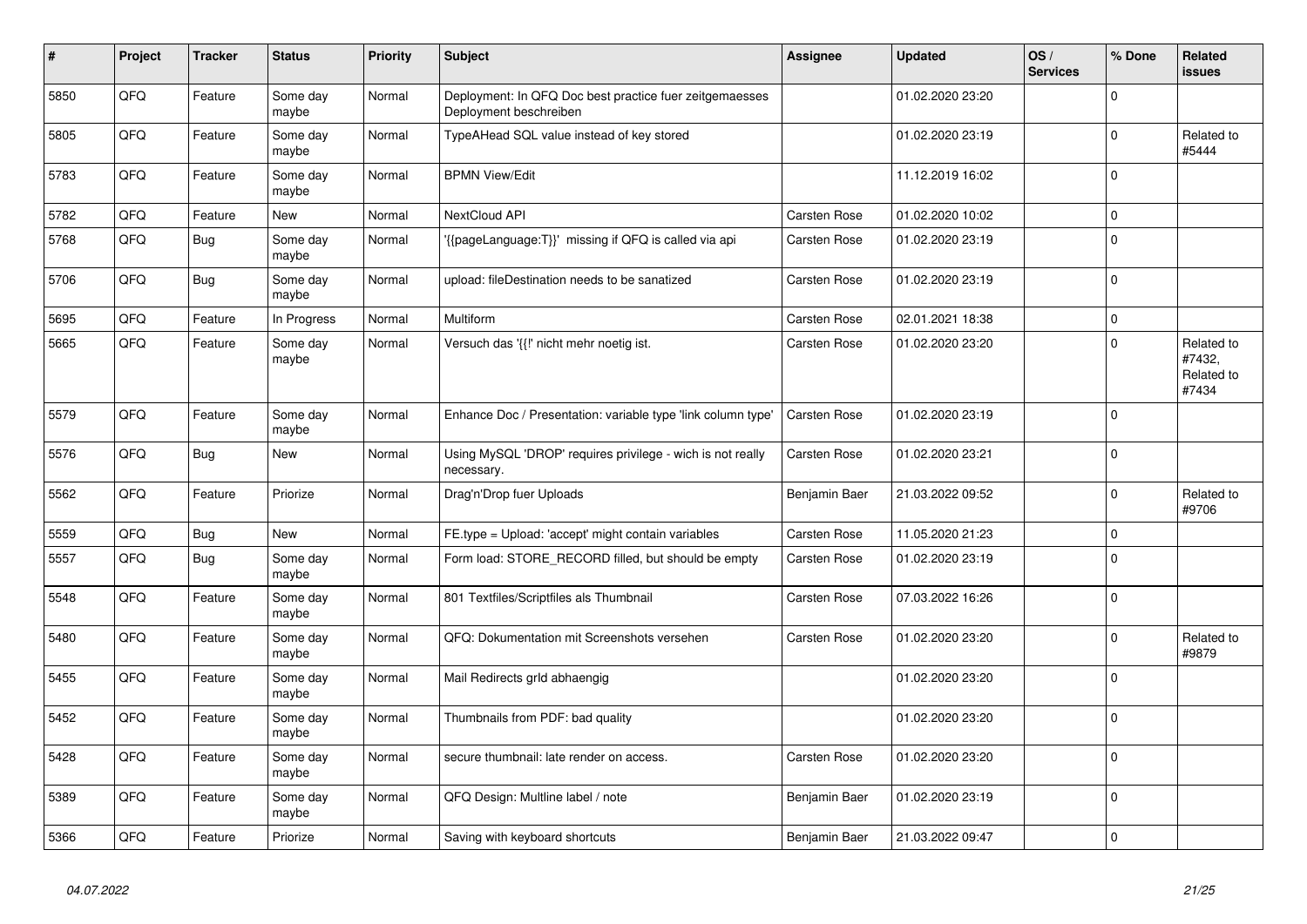| $\pmb{\sharp}$ | Project | <b>Tracker</b> | <b>Status</b>     | <b>Priority</b> | <b>Subject</b>                                                                    | Assignee      | <b>Updated</b>   | OS/<br><b>Services</b> | % Done      | <b>Related</b><br>issues                    |
|----------------|---------|----------------|-------------------|-----------------|-----------------------------------------------------------------------------------|---------------|------------------|------------------------|-------------|---------------------------------------------|
| 5850           | QFQ     | Feature        | Some day<br>maybe | Normal          | Deployment: In QFQ Doc best practice fuer zeitgemaesses<br>Deployment beschreiben |               | 01.02.2020 23:20 |                        | $\Omega$    |                                             |
| 5805           | QFQ     | Feature        | Some day<br>maybe | Normal          | TypeAHead SQL value instead of key stored                                         |               | 01.02.2020 23:19 |                        | $\mathbf 0$ | Related to<br>#5444                         |
| 5783           | QFQ     | Feature        | Some day<br>maybe | Normal          | <b>BPMN View/Edit</b>                                                             |               | 11.12.2019 16:02 |                        | $\Omega$    |                                             |
| 5782           | QFQ     | Feature        | New               | Normal          | <b>NextCloud API</b>                                                              | Carsten Rose  | 01.02.2020 10:02 |                        | $\Omega$    |                                             |
| 5768           | QFQ     | <b>Bug</b>     | Some day<br>maybe | Normal          | '{{pageLanguage:T}}' missing if QFQ is called via api                             | Carsten Rose  | 01.02.2020 23:19 |                        | $\mathbf 0$ |                                             |
| 5706           | QFQ     | <b>Bug</b>     | Some day<br>maybe | Normal          | upload: fileDestination needs to be sanatized                                     | Carsten Rose  | 01.02.2020 23:19 |                        | $\Omega$    |                                             |
| 5695           | QFQ     | Feature        | In Progress       | Normal          | Multiform                                                                         | Carsten Rose  | 02.01.2021 18:38 |                        | $\mathbf 0$ |                                             |
| 5665           | QFQ     | Feature        | Some day<br>maybe | Normal          | Versuch das '{{!' nicht mehr noetig ist.                                          | Carsten Rose  | 01.02.2020 23:20 |                        | $\Omega$    | Related to<br>#7432,<br>Related to<br>#7434 |
| 5579           | QFQ     | Feature        | Some day<br>maybe | Normal          | Enhance Doc / Presentation: variable type 'link column type'                      | Carsten Rose  | 01.02.2020 23:19 |                        | $\mathbf 0$ |                                             |
| 5576           | QFQ     | Bug            | New               | Normal          | Using MySQL 'DROP' requires privilege - wich is not really<br>necessary.          | Carsten Rose  | 01.02.2020 23:21 |                        | $\mathbf 0$ |                                             |
| 5562           | QFQ     | Feature        | Priorize          | Normal          | Drag'n'Drop fuer Uploads                                                          | Benjamin Baer | 21.03.2022 09:52 |                        | $\Omega$    | Related to<br>#9706                         |
| 5559           | QFQ     | Bug            | New               | Normal          | FE.type = Upload: 'accept' might contain variables                                | Carsten Rose  | 11.05.2020 21:23 |                        | 0           |                                             |
| 5557           | QFQ     | <b>Bug</b>     | Some day<br>maybe | Normal          | Form load: STORE RECORD filled, but should be empty                               | Carsten Rose  | 01.02.2020 23:19 |                        | $\Omega$    |                                             |
| 5548           | QFQ     | Feature        | Some day<br>maybe | Normal          | 801 Textfiles/Scriptfiles als Thumbnail                                           | Carsten Rose  | 07.03.2022 16:26 |                        | $\pmb{0}$   |                                             |
| 5480           | QFQ     | Feature        | Some day<br>maybe | Normal          | QFQ: Dokumentation mit Screenshots versehen                                       | Carsten Rose  | 01.02.2020 23:20 |                        | $\Omega$    | Related to<br>#9879                         |
| 5455           | QFQ     | Feature        | Some day<br>maybe | Normal          | Mail Redirects grld abhaengig                                                     |               | 01.02.2020 23:20 |                        | $\Omega$    |                                             |
| 5452           | QFQ     | Feature        | Some day<br>maybe | Normal          | Thumbnails from PDF: bad quality                                                  |               | 01.02.2020 23:20 |                        | $\pmb{0}$   |                                             |
| 5428           | QFQ     | Feature        | Some day<br>maybe | Normal          | secure thumbnail: late render on access.                                          | Carsten Rose  | 01.02.2020 23:20 |                        | $\pmb{0}$   |                                             |
| 5389           | QFQ     | Feature        | Some day<br>maybe | Normal          | QFQ Design: Multline label / note                                                 | Benjamin Baer | 01.02.2020 23:19 |                        | $\Omega$    |                                             |
| 5366           | QFQ     | Feature        | Priorize          | Normal          | Saving with keyboard shortcuts                                                    | Benjamin Baer | 21.03.2022 09:47 |                        | $\pmb{0}$   |                                             |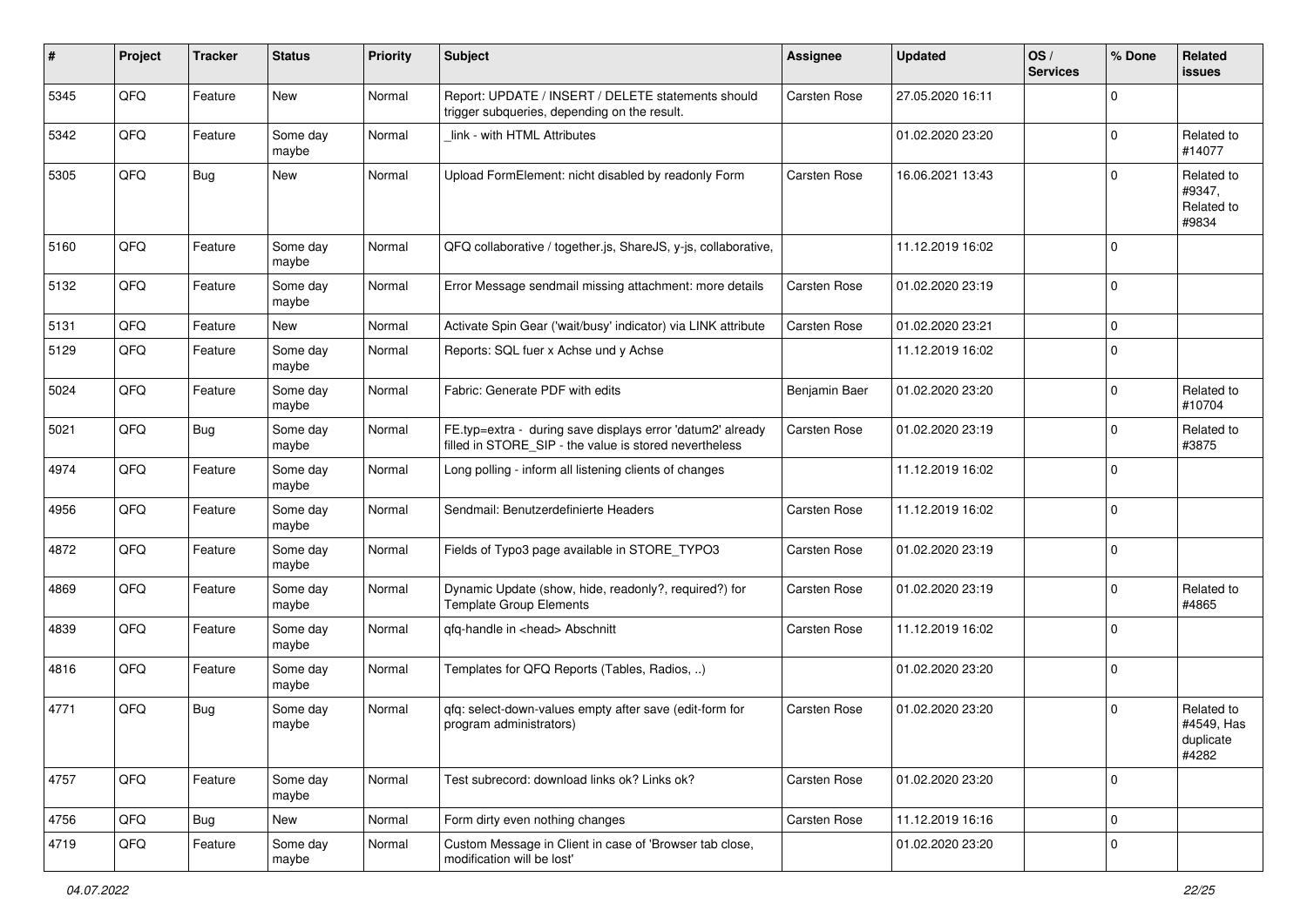| ∦    | Project | <b>Tracker</b> | <b>Status</b>     | <b>Priority</b> | Subject                                                                                                              | <b>Assignee</b> | <b>Updated</b>   | OS/<br><b>Services</b> | % Done      | Related<br>issues                              |
|------|---------|----------------|-------------------|-----------------|----------------------------------------------------------------------------------------------------------------------|-----------------|------------------|------------------------|-------------|------------------------------------------------|
| 5345 | QFQ     | Feature        | <b>New</b>        | Normal          | Report: UPDATE / INSERT / DELETE statements should<br>trigger subqueries, depending on the result.                   | Carsten Rose    | 27.05.2020 16:11 |                        | $\Omega$    |                                                |
| 5342 | QFQ     | Feature        | Some day<br>maybe | Normal          | link - with HTML Attributes                                                                                          |                 | 01.02.2020 23:20 |                        | $\Omega$    | Related to<br>#14077                           |
| 5305 | QFQ     | Bug            | <b>New</b>        | Normal          | Upload FormElement: nicht disabled by readonly Form                                                                  | Carsten Rose    | 16.06.2021 13:43 |                        | $\Omega$    | Related to<br>#9347,<br>Related to<br>#9834    |
| 5160 | QFQ     | Feature        | Some day<br>maybe | Normal          | QFQ collaborative / together.js, ShareJS, y-js, collaborative,                                                       |                 | 11.12.2019 16:02 |                        | $\Omega$    |                                                |
| 5132 | QFQ     | Feature        | Some day<br>maybe | Normal          | Error Message sendmail missing attachment: more details                                                              | Carsten Rose    | 01.02.2020 23:19 |                        | $\Omega$    |                                                |
| 5131 | QFQ     | Feature        | New               | Normal          | Activate Spin Gear ('wait/busy' indicator) via LINK attribute                                                        | Carsten Rose    | 01.02.2020 23:21 |                        | $\Omega$    |                                                |
| 5129 | QFQ     | Feature        | Some day<br>maybe | Normal          | Reports: SQL fuer x Achse und y Achse                                                                                |                 | 11.12.2019 16:02 |                        | $\Omega$    |                                                |
| 5024 | QFQ     | Feature        | Some day<br>maybe | Normal          | Fabric: Generate PDF with edits                                                                                      | Benjamin Baer   | 01.02.2020 23:20 |                        | $\Omega$    | Related to<br>#10704                           |
| 5021 | QFQ     | Bug            | Some day<br>maybe | Normal          | FE.typ=extra - during save displays error 'datum2' already<br>filled in STORE_SIP - the value is stored nevertheless | Carsten Rose    | 01.02.2020 23:19 |                        | $\mathbf 0$ | Related to<br>#3875                            |
| 4974 | QFQ     | Feature        | Some day<br>maybe | Normal          | Long polling - inform all listening clients of changes                                                               |                 | 11.12.2019 16:02 |                        | $\Omega$    |                                                |
| 4956 | QFQ     | Feature        | Some day<br>maybe | Normal          | Sendmail: Benutzerdefinierte Headers                                                                                 | Carsten Rose    | 11.12.2019 16:02 |                        | $\Omega$    |                                                |
| 4872 | QFQ     | Feature        | Some day<br>maybe | Normal          | Fields of Typo3 page available in STORE_TYPO3                                                                        | Carsten Rose    | 01.02.2020 23:19 |                        | $\Omega$    |                                                |
| 4869 | QFQ     | Feature        | Some day<br>maybe | Normal          | Dynamic Update (show, hide, readonly?, required?) for<br><b>Template Group Elements</b>                              | Carsten Rose    | 01.02.2020 23:19 |                        | $\Omega$    | Related to<br>#4865                            |
| 4839 | QFQ     | Feature        | Some day<br>maybe | Normal          | qfq-handle in <head> Abschnitt</head>                                                                                | Carsten Rose    | 11.12.2019 16:02 |                        | $\Omega$    |                                                |
| 4816 | QFQ     | Feature        | Some day<br>maybe | Normal          | Templates for QFQ Reports (Tables, Radios, )                                                                         |                 | 01.02.2020 23:20 |                        | $\mathbf 0$ |                                                |
| 4771 | QFQ     | Bug            | Some day<br>maybe | Normal          | qfq: select-down-values empty after save (edit-form for<br>program administrators)                                   | Carsten Rose    | 01.02.2020 23:20 |                        | $\mathbf 0$ | Related to<br>#4549, Has<br>duplicate<br>#4282 |
| 4757 | QFQ     | Feature        | Some day<br>maybe | Normal          | Test subrecord: download links ok? Links ok?                                                                         | Carsten Rose    | 01.02.2020 23:20 |                        | $\mathbf 0$ |                                                |
| 4756 | QFQ     | <b>Bug</b>     | New               | Normal          | Form dirty even nothing changes                                                                                      | Carsten Rose    | 11.12.2019 16:16 |                        | 0           |                                                |
| 4719 | QFQ     | Feature        | Some day<br>maybe | Normal          | Custom Message in Client in case of 'Browser tab close,<br>modification will be lost'                                |                 | 01.02.2020 23:20 |                        | 0           |                                                |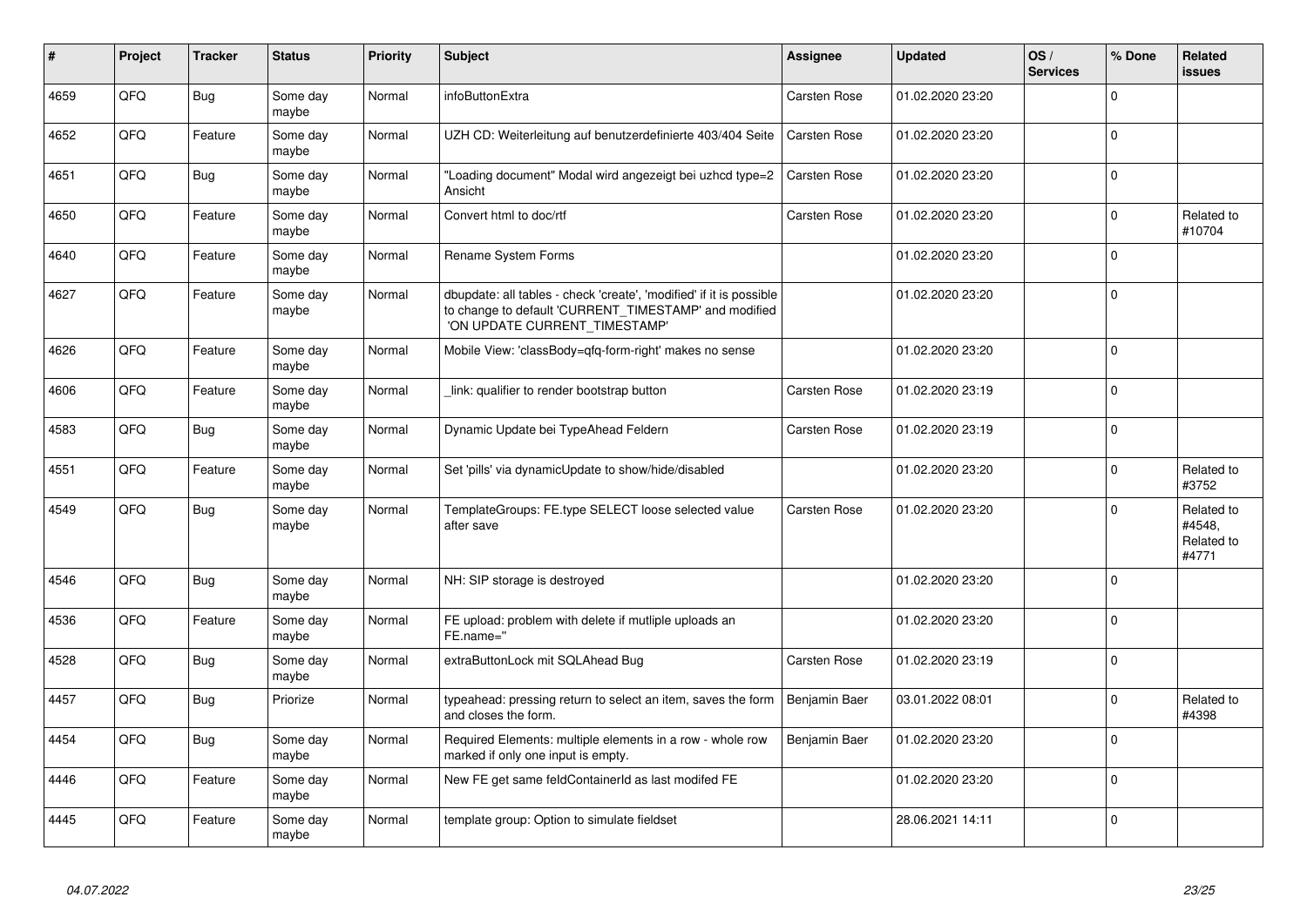| #    | Project | <b>Tracker</b> | <b>Status</b>     | <b>Priority</b> | <b>Subject</b>                                                                                                                                                | Assignee      | <b>Updated</b>   | OS/<br><b>Services</b> | % Done      | Related<br><b>issues</b>                    |
|------|---------|----------------|-------------------|-----------------|---------------------------------------------------------------------------------------------------------------------------------------------------------------|---------------|------------------|------------------------|-------------|---------------------------------------------|
| 4659 | QFQ     | <b>Bug</b>     | Some day<br>maybe | Normal          | infoButtonExtra                                                                                                                                               | Carsten Rose  | 01.02.2020 23:20 |                        | $\Omega$    |                                             |
| 4652 | QFQ     | Feature        | Some day<br>maybe | Normal          | UZH CD: Weiterleitung auf benutzerdefinierte 403/404 Seite                                                                                                    | Carsten Rose  | 01.02.2020 23:20 |                        | $\mathbf 0$ |                                             |
| 4651 | QFQ     | Bug            | Some day<br>maybe | Normal          | "Loading document" Modal wird angezeigt bei uzhcd type=2<br>Ansicht                                                                                           | Carsten Rose  | 01.02.2020 23:20 |                        | $\Omega$    |                                             |
| 4650 | QFQ     | Feature        | Some day<br>maybe | Normal          | Convert html to doc/rtf                                                                                                                                       | Carsten Rose  | 01.02.2020 23:20 |                        | $\Omega$    | Related to<br>#10704                        |
| 4640 | QFQ     | Feature        | Some day<br>maybe | Normal          | Rename System Forms                                                                                                                                           |               | 01.02.2020 23:20 |                        | $\Omega$    |                                             |
| 4627 | QFQ     | Feature        | Some day<br>maybe | Normal          | dbupdate: all tables - check 'create', 'modified' if it is possible<br>to change to default 'CURRENT_TIMESTAMP' and modified<br>'ON UPDATE CURRENT_TIMESTAMP' |               | 01.02.2020 23:20 |                        | $\Omega$    |                                             |
| 4626 | QFQ     | Feature        | Some day<br>maybe | Normal          | Mobile View: 'classBody=qfq-form-right' makes no sense                                                                                                        |               | 01.02.2020 23:20 |                        | $\mathbf 0$ |                                             |
| 4606 | QFQ     | Feature        | Some day<br>maybe | Normal          | link: qualifier to render bootstrap button                                                                                                                    | Carsten Rose  | 01.02.2020 23:19 |                        | $\Omega$    |                                             |
| 4583 | QFQ     | <b>Bug</b>     | Some day<br>maybe | Normal          | Dynamic Update bei TypeAhead Feldern                                                                                                                          | Carsten Rose  | 01.02.2020 23:19 |                        | $\Omega$    |                                             |
| 4551 | QFQ     | Feature        | Some day<br>maybe | Normal          | Set 'pills' via dynamicUpdate to show/hide/disabled                                                                                                           |               | 01.02.2020 23:20 |                        | $\Omega$    | Related to<br>#3752                         |
| 4549 | QFQ     | <b>Bug</b>     | Some day<br>maybe | Normal          | TemplateGroups: FE.type SELECT loose selected value<br>after save                                                                                             | Carsten Rose  | 01.02.2020 23:20 |                        | $\Omega$    | Related to<br>#4548,<br>Related to<br>#4771 |
| 4546 | QFQ     | <b>Bug</b>     | Some day<br>maybe | Normal          | NH: SIP storage is destroyed                                                                                                                                  |               | 01.02.2020 23:20 |                        | $\Omega$    |                                             |
| 4536 | QFQ     | Feature        | Some day<br>maybe | Normal          | FE upload: problem with delete if mutliple uploads an<br>FE.name="                                                                                            |               | 01.02.2020 23:20 |                        | $\mathbf 0$ |                                             |
| 4528 | QFQ     | <b>Bug</b>     | Some day<br>maybe | Normal          | extraButtonLock mit SQLAhead Bug                                                                                                                              | Carsten Rose  | 01.02.2020 23:19 |                        | $\mathbf 0$ |                                             |
| 4457 | QFQ     | Bug            | Priorize          | Normal          | typeahead: pressing return to select an item, saves the form<br>and closes the form.                                                                          | Benjamin Baer | 03.01.2022 08:01 |                        | $\Omega$    | Related to<br>#4398                         |
| 4454 | QFQ     | Bug            | Some day<br>maybe | Normal          | Required Elements: multiple elements in a row - whole row<br>marked if only one input is empty.                                                               | Benjamin Baer | 01.02.2020 23:20 |                        | $\Omega$    |                                             |
| 4446 | QFQ     | Feature        | Some day<br>maybe | Normal          | New FE get same feldContainerId as last modifed FE                                                                                                            |               | 01.02.2020 23:20 |                        | $\mathbf 0$ |                                             |
| 4445 | QFQ     | Feature        | Some day<br>maybe | Normal          | template group: Option to simulate fieldset                                                                                                                   |               | 28.06.2021 14:11 |                        | $\Omega$    |                                             |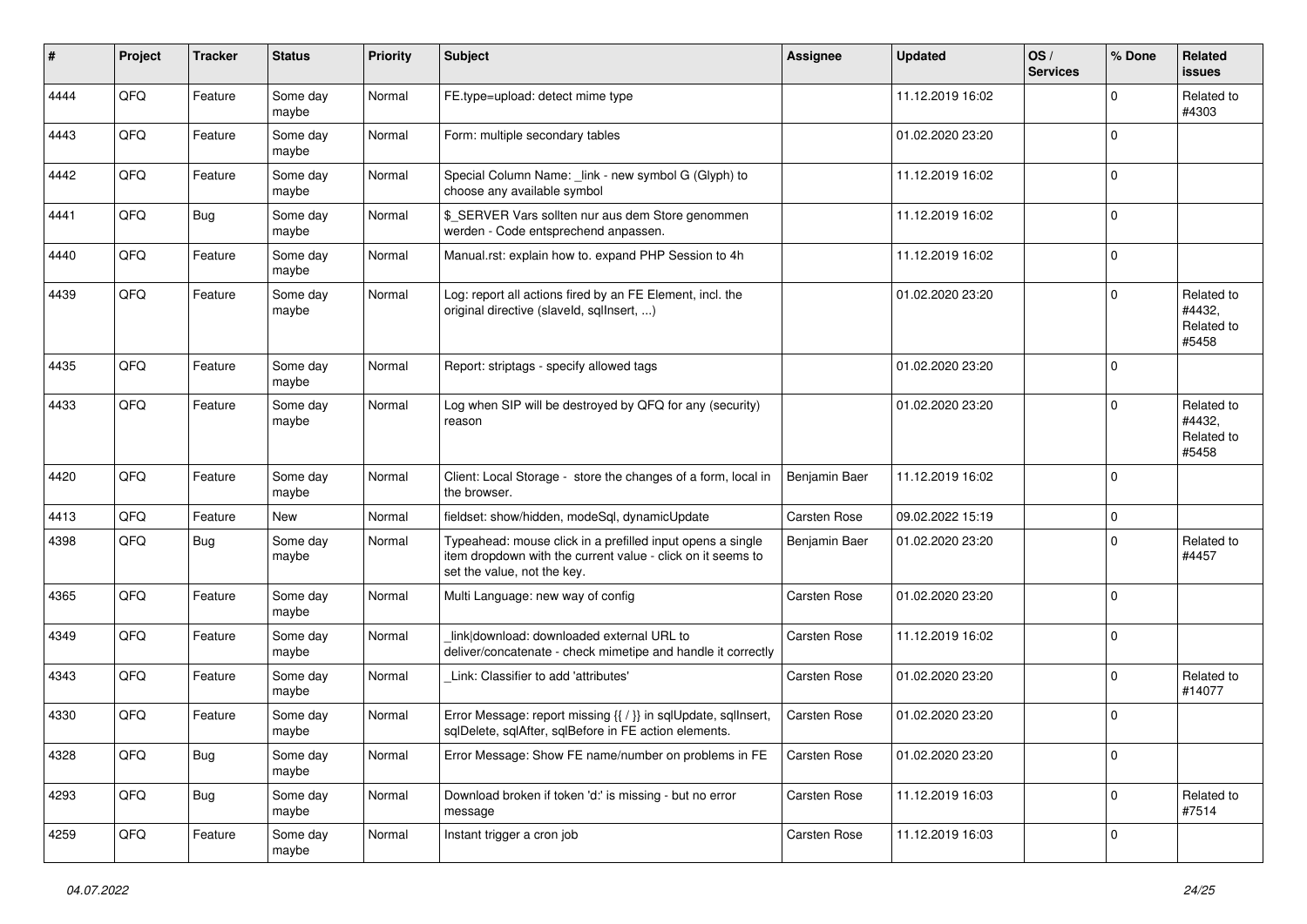| ∦    | Project | <b>Tracker</b> | <b>Status</b>     | <b>Priority</b> | <b>Subject</b>                                                                                                                                           | <b>Assignee</b> | <b>Updated</b>   | OS/<br><b>Services</b> | % Done      | Related<br>issues                           |
|------|---------|----------------|-------------------|-----------------|----------------------------------------------------------------------------------------------------------------------------------------------------------|-----------------|------------------|------------------------|-------------|---------------------------------------------|
| 4444 | QFQ     | Feature        | Some day<br>maybe | Normal          | FE.type=upload: detect mime type                                                                                                                         |                 | 11.12.2019 16:02 |                        | 0           | Related to<br>#4303                         |
| 4443 | QFQ     | Feature        | Some day<br>maybe | Normal          | Form: multiple secondary tables                                                                                                                          |                 | 01.02.2020 23:20 |                        | 0           |                                             |
| 4442 | QFQ     | Feature        | Some day<br>maybe | Normal          | Special Column Name: _link - new symbol G (Glyph) to<br>choose any available symbol                                                                      |                 | 11.12.2019 16:02 |                        | $\Omega$    |                                             |
| 4441 | QFQ     | <b>Bug</b>     | Some day<br>maybe | Normal          | \$ SERVER Vars sollten nur aus dem Store genommen<br>werden - Code entsprechend anpassen.                                                                |                 | 11.12.2019 16:02 |                        | $\mathbf 0$ |                                             |
| 4440 | QFQ     | Feature        | Some day<br>maybe | Normal          | Manual.rst: explain how to. expand PHP Session to 4h                                                                                                     |                 | 11.12.2019 16:02 |                        | $\mathbf 0$ |                                             |
| 4439 | QFQ     | Feature        | Some day<br>maybe | Normal          | Log: report all actions fired by an FE Element, incl. the<br>original directive (slaveld, sqllnsert, )                                                   |                 | 01.02.2020 23:20 |                        | $\mathbf 0$ | Related to<br>#4432,<br>Related to<br>#5458 |
| 4435 | QFQ     | Feature        | Some day<br>maybe | Normal          | Report: striptags - specify allowed tags                                                                                                                 |                 | 01.02.2020 23:20 |                        | $\Omega$    |                                             |
| 4433 | QFQ     | Feature        | Some day<br>maybe | Normal          | Log when SIP will be destroyed by QFQ for any (security)<br>reason                                                                                       |                 | 01.02.2020 23:20 |                        | 0           | Related to<br>#4432,<br>Related to<br>#5458 |
| 4420 | QFQ     | Feature        | Some day<br>maybe | Normal          | Client: Local Storage - store the changes of a form, local in<br>the browser.                                                                            | Benjamin Baer   | 11.12.2019 16:02 |                        | $\mathbf 0$ |                                             |
| 4413 | QFQ     | Feature        | <b>New</b>        | Normal          | fieldset: show/hidden, modeSql, dynamicUpdate                                                                                                            | Carsten Rose    | 09.02.2022 15:19 |                        | $\mathbf 0$ |                                             |
| 4398 | QFQ     | Bug            | Some day<br>maybe | Normal          | Typeahead: mouse click in a prefilled input opens a single<br>item dropdown with the current value - click on it seems to<br>set the value, not the key. | Benjamin Baer   | 01.02.2020 23:20 |                        | $\mathbf 0$ | Related to<br>#4457                         |
| 4365 | QFQ     | Feature        | Some day<br>maybe | Normal          | Multi Language: new way of config                                                                                                                        | Carsten Rose    | 01.02.2020 23:20 |                        | $\mathbf 0$ |                                             |
| 4349 | QFQ     | Feature        | Some day<br>maybe | Normal          | link download: downloaded external URL to<br>deliver/concatenate - check mimetipe and handle it correctly                                                | Carsten Rose    | 11.12.2019 16:02 |                        | $\mathbf 0$ |                                             |
| 4343 | QFQ     | Feature        | Some day<br>maybe | Normal          | Link: Classifier to add 'attributes'                                                                                                                     | Carsten Rose    | 01.02.2020 23:20 |                        | $\Omega$    | Related to<br>#14077                        |
| 4330 | QFQ     | Feature        | Some day<br>maybe | Normal          | Error Message: report missing {{ / }} in sqlUpdate, sqlInsert,<br>sglDelete, sglAfter, sglBefore in FE action elements.                                  | Carsten Rose    | 01.02.2020 23:20 |                        | 0           |                                             |
| 4328 | QFO     | <b>Bug</b>     | Some day<br>maybe | Normal          | Error Message: Show FE name/number on problems in FE                                                                                                     | Carsten Rose    | 01.02.2020 23:20 |                        | 0           |                                             |
| 4293 | QFO     | <b>Bug</b>     | Some day<br>maybe | Normal          | Download broken if token 'd:' is missing - but no error<br>message                                                                                       | Carsten Rose    | 11.12.2019 16:03 |                        | 0           | Related to<br>#7514                         |
| 4259 | QFQ     | Feature        | Some day<br>maybe | Normal          | Instant trigger a cron job                                                                                                                               | Carsten Rose    | 11.12.2019 16:03 |                        | $\mathbf 0$ |                                             |